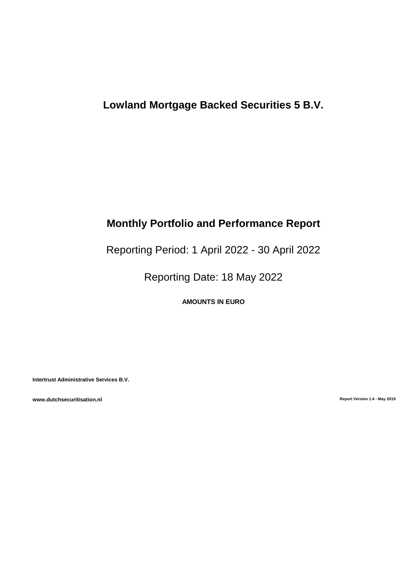# **Lowland Mortgage Backed Securities 5 B.V.**

# **Monthly Portfolio and Performance Report**

Reporting Period: 1 April 2022 - 30 April 2022

Reporting Date: 18 May 2022

**AMOUNTS IN EURO**

**Intertrust Administrative Services B.V.**

**www.dutchsecuritisation.nl Report Version 1.4 - May 2019**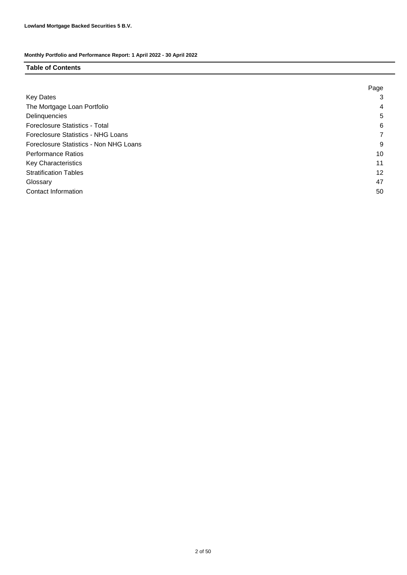### **Table of Contents**

|                                        | Page |
|----------------------------------------|------|
| <b>Key Dates</b>                       | 3    |
| The Mortgage Loan Portfolio            | 4    |
| Delinquencies                          | 5    |
| <b>Foreclosure Statistics - Total</b>  | 6    |
| Foreclosure Statistics - NHG Loans     | 7    |
| Foreclosure Statistics - Non NHG Loans | 9    |
| <b>Performance Ratios</b>              | 10   |
| <b>Key Characteristics</b>             | 11   |
| <b>Stratification Tables</b>           | 12   |
| Glossary                               | 47   |
| Contact Information                    | 50   |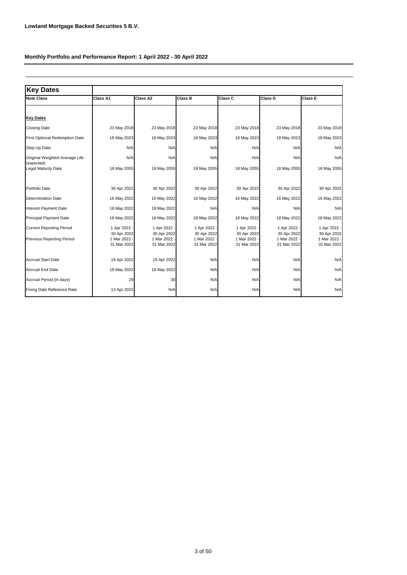| <b>Key Dates</b>                                             |                                                        |                                                            |                                                          |                                                            |                                                          |                                                            |
|--------------------------------------------------------------|--------------------------------------------------------|------------------------------------------------------------|----------------------------------------------------------|------------------------------------------------------------|----------------------------------------------------------|------------------------------------------------------------|
| <b>Note Class</b>                                            | Class A1                                               | Class A2                                                   | Class B                                                  | <b>Class C</b>                                             | Class D                                                  | <b>Class E</b>                                             |
|                                                              |                                                        |                                                            |                                                          |                                                            |                                                          |                                                            |
| <b>Key Dates</b>                                             |                                                        |                                                            |                                                          |                                                            |                                                          |                                                            |
| <b>Closing Date</b>                                          | 23 May 2018                                            | 23 May 2018                                                | 23 May 2018                                              | 23 May 2018                                                | 23 May 2018                                              | 23 May 2018                                                |
| First Optional Redemption Date                               | 18 May 2023                                            | 18 May 2023                                                | 18 May 2023                                              | 18 May 2023                                                | 18 May 2023                                              | 18 May 2023                                                |
| Step Up Date                                                 | N/A                                                    | N/A                                                        | N/A                                                      | N/A                                                        | N/A                                                      | N/A                                                        |
| Original Weighted Average Life<br>(expected)                 | N/A                                                    | N/A                                                        | N/A                                                      | N/A                                                        | N/A                                                      | N/A                                                        |
| Legal Maturity Date                                          | 18 May 2055                                            | 18 May 2055                                                | 18 May 2055                                              | 18 May 2055                                                | 18 May 2055                                              | 18 May 2055                                                |
| Portfolio Date                                               | 30 Apr 2022                                            | 30 Apr 2022                                                | 30 Apr 2022                                              | 30 Apr 2022                                                | 30 Apr 2022                                              | 30 Apr 2022                                                |
| <b>Determination Date</b>                                    | 16 May 2022                                            | 16 May 2022                                                | 16 May 2022                                              | 16 May 2022                                                | 16 May 2022                                              | 16 May 2022                                                |
| Interest Payment Date                                        | 18 May 2022                                            | 18 May 2022                                                | N/A                                                      | N/A                                                        | N/A                                                      | N/A                                                        |
| <b>Principal Payment Date</b>                                | 18 May 2022                                            | 18 May 2022                                                | 18 May 2022                                              | 18 May 2022                                                | 18 May 2022                                              | 18 May 2022                                                |
| <b>Current Reporting Period</b><br>Previous Reporting Period | 1 Apr 2022<br>30 Apr 2022<br>1 Mar 2022<br>31 Mar 2022 | 1 Apr 2022 -<br>30 Apr 2022<br>1 Mar 2022 -<br>31 Mar 2022 | 1 Apr 2022 -<br>30 Apr 2022<br>1 Mar 2022<br>31 Mar 2022 | 1 Apr 2022 -<br>30 Apr 2022<br>1 Mar 2022 -<br>31 Mar 2022 | 1 Apr 2022 -<br>30 Apr 2022<br>1 Mar 2022<br>31 Mar 2022 | 1 Apr 2022 -<br>30 Apr 2022<br>1 Mar 2022 -<br>31 Mar 2022 |
| <b>Accrual Start Date</b>                                    | 19 Apr 2022                                            | 19 Apr 2022                                                | N/A                                                      | N/A                                                        | N/A                                                      | N/A                                                        |
| <b>Accrual End Date</b>                                      | 18 May 2022                                            | 18 May 2022                                                | N/A                                                      | N/A                                                        | N/A                                                      | N/A                                                        |
| Accrual Period (in days)                                     | 29                                                     | 30                                                         | N/A                                                      | N/A                                                        | N/A                                                      | N/A                                                        |
| <b>Fixing Date Reference Rate</b>                            | 13 Apr 2022                                            | N/A                                                        | N/A                                                      | N/A                                                        | N/A                                                      | N/A                                                        |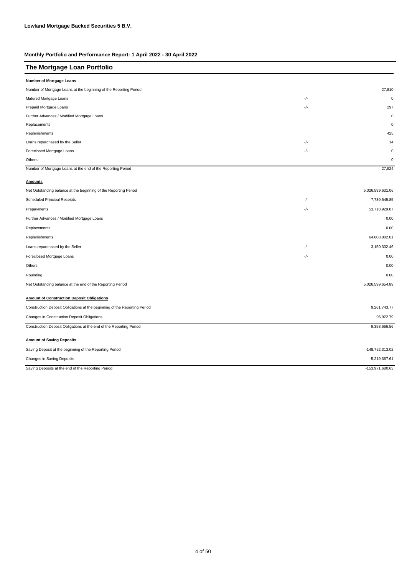| The Mortgage Loan Portfolio                                               |       |                  |
|---------------------------------------------------------------------------|-------|------------------|
| <b>Number of Mortgage Loans</b>                                           |       |                  |
| Number of Mortgage Loans at the beginning of the Reporting Period         |       | 27,810           |
| Matured Mortgage Loans                                                    | -/-   | $\mathbf 0$      |
| Prepaid Mortgage Loans                                                    | -/-   | 297              |
| Further Advances / Modified Mortgage Loans                                |       | $\mathbf 0$      |
| Replacements                                                              |       | $\mathbf 0$      |
| Replenishments                                                            |       | 425              |
| Loans repurchased by the Seller                                           | $-/-$ | 14               |
| Foreclosed Mortgage Loans                                                 | $-/-$ | $\mathbf 0$      |
| Others                                                                    |       | $\mathbf 0$      |
| Number of Mortgage Loans at the end of the Reporting Period               |       | 27,924           |
| <b>Amounts</b>                                                            |       |                  |
| Net Outstanding balance at the beginning of the Reporting Period          |       | 5,026,599,631.06 |
| Scheduled Principal Receipts                                              | -/-   | 7,739,545.85     |
| Prepayments                                                               | -/-   | 53,718,929.87    |
| Further Advances / Modified Mortgage Loans                                |       | 0.00             |
| Replacements                                                              |       | 0.00             |
| Replenishments                                                            |       | 64,608,802.01    |
| Loans repurchased by the Seller                                           | -/-   | 3,150,302.46     |
| Foreclosed Mortgage Loans                                                 | $-/-$ | 0.00             |
| Others                                                                    |       | 0.00             |
| Rounding                                                                  |       | 0.00             |
| Net Outstanding balance at the end of the Reporting Period                |       | 5,026,599,654.89 |
| <b>Amount of Construction Deposit Obligations</b>                         |       |                  |
| Construction Deposit Obligations at the beginning of the Reporting Period |       | 9,261,743.77     |
| Changes in Construction Deposit Obligations                               |       | 96,922.79        |
| Construction Deposit Obligations at the end of the Reporting Period       |       | 9,358,666.56     |
| <b>Amount of Saving Deposits</b>                                          |       |                  |
| Saving Deposit at the beginning of the Reporting Period                   |       | -148,752,313.02  |
| Changes in Saving Deposits                                                |       | $-5,219,367.61$  |
| Saving Deposits at the end of the Reporting Period                        |       | -153,971,680.63  |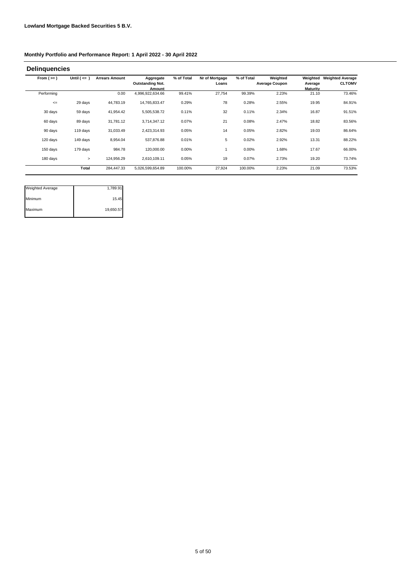| From $(>=)$ | Until $($ <= $)$ | <b>Arrears Amount</b> | Aggregate               | % of Total | Nr of Mortgage | % of Total | Weighted              | Weighted        | <b>Weighted Average</b> |
|-------------|------------------|-----------------------|-------------------------|------------|----------------|------------|-----------------------|-----------------|-------------------------|
|             |                  |                       | <b>Outstanding Not.</b> |            | Loans          |            | <b>Average Coupon</b> | Average         | <b>CLTOMV</b>           |
|             |                  |                       | Amount                  |            |                |            |                       | <b>Maturity</b> |                         |
| Performing  |                  | 0.00                  | 4,996,922,634.66        | 99.41%     | 27,754         | 99.39%     | 2.23%                 | 21.10           | 73.46%                  |
| $\leq$      | 29 days          | 44,783.19             | 14,765,833.47           | 0.29%      | 78             | 0.28%      | 2.55%                 | 19.95           | 84.91%                  |
| 30 days     | 59 days          | 41,954.42             | 5,505,538.72            | 0.11%      | 32             | 0.11%      | 2.34%                 | 16.87           | 91.51%                  |
| 60 days     | 89 days          | 31,781.12             | 3.714.347.12            | 0.07%      | 21             | 0.08%      | 2.47%                 | 18.82           | 83.56%                  |
| 90 days     | 119 days         | 31,033.49             | 2,423,314.93            | 0.05%      | 14             | 0.05%      | 2.82%                 | 19.03           | 86.64%                  |
| 120 days    | 149 days         | 8,954.04              | 537,876.88              | 0.01%      | 5              | 0.02%      | 2.92%                 | 13.31           | 88.22%                  |
| 150 days    | 179 days         | 984.78                | 120,000.00              | 0.00%      |                | 0.00%      | 1.68%                 | 17.67           | 66.00%                  |
| 180 days    | $\geq$           | 124,956.29            | 2,610,109.11            | 0.05%      | 19             | 0.07%      | 2.73%                 | 19.20           | 73.74%                  |
|             | Total            | 284,447.33            | 5,026,599,654.89        | 100.00%    | 27,924         | 100.00%    | 2.23%                 | 21.09           | 73.53%                  |

| <b>Weighted Average</b> | 1,789.91  |
|-------------------------|-----------|
| Minimum                 | 15.45     |
| Maximum                 | 19,650.57 |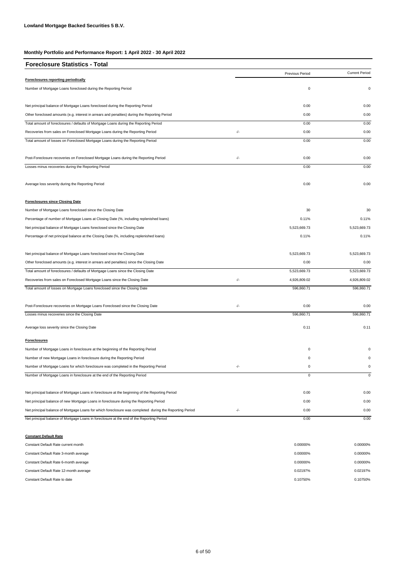| <b>Foreclosure Statistics - Total</b>                                                                   |       |                 |                       |
|---------------------------------------------------------------------------------------------------------|-------|-----------------|-----------------------|
|                                                                                                         |       | Previous Period | <b>Current Period</b> |
| Foreclosures reporting periodically                                                                     |       |                 |                       |
| Number of Mortgage Loans foreclosed during the Reporting Period                                         |       | $\mathsf 0$     | 0                     |
| Net principal balance of Mortgage Loans foreclosed during the Reporting Period                          |       | 0.00            | 0.00                  |
| Other foreclosed amounts (e.g. interest in arrears and penalties) during the Reporting Period           |       | 0.00            | 0.00                  |
| Total amount of foreclosures / defaults of Mortgage Loans during the Reporting Period                   |       | 0.00            | 0.00                  |
| Recoveries from sales on Foreclosed Mortgage Loans during the Reporting Period                          | $-/-$ | 0.00            | 0.00                  |
| Total amount of losses on Foreclosed Mortgage Loans during the Reporting Period                         |       | 0.00            | 0.00                  |
| Post-Foreclosure recoveries on Foreclosed Mortgage Loans during the Reporting Period                    | $-/-$ | 0.00            | 0.00                  |
| Losses minus recoveries during the Reporting Period                                                     |       | 0.00            | 0.00                  |
| Average loss severity during the Reporting Period                                                       |       | 0.00            | 0.00                  |
| <b>Foreclosures since Closing Date</b>                                                                  |       |                 |                       |
| Number of Mortgage Loans foreclosed since the Closing Date                                              |       | 30              | 30                    |
| Percentage of number of Mortgage Loans at Closing Date (%, including replenished loans)                 |       | 0.11%           | 0.11%                 |
| Net principal balance of Mortgage Loans foreclosed since the Closing Date                               |       | 5,523,669.73    | 5,523,669.73          |
| Percentage of net principal balance at the Closing Date (%, including replenished loans)                |       | 0.11%           | 0.11%                 |
| Net principal balance of Mortgage Loans foreclosed since the Closing Date                               |       | 5,523,669.73    | 5,523,669.73          |
| Other foreclosed amounts (e.g. interest in arrears and penalties) since the Closing Date                |       | 0.00            | 0.00                  |
| Total amount of foreclosures / defaults of Mortgage Loans since the Closing Date                        |       | 5,523,669.73    | 5,523,669.73          |
| Recoveries from sales on Foreclosed Mortgage Loans since the Closing Date                               | $-/-$ | 4,926,809.02    | 4,926,809.02          |
| Total amount of losses on Mortgage Loans foreclosed since the Closing Date                              |       | 596,860.71      | 596,860.71            |
| Post-Foreclosure recoveries on Mortgage Loans Foreclosed since the Closing Date                         | -/-   | 0.00            | 0.00                  |
| Losses minus recoveries since the Closing Date                                                          |       | 596,860.71      | 596,860.71            |
| Average loss severity since the Closing Date                                                            |       | 0.11            | 0.11                  |
| <b>Foreclosures</b>                                                                                     |       |                 |                       |
| Number of Mortgage Loans in foreclosure at the beginning of the Reporting Period                        |       | 0               | $\Omega$              |
| Number of new Mortgage Loans in foreclosure during the Reporting Period                                 |       | 0               | $\Omega$              |
| Number of Mortgage Loans for which foreclosure was completed in the Reporting Period                    |       |                 |                       |
| Number of Mortgage Loans in foreclosure at the end of the Reporting Period                              |       | 0               | $\mathbf 0$           |
| Net principal balance of Mortgage Loans in foreclosure at the beginning of the Reporting Period         |       | 0.00            | 0.00                  |
| Net principal balance of new Mortgage Loans in foreclosure during the Reporting Period                  |       | 0.00            | 0.00                  |
| Net principal balance of Mortgage Loans for which foreclosure was completed during the Reporting Period | $-/-$ | 0.00            | 0.00                  |
| Net principal balance of Mortgage Loans in foreclosure at the end of the Reporting Period               |       | 0.00            | 0.00                  |
| <b>Constant Default Rate</b>                                                                            |       |                 |                       |

| Constant Default Rate current month    | 0.00000% | 0.00000% |
|----------------------------------------|----------|----------|
| Constant Default Rate 3-month average  | 0.00000% | 0.00000% |
| Constant Default Rate 6-month average  | 0.00000% | 0.00000% |
| Constant Default Rate 12-month average | 0.02197% | 0.02197% |
| Constant Default Rate to date          | 0.10750% | 0.10750% |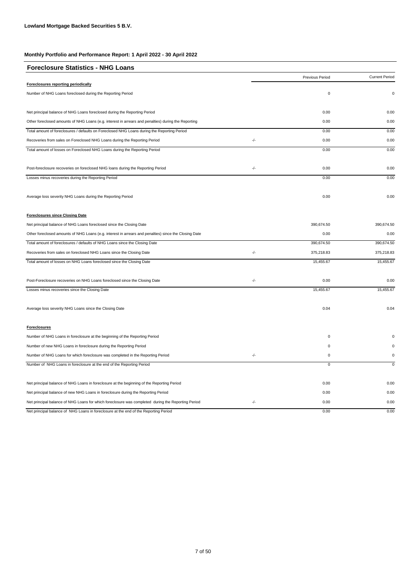| <b>Foreclosure Statistics - NHG Loans</b>                                                             |               |                 |                       |
|-------------------------------------------------------------------------------------------------------|---------------|-----------------|-----------------------|
|                                                                                                       |               | Previous Period | <b>Current Period</b> |
| <b>Foreclosures reporting periodically</b>                                                            |               |                 |                       |
| Number of NHG Loans foreclosed during the Reporting Period                                            |               | $\pmb{0}$       | $\mathbf 0$           |
| Net principal balance of NHG Loans foreclosed during the Reporting Period                             |               | 0.00            | 0.00                  |
| Other foreclosed amounts of NHG Loans (e.g. interest in arrears and penalties) during the Reporting   |               | 0.00            | 0.00                  |
| Total amount of foreclosures / defaults on Foreclosed NHG Loans during the Reporting Period           |               | 0.00            | 0.00                  |
| Recoveries from sales on Foreclosed NHG Loans during the Reporting Period                             | $\frac{1}{2}$ | 0.00            | 0.00                  |
| Total amount of losses on Foreclosed NHG Loans during the Reporting Period                            |               | 0.00            | 0.00                  |
| Post-foreclosure recoveries on foreclosed NHG loans during the Reporting Period                       | $-/-$         | 0.00            | 0.00                  |
| Losses minus recoveries during the Reporting Period                                                   |               | 0.00            | 0.00                  |
| Average loss severity NHG Loans during the Reporting Period                                           |               | 0.00            | 0.00                  |
| <b>Foreclosures since Closing Date</b>                                                                |               |                 |                       |
| Net principal balance of NHG Loans foreclosed since the Closing Date                                  |               | 390,674.50      | 390,674.50            |
| Other foreclosed amounts of NHG Loans (e.g. interest in arrears and penalties) since the Closing Date |               | 0.00            | 0.00                  |
| Total amount of foreclosures / defaults of NHG Loans since the Closing Date                           |               | 390,674.50      | 390,674.50            |
| Recoveries from sales on foreclosed NHG Loans since the Closing Date                                  | -/-           | 375,218.83      | 375,218.83            |
| Total amount of losses on NHG Loans foreclosed since the Closing Date                                 |               | 15,455.67       | 15,455.67             |
| Post-Foreclosure recoveries on NHG Loans foreclosed since the Closing Date                            | -/-           | 0.00            | 0.00                  |
| Losses minus recoveries since the Closing Date                                                        |               | 15,455.67       | 15,455.67             |
| Average loss severity NHG Loans since the Closing Date                                                |               | 0.04            | 0.04                  |
| <b>Foreclosures</b>                                                                                   |               |                 |                       |
| Number of NHG Loans in foreclosure at the beginning of the Reporting Period                           |               | $\pmb{0}$       |                       |
| Number of new NHG Loans in foreclosure during the Reporting Period                                    |               | 0               |                       |
| Number of NHG Loans for which foreclosure was completed in the Reporting Period                       | -/-           | $\pmb{0}$       | 0                     |
| Number of NHG Loans in foreclosure at the end of the Reporting Period                                 |               | $\pmb{0}$       | $\mathbf 0$           |
| Net principal balance of NHG Loans in foreclosure at the beginning of the Reporting Period            |               | 0.00            | 0.00                  |
| Net principal balance of new NHG Loans in foreclosure during the Reporting Period                     |               | 0.00            | 0.00                  |
| Net principal balance of NHG Loans for which foreclosure was completed during the Reporting Period    | $-/-$         | 0.00            | 0.00                  |
| Net principal balance of NHG Loans in foreclosure at the end of the Reporting Period                  |               | 0.00            | 0.00                  |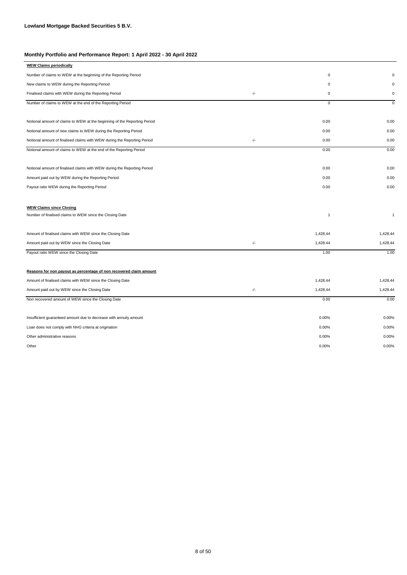| Number of claims to WEW at the beginning of the Reporting Period<br>$\mathbf 0$<br>$\Omega$<br>New claims to WEW during the Reporting Period<br>$\mathbf 0$<br>$\Omega$<br>-/-<br>$\mathbf 0$<br>$\mathsf 0$<br>Finalised claims with WEW during the Reporting Period<br>Number of claims to WEW at the end of the Reporting Period<br>$\mathbf 0$<br>$\mathbf 0$<br>0.00<br>Notional amount of claims to WEW at the beginning of the Reporting Period<br>0.00<br>0.00<br>Notional amount of new claims to WEW during the Reporting Period<br>0.00<br>$-/-$<br>0.00<br>Notional amount of finalised claims with WEW during the Reporting Period<br>0.00<br>0.00<br>Notional amount of claims to WEW at the end of the Reporting Period<br>0.00<br>0.00<br>0.00<br>Notional amount of finalised claims with WEW during the Reporting Period<br>0.00<br>Amount paid out by WEW during the Reporting Period<br>0.00<br>Payout ratio WEW during the Reporting Period<br>0.00<br>0.00<br><b>WEW Claims since Closing</b><br>Number of finalised claims to WEW since the Closing Date<br>$\overline{1}$<br>$\overline{1}$<br>Amount of finalised claims with WEW since the Closing Date<br>1,428.44<br>1,428.44<br>-/-<br>1,428.44<br>1,428.44<br>Amount paid out by WEW since the Closing Date<br>1.00<br>Payout ratio WEW since the Closing Date<br>1.00<br>Reasons for non payout as percentage of non recovered claim amount<br>1,428.44<br>1,428.44<br>Amount of finalised claims with WEW since the Closing Date<br>$-/-$<br>1,428.44<br>1,428.44<br>Amount paid out by WEW since the Closing Date<br>Non recovered amount of WEW since the Closing Date<br>0.00<br>0.00<br>0.00%<br>0.00%<br>Insufficient guaranteed amount due to decrease with annuity amount<br>0.00%<br>Loan does not comply with NHG criteria at origination<br>0.00%<br>Other administrative reasons<br>0.00%<br>0.00%<br>0.00%<br>0.00%<br>Other | <b>WEW Claims periodically</b> |  |  |
|--------------------------------------------------------------------------------------------------------------------------------------------------------------------------------------------------------------------------------------------------------------------------------------------------------------------------------------------------------------------------------------------------------------------------------------------------------------------------------------------------------------------------------------------------------------------------------------------------------------------------------------------------------------------------------------------------------------------------------------------------------------------------------------------------------------------------------------------------------------------------------------------------------------------------------------------------------------------------------------------------------------------------------------------------------------------------------------------------------------------------------------------------------------------------------------------------------------------------------------------------------------------------------------------------------------------------------------------------------------------------------------------------------------------------------------------------------------------------------------------------------------------------------------------------------------------------------------------------------------------------------------------------------------------------------------------------------------------------------------------------------------------------------------------------------------------------------------------------------------------------------------------------------------------------|--------------------------------|--|--|
|                                                                                                                                                                                                                                                                                                                                                                                                                                                                                                                                                                                                                                                                                                                                                                                                                                                                                                                                                                                                                                                                                                                                                                                                                                                                                                                                                                                                                                                                                                                                                                                                                                                                                                                                                                                                                                                                                                                          |                                |  |  |
|                                                                                                                                                                                                                                                                                                                                                                                                                                                                                                                                                                                                                                                                                                                                                                                                                                                                                                                                                                                                                                                                                                                                                                                                                                                                                                                                                                                                                                                                                                                                                                                                                                                                                                                                                                                                                                                                                                                          |                                |  |  |
|                                                                                                                                                                                                                                                                                                                                                                                                                                                                                                                                                                                                                                                                                                                                                                                                                                                                                                                                                                                                                                                                                                                                                                                                                                                                                                                                                                                                                                                                                                                                                                                                                                                                                                                                                                                                                                                                                                                          |                                |  |  |
|                                                                                                                                                                                                                                                                                                                                                                                                                                                                                                                                                                                                                                                                                                                                                                                                                                                                                                                                                                                                                                                                                                                                                                                                                                                                                                                                                                                                                                                                                                                                                                                                                                                                                                                                                                                                                                                                                                                          |                                |  |  |
|                                                                                                                                                                                                                                                                                                                                                                                                                                                                                                                                                                                                                                                                                                                                                                                                                                                                                                                                                                                                                                                                                                                                                                                                                                                                                                                                                                                                                                                                                                                                                                                                                                                                                                                                                                                                                                                                                                                          |                                |  |  |
|                                                                                                                                                                                                                                                                                                                                                                                                                                                                                                                                                                                                                                                                                                                                                                                                                                                                                                                                                                                                                                                                                                                                                                                                                                                                                                                                                                                                                                                                                                                                                                                                                                                                                                                                                                                                                                                                                                                          |                                |  |  |
|                                                                                                                                                                                                                                                                                                                                                                                                                                                                                                                                                                                                                                                                                                                                                                                                                                                                                                                                                                                                                                                                                                                                                                                                                                                                                                                                                                                                                                                                                                                                                                                                                                                                                                                                                                                                                                                                                                                          |                                |  |  |
|                                                                                                                                                                                                                                                                                                                                                                                                                                                                                                                                                                                                                                                                                                                                                                                                                                                                                                                                                                                                                                                                                                                                                                                                                                                                                                                                                                                                                                                                                                                                                                                                                                                                                                                                                                                                                                                                                                                          |                                |  |  |
|                                                                                                                                                                                                                                                                                                                                                                                                                                                                                                                                                                                                                                                                                                                                                                                                                                                                                                                                                                                                                                                                                                                                                                                                                                                                                                                                                                                                                                                                                                                                                                                                                                                                                                                                                                                                                                                                                                                          |                                |  |  |
|                                                                                                                                                                                                                                                                                                                                                                                                                                                                                                                                                                                                                                                                                                                                                                                                                                                                                                                                                                                                                                                                                                                                                                                                                                                                                                                                                                                                                                                                                                                                                                                                                                                                                                                                                                                                                                                                                                                          |                                |  |  |
|                                                                                                                                                                                                                                                                                                                                                                                                                                                                                                                                                                                                                                                                                                                                                                                                                                                                                                                                                                                                                                                                                                                                                                                                                                                                                                                                                                                                                                                                                                                                                                                                                                                                                                                                                                                                                                                                                                                          |                                |  |  |
|                                                                                                                                                                                                                                                                                                                                                                                                                                                                                                                                                                                                                                                                                                                                                                                                                                                                                                                                                                                                                                                                                                                                                                                                                                                                                                                                                                                                                                                                                                                                                                                                                                                                                                                                                                                                                                                                                                                          |                                |  |  |
|                                                                                                                                                                                                                                                                                                                                                                                                                                                                                                                                                                                                                                                                                                                                                                                                                                                                                                                                                                                                                                                                                                                                                                                                                                                                                                                                                                                                                                                                                                                                                                                                                                                                                                                                                                                                                                                                                                                          |                                |  |  |
|                                                                                                                                                                                                                                                                                                                                                                                                                                                                                                                                                                                                                                                                                                                                                                                                                                                                                                                                                                                                                                                                                                                                                                                                                                                                                                                                                                                                                                                                                                                                                                                                                                                                                                                                                                                                                                                                                                                          |                                |  |  |
|                                                                                                                                                                                                                                                                                                                                                                                                                                                                                                                                                                                                                                                                                                                                                                                                                                                                                                                                                                                                                                                                                                                                                                                                                                                                                                                                                                                                                                                                                                                                                                                                                                                                                                                                                                                                                                                                                                                          |                                |  |  |
|                                                                                                                                                                                                                                                                                                                                                                                                                                                                                                                                                                                                                                                                                                                                                                                                                                                                                                                                                                                                                                                                                                                                                                                                                                                                                                                                                                                                                                                                                                                                                                                                                                                                                                                                                                                                                                                                                                                          |                                |  |  |
|                                                                                                                                                                                                                                                                                                                                                                                                                                                                                                                                                                                                                                                                                                                                                                                                                                                                                                                                                                                                                                                                                                                                                                                                                                                                                                                                                                                                                                                                                                                                                                                                                                                                                                                                                                                                                                                                                                                          |                                |  |  |
|                                                                                                                                                                                                                                                                                                                                                                                                                                                                                                                                                                                                                                                                                                                                                                                                                                                                                                                                                                                                                                                                                                                                                                                                                                                                                                                                                                                                                                                                                                                                                                                                                                                                                                                                                                                                                                                                                                                          |                                |  |  |
|                                                                                                                                                                                                                                                                                                                                                                                                                                                                                                                                                                                                                                                                                                                                                                                                                                                                                                                                                                                                                                                                                                                                                                                                                                                                                                                                                                                                                                                                                                                                                                                                                                                                                                                                                                                                                                                                                                                          |                                |  |  |
|                                                                                                                                                                                                                                                                                                                                                                                                                                                                                                                                                                                                                                                                                                                                                                                                                                                                                                                                                                                                                                                                                                                                                                                                                                                                                                                                                                                                                                                                                                                                                                                                                                                                                                                                                                                                                                                                                                                          |                                |  |  |
|                                                                                                                                                                                                                                                                                                                                                                                                                                                                                                                                                                                                                                                                                                                                                                                                                                                                                                                                                                                                                                                                                                                                                                                                                                                                                                                                                                                                                                                                                                                                                                                                                                                                                                                                                                                                                                                                                                                          |                                |  |  |
|                                                                                                                                                                                                                                                                                                                                                                                                                                                                                                                                                                                                                                                                                                                                                                                                                                                                                                                                                                                                                                                                                                                                                                                                                                                                                                                                                                                                                                                                                                                                                                                                                                                                                                                                                                                                                                                                                                                          |                                |  |  |
|                                                                                                                                                                                                                                                                                                                                                                                                                                                                                                                                                                                                                                                                                                                                                                                                                                                                                                                                                                                                                                                                                                                                                                                                                                                                                                                                                                                                                                                                                                                                                                                                                                                                                                                                                                                                                                                                                                                          |                                |  |  |
|                                                                                                                                                                                                                                                                                                                                                                                                                                                                                                                                                                                                                                                                                                                                                                                                                                                                                                                                                                                                                                                                                                                                                                                                                                                                                                                                                                                                                                                                                                                                                                                                                                                                                                                                                                                                                                                                                                                          |                                |  |  |
|                                                                                                                                                                                                                                                                                                                                                                                                                                                                                                                                                                                                                                                                                                                                                                                                                                                                                                                                                                                                                                                                                                                                                                                                                                                                                                                                                                                                                                                                                                                                                                                                                                                                                                                                                                                                                                                                                                                          |                                |  |  |
|                                                                                                                                                                                                                                                                                                                                                                                                                                                                                                                                                                                                                                                                                                                                                                                                                                                                                                                                                                                                                                                                                                                                                                                                                                                                                                                                                                                                                                                                                                                                                                                                                                                                                                                                                                                                                                                                                                                          |                                |  |  |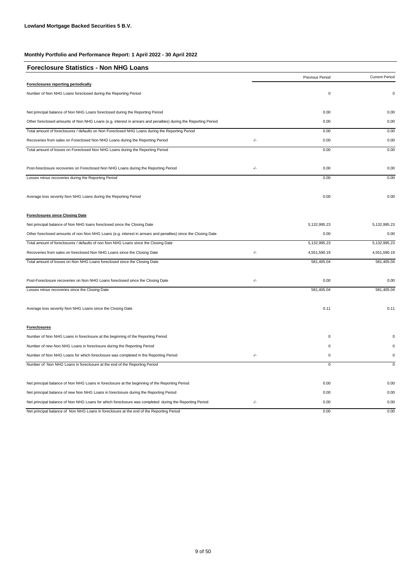| <b>Foreclosure Statistics - Non NHG Loans</b>                                                                  |       |                 |                       |
|----------------------------------------------------------------------------------------------------------------|-------|-----------------|-----------------------|
|                                                                                                                |       | Previous Period | <b>Current Period</b> |
| Foreclosures reporting periodically                                                                            |       |                 |                       |
| Number of Non NHG Loans foreclosed during the Reporting Period                                                 |       | $\mathbf 0$     | $\mathbf 0$           |
| Net principal balance of Non NHG Loans foreclosed during the Reporting Period                                  |       | 0.00            | 0.00                  |
| Other foreclosed amounts of Non NHG Loans (e.g. interest in arrears and penalties) during the Reporting Period |       | 0.00            | 0.00                  |
| Total amount of foreclosures / defaults on Non Foreclosed NHG Loans during the Reporting Period                |       | 0.00            | 0.00                  |
| Recoveries from sales on Foreclosed Non NHG Loans during the Reporting Period                                  | -/-   | 0.00            | 0.00                  |
| Total amount of losses on Foreclosed Non NHG Loans during the Reporting Period                                 |       | 0.00            | 0.00                  |
| Post-foreclosure recoveries on Foreclosed Non NHG Loans during the Reporting Period                            | $-/-$ | 0.00            | 0.00                  |
| Losses minus recoveries during the Reporting Period                                                            |       | 0.00            | 0.00                  |
| Average loss severity Non NHG Loans during the Reporting Period                                                |       | 0.00            | 0.00                  |
| <b>Foreclosures since Closing Date</b>                                                                         |       |                 |                       |
| Net principal balance of Non NHG loans foreclosed since the Closing Date                                       |       | 5,132,995.23    | 5,132,995.23          |
| Other foreclosed amounts of non Non NHG Loans (e.g. interest in arrears and penalties) since the Closing Date  |       | 0.00            | 0.00                  |
| Total amount of foreclosures / defaults of non Non NHG Loans since the Closing Date                            |       | 5,132,995.23    | 5,132,995.23          |
| Recoveries from sales on foreclosed Non NHG Loans since the Closing Date                                       | $-/-$ | 4,551,590.19    | 4,551,590.19          |
| Total amount of losses on Non NHG Loans foreclosed since the Closing Date                                      |       | 581,405.04      | 581,405.04            |
| Post-Foreclosure recoveries on Non NHG Loans foreclosed since the Closing Date                                 | -/-   | 0.00            | 0.00                  |
| Losses minus recoveries since the Closing Date                                                                 |       | 581,405.04      | 581,405.04            |
| Average loss severity Non NHG Loans since the Closing Date                                                     |       | 0.11            | 0.11                  |
| <b>Foreclosures</b>                                                                                            |       |                 |                       |
| Number of Non NHG Loans in foreclosure at the beginning of the Reporting Period                                |       | $\mathbf 0$     | $\Omega$              |
| Number of new Non NHG Loans in foreclosure during the Reporting Period                                         |       | $\mathbf 0$     | $\Omega$              |
| Number of Non NHG Loans for which foreclosure was completed in the Reporting Period                            | $-/-$ | $\mathbf 0$     | $\mathbf 0$           |
| Number of Non NHG Loans in foreclosure at the end of the Reporting Period                                      |       | $\mathbf 0$     | $\mathbf 0$           |
| Net principal balance of Non NHG Loans in foreclosure at the beginning of the Reporting Period                 |       | 0.00            | 0.00                  |
| Net principal balance of new Non NHG Loans in foreclosure during the Reporting Period                          |       | 0.00            | 0.00                  |
| Net principal balance of Non NHG Loans for which foreclosure was completed during the Reporting Period         | $-/-$ | 0.00            | 0.00                  |
| Net principal balance of Non NHG Loans in foreclosure at the end of the Reporting Period                       |       | 0.00            | 0.00                  |

9 of 50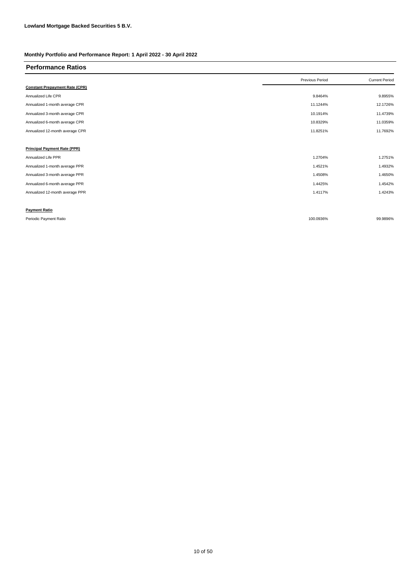| <b>Performance Ratios</b>             |                 |                       |
|---------------------------------------|-----------------|-----------------------|
|                                       | Previous Period | <b>Current Period</b> |
| <b>Constant Prepayment Rate (CPR)</b> |                 |                       |
| Annualized Life CPR                   | 9.8464%         | 9.8955%               |
| Annualized 1-month average CPR        | 11.1244%        | 12.1726%              |
| Annualized 3-month average CPR        | 10.1914%        | 11.4739%              |
| Annualized 6-month average CPR        | 10.8329%        | 11.0359%              |
| Annualized 12-month average CPR       | 11.8251%        | 11.7692%              |
|                                       |                 |                       |
| <b>Principal Payment Rate (PPR)</b>   |                 |                       |
| Annualized Life PPR                   | 1.2704%         | 1.2751%               |
| Annualized 1-month average PPR        | 1.4521%         | 1.4932%               |
| Annualized 3-month average PPR        | 1.4508%         | 1.4650%               |
| Annualized 6-month average PPR        | 1.4425%         | 1.4542%               |
| Annualized 12-month average PPR       | 1.4117%         | 1.4243%               |
|                                       |                 |                       |
| <b>Payment Ratio</b>                  |                 |                       |
| Periodic Payment Ratio                | 100.0936%       | 99.9896%              |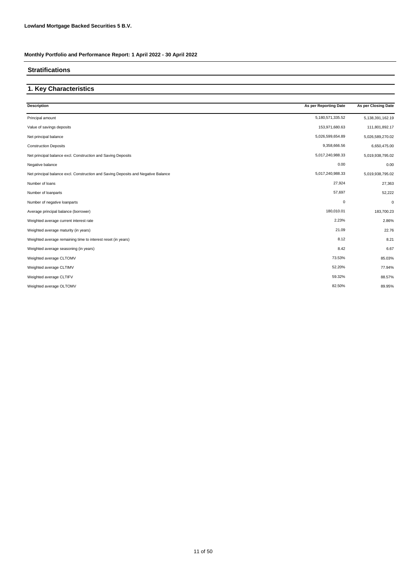### **Stratifications**

# **1. Key Characteristics**

| <b>Description</b>                                                                | As per Reporting Date | As per Closing Date |
|-----------------------------------------------------------------------------------|-----------------------|---------------------|
| Principal amount                                                                  | 5,180,571,335.52      | 5,138,391,162.19    |
| Value of savings deposits                                                         | 153,971,680.63        | 111,801,892.17      |
| Net principal balance                                                             | 5,026,599,654.89      | 5,026,589,270.02    |
| <b>Construction Deposits</b>                                                      | 9,358,666.56          | 6,650,475.00        |
| Net principal balance excl. Construction and Saving Deposits                      | 5,017,240,988.33      | 5,019,938,795.02    |
| Negative balance                                                                  | 0.00                  | 0.00                |
| Net principal balance excl. Construction and Saving Deposits and Negative Balance | 5,017,240,988.33      | 5,019,938,795.02    |
| Number of loans                                                                   | 27,924                | 27,363              |
| Number of loanparts                                                               | 57,697                | 52,222              |
| Number of negative loanparts                                                      | $\mathbf 0$           | $\mathbf 0$         |
| Average principal balance (borrower)                                              | 180,010.01            | 183,700.23          |
| Weighted average current interest rate                                            | 2.23%                 | 2.86%               |
| Weighted average maturity (in years)                                              | 21.09                 | 22.76               |
| Weighted average remaining time to interest reset (in years)                      | 8.12                  | 8.21                |
| Weighted average seasoning (in years)                                             | 8.42                  | 6.67                |
| Weighted average CLTOMV                                                           | 73.53%                | 85.03%              |
| Weighted average CLTIMV                                                           | 52.20%                | 77.94%              |
| Weighted average CLTIFV                                                           | 59.32%                | 88.57%              |
| Weighted average OLTOMV                                                           | 82.50%                | 89.95%              |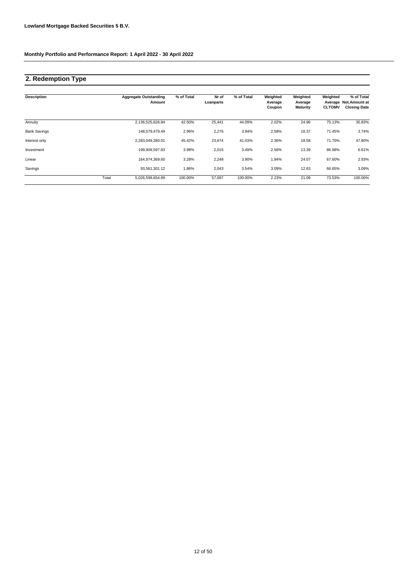# **2. Redemption Type**

| <b>Description</b>  |       | <b>Aggregate Outstanding</b><br>Amount | % of Total | Nr of<br>Loanparts | % of Total | Weighted<br>Average<br>Coupon | Weighted<br>Average<br><b>Maturity</b> | Weighted<br><b>CLTOMV</b> | % of Total<br>Average Not. Amount at<br><b>Closing Date</b> |
|---------------------|-------|----------------------------------------|------------|--------------------|------------|-------------------------------|----------------------------------------|---------------------------|-------------------------------------------------------------|
| Annuity             |       | 2,136,525,626.84                       | 42.50%     | 25,441             | 44.09%     | 2.02%                         | 24.96                                  | 75.13%                    | 35.83%                                                      |
| <b>Bank Savings</b> |       | 148.579.479.49                         | 2.96%      | 2,276              | 3.94%      | 2.58%                         | 16.37                                  | 71.45%                    | 3.74%                                                       |
| Interest only       |       | 2,283,049,280.01                       | 45.42%     | 23,674             | 41.03%     | 2.36%                         | 18.58                                  | 71.70%                    | 47.80%                                                      |
| Investment          |       | 199,909,597.83                         | 3.98%      | 2,015              | 3.49%      | 2.56%                         | 13.39                                  | 86.98%                    | 6.61%                                                       |
| Linear              |       | 164,974,369.60                         | 3.28%      | 2,248              | 3.90%      | 1.94%                         | 24.07                                  | 67.60%                    | 2.93%                                                       |
| Savings             |       | 93,561,301.12                          | 1.86%      | 2,043              | 3.54%      | 3.09%                         | 12.63                                  | 66.65%                    | 3.09%                                                       |
|                     | Total | 5,026,599,654.89                       | 100.00%    | 57,697             | 100.00%    | 2.23%                         | 21.09                                  | 73.53%                    | 100.00%                                                     |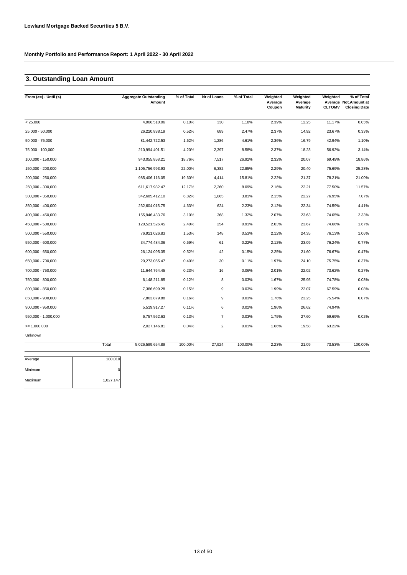# **3. Outstanding Loan Amount**

| From $(>=) -$ Until $(<)$ | <b>Aggregate Outstanding</b><br>Amount | % of Total | Nr of Loans    | % of Total | Weighted<br>Average<br>Coupon | Weighted<br>Average<br><b>Maturity</b> | Weighted<br><b>CLTOMV</b> | % of Total<br>Average Not.Amount at<br><b>Closing Date</b> |
|---------------------------|----------------------------------------|------------|----------------|------------|-------------------------------|----------------------------------------|---------------------------|------------------------------------------------------------|
| < 25.000                  | 4,906,510.06                           | 0.10%      | 330            | 1.18%      | 2.39%                         | 12.25                                  | 11.17%                    | 0.05%                                                      |
| 25,000 - 50,000           | 26,220,838.19                          | 0.52%      | 689            | 2.47%      | 2.37%                         | 14.92                                  | 23.67%                    | 0.33%                                                      |
| $50,000 - 75,000$         | 81,442,722.53                          | 1.62%      | 1,286          | 4.61%      | 2.36%                         | 16.79                                  | 42.94%                    | 1.10%                                                      |
| 75,000 - 100,000          | 210,994,401.51                         | 4.20%      | 2,397          | 8.58%      | 2.37%                         | 18.23                                  | 56.92%                    | 3.14%                                                      |
| 100,000 - 150,000         | 943,055,858.21                         | 18.76%     | 7,517          | 26.92%     | 2.32%                         | 20.07                                  | 69.49%                    | 18.86%                                                     |
| 150,000 - 200,000         | 1,105,756,993.93                       | 22.00%     | 6,382          | 22.85%     | 2.29%                         | 20.40                                  | 75.69%                    | 25.28%                                                     |
| 200,000 - 250,000         | 985,406,116.05                         | 19.60%     | 4,414          | 15.81%     | 2.22%                         | 21.37                                  | 78.21%                    | 21.00%                                                     |
| 250,000 - 300,000         | 611,617,982.47                         | 12.17%     | 2,260          | 8.09%      | 2.16%                         | 22.21                                  | 77.50%                    | 11.57%                                                     |
| 300,000 - 350,000         | 342,685,412.10                         | 6.82%      | 1,065          | 3.81%      | 2.15%                         | 22.27                                  | 76.95%                    | 7.07%                                                      |
| 350,000 - 400,000         | 232,604,015.75                         | 4.63%      | 624            | 2.23%      | 2.12%                         | 22.34                                  | 74.59%                    | 4.41%                                                      |
| 400,000 - 450,000         | 155,946,433.76                         | 3.10%      | 368            | 1.32%      | 2.07%                         | 23.63                                  | 74.05%                    | 2.33%                                                      |
| 450,000 - 500,000         | 120,521,526.45                         | 2.40%      | 254            | 0.91%      | 2.03%                         | 23.67                                  | 74.66%                    | 1.67%                                                      |
| 500,000 - 550,000         | 76,921,026.83                          | 1.53%      | 148            | 0.53%      | 2.12%                         | 24.35                                  | 76.13%                    | 1.06%                                                      |
| 550,000 - 600,000         | 34,774,484.06                          | 0.69%      | 61             | 0.22%      | 2.12%                         | 23.09                                  | 76.24%                    | 0.77%                                                      |
| 600,000 - 650,000         | 26,124,095.35                          | 0.52%      | 42             | 0.15%      | 2.25%                         | 21.60                                  | 76.67%                    | 0.47%                                                      |
| 650,000 - 700,000         | 20,273,055.47                          | 0.40%      | 30             | 0.11%      | 1.97%                         | 24.10                                  | 75.75%                    | 0.37%                                                      |
| 700,000 - 750,000         | 11,644,764.45                          | 0.23%      | 16             | 0.06%      | 2.01%                         | 22.02                                  | 73.62%                    | 0.27%                                                      |
| 750,000 - 800,000         | 6,148,211.85                           | 0.12%      | 8              | 0.03%      | 1.67%                         | 25.95                                  | 74.78%                    | 0.08%                                                      |
| 800,000 - 850,000         | 7,386,699.28                           | 0.15%      | 9              | 0.03%      | 1.99%                         | 22.07                                  | 67.59%                    | 0.08%                                                      |
| 850,000 - 900,000         | 7,863,879.88                           | 0.16%      | 9              | 0.03%      | 1.76%                         | 23.25                                  | 75.54%                    | 0.07%                                                      |
| 900,000 - 950,000         | 5,519,917.27                           | 0.11%      | 6              | 0.02%      | 1.96%                         | 26.62                                  | 74.94%                    |                                                            |
| 950,000 - 1,000,000       | 6,757,562.63                           | 0.13%      | $\overline{7}$ | 0.03%      | 1.75%                         | 27.60                                  | 69.69%                    | 0.02%                                                      |
| $= 1.000.000$             | 2,027,146.81                           | 0.04%      | $\overline{2}$ | 0.01%      | 1.66%                         | 19.58                                  | 63.22%                    |                                                            |
| Unknown                   |                                        |            |                |            |                               |                                        |                           |                                                            |
|                           | Total<br>5,026,599,654.89              | 100.00%    | 27,924         | 100.00%    | 2.23%                         | 21.09                                  | 73.53%                    | 100.00%                                                    |

| Average | 180,010   |
|---------|-----------|
| Minimum |           |
| Maximum | 1,027,147 |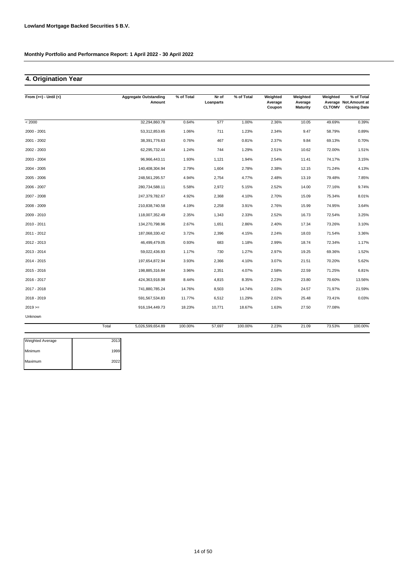# **4. Origination Year**

| From $(>=) -$ Until $(<)$ |       | <b>Aggregate Outstanding</b><br>Amount | % of Total | Nr of<br>Loanparts | % of Total | Weighted<br>Average | Weighted<br>Average | Weighted      | % of Total<br>Average Not.Amount at |
|---------------------------|-------|----------------------------------------|------------|--------------------|------------|---------------------|---------------------|---------------|-------------------------------------|
|                           |       |                                        |            |                    |            | Coupon              | <b>Maturity</b>     | <b>CLTOMV</b> | <b>Closing Date</b>                 |
| < 2000                    |       | 32,294,860.78                          | 0.64%      | 577                | 1.00%      | 2.36%               | 10.05               | 49.69%        | 0.39%                               |
| 2000 - 2001               |       | 53,312,853.65                          | 1.06%      | 711                | 1.23%      | 2.34%               | 9.47                | 58.79%        | 0.89%                               |
| 2001 - 2002               |       | 38,391,776.63                          | 0.76%      | 467                | 0.81%      | 2.37%               | 9.84                | 69.13%        | 0.70%                               |
| 2002 - 2003               |       | 62,295,732.44                          | 1.24%      | 744                | 1.29%      | 2.51%               | 10.62               | 72.00%        | 1.51%                               |
| 2003 - 2004               |       | 96,966,443.11                          | 1.93%      | 1,121              | 1.94%      | 2.54%               | 11.41               | 74.17%        | 3.15%                               |
| $2004 - 2005$             |       | 140,408,304.94                         | 2.79%      | 1,604              | 2.78%      | 2.38%               | 12.15               | 71.24%        | 4.13%                               |
| 2005 - 2006               |       | 248,561,295.57                         | 4.94%      | 2,754              | 4.77%      | 2.48%               | 13.19               | 79.48%        | 7.85%                               |
| 2006 - 2007               |       | 280,734,588.11                         | 5.58%      | 2,972              | 5.15%      | 2.52%               | 14.00               | 77.16%        | 9.74%                               |
| 2007 - 2008               |       | 247,379,782.67                         | 4.92%      | 2,368              | 4.10%      | 2.70%               | 15.09               | 75.34%        | 8.01%                               |
| 2008 - 2009               |       | 210,838,740.58                         | 4.19%      | 2,258              | 3.91%      | 2.76%               | 15.99               | 74.95%        | 3.64%                               |
| 2009 - 2010               |       | 118,007,352.49                         | 2.35%      | 1,343              | 2.33%      | 2.52%               | 16.73               | 72.54%        | 3.25%                               |
| 2010 - 2011               |       | 134,270,798.96                         | 2.67%      | 1,651              | 2.86%      | 2.40%               | 17.34               | 73.26%        | 3.10%                               |
| 2011 - 2012               |       | 187,068,330.42                         | 3.72%      | 2,396              | 4.15%      | 2.24%               | 18.03               | 71.54%        | 3.36%                               |
| 2012 - 2013               |       | 46,499,479.05                          | 0.93%      | 683                | 1.18%      | 2.99%               | 18.74               | 72.34%        | 1.17%                               |
| 2013 - 2014               |       | 59,022,436.93                          | 1.17%      | 730                | 1.27%      | 2.97%               | 19.25               | 69.36%        | 1.52%                               |
| 2014 - 2015               |       | 197,654,872.94                         | 3.93%      | 2,366              | 4.10%      | 3.07%               | 21.51               | 70.20%        | 5.62%                               |
| 2015 - 2016               |       | 198,885,316.84                         | 3.96%      | 2,351              | 4.07%      | 2.58%               | 22.59               | 71.25%        | 6.81%                               |
| 2016 - 2017               |       | 424,363,918.98                         | 8.44%      | 4,815              | 8.35%      | 2.23%               | 23.80               | 70.60%        | 13.56%                              |
| 2017 - 2018               |       | 741,880,785.24                         | 14.76%     | 8,503              | 14.74%     | 2.03%               | 24.57               | 71.97%        | 21.59%                              |
| 2018 - 2019               |       | 591,567,534.83                         | 11.77%     | 6,512              | 11.29%     | 2.02%               | 25.48               | 73.41%        | 0.03%                               |
| $2019 ==$                 |       | 916, 194, 449. 73                      | 18.23%     | 10,771             | 18.67%     | 1.63%               | 27.50               | 77.08%        |                                     |
| Unknown                   |       |                                        |            |                    |            |                     |                     |               |                                     |
|                           | Total | 5,026,599,654.89                       | 100.00%    | 57,697             | 100.00%    | 2.23%               | 21.09               | 73.53%        | 100.00%                             |

| <b>Weighted Average</b> | 2013 |
|-------------------------|------|
| Minimum                 | 1999 |
| Maximum                 | 2022 |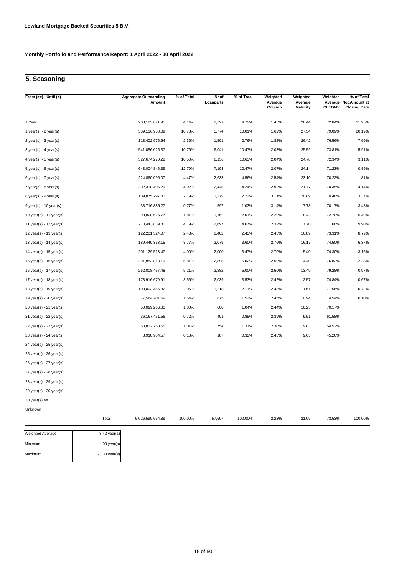# **5. Seasoning**

| From $(>=) -$ Until $(<)$ | <b>Aggregate Outstanding</b><br>Amount | % of Total | Nr of<br>Loanparts | % of Total | Weighted<br>Average<br>Coupon | Weighted<br>Average<br><b>Maturity</b> | Weighted<br><b>CLTOMV</b> | % of Total<br>Average Not.Amount at<br><b>Closing Date</b> |
|---------------------------|----------------------------------------|------------|--------------------|------------|-------------------------------|----------------------------------------|---------------------------|------------------------------------------------------------|
| 1 Year                    | 208,125,671.95                         | 4.14%      | 2,721              | 4.72%      | 1.45%                         | 28.44                                  | 72.84%                    | 11.95%                                                     |
| 1 year(s) - $2$ year(s)   | 539,116,958.09                         | 10.73%     | 5,774              | 10.01%     | 1.62%                         | 27.54                                  | 79.09%                    | 20.19%                                                     |
| $2$ year(s) - $3$ year(s) | 118,402,976.64                         | 2.36%      | 1,591              | 2.76%      | 1.82%                         | 26.42                                  | 76.56%                    | 7.69%                                                      |
| $3$ year(s) - 4 year(s)   | 541,056,025.37                         | 10.76%     | 6,041              | 10.47%     | 2.03%                         | 25.59                                  | 73.81%                    | 5.91%                                                      |
| 4 year(s) - 5 year(s)     | 527,674,270.28                         | 10.50%     | 6,136              | 10.63%     | 2.04%                         | 24.78                                  | 72.34%                    | 3.11%                                                      |
| $5$ year(s) - 6 year(s)   | 643,004,846.39                         | 12.79%     | 7,193              | 12.47%     | 2.07%                         | 24.14                                  | 71.23%                    | 0.89%                                                      |
| 6 year(s) - $7$ year(s)   | 224,860,095.07                         | 4.47%      | 2,633              | 4.56%      | 2.54%                         | 23.10                                  | 70.22%                    | 1.81%                                                      |
| $7$ year(s) - 8 year(s)   | 202,318,405.29                         | 4.02%      | 2,448              | 4.24%      | 2.92%                         | 21.77                                  | 70.35%                    | 4.14%                                                      |
| $8$ year(s) - $9$ year(s) | 109,875,797.81                         | 2.19%      | 1,279              | 2.22%      | 3.11%                         | 20.89                                  | 70.48%                    | 3.37%                                                      |
| $9$ year(s) - 10 year(s)  | 38,716,886.27                          | 0.77%      | 597                | 1.03%      | 3.14%                         | 17.78                                  | 70.17%                    | 3.48%                                                      |
| 10 year(s) - 11 year(s)   | 90,828,625.77                          | 1.81%      | 1,162              | 2.01%      | 2.29%                         | 18.42                                  | 72.70%                    | 5.49%                                                      |
| 11 year(s) - $12$ year(s) | 210,443,839.80                         | 4.19%      | 2,697              | 4.67%      | 2.32%                         | 17.70                                  | 71.68%                    | 9.90%                                                      |
| 12 year(s) - 13 year(s)   | 122,201,324.07                         | 2.43%      | 1,402              | 2.43%      | 2.43%                         | 16.89                                  | 73.31%                    | 8.79%                                                      |
| 13 year(s) - 14 year(s)   | 189,449,333.15                         | 3.77%      | 2,079              | 3.60%      | 2.76%                         | 16.17                                  | 74.50%                    | 5.37%                                                      |
| 14 year(s) - 15 year(s)   | 201,129,513.47                         | 4.00%      | 2,000              | 3.47%      | 2.70%                         | 15.40                                  | 74.30%                    | 3.16%                                                      |
| 15 year(s) - 16 year(s)   | 291,883,818.19                         | 5.81%      | 2,898              | 5.02%      | 2.59%                         | 14.40                                  | 76.82%                    | 2.28%                                                      |
| 16 year(s) - 17 year(s)   | 262,008,467.48                         | 5.21%      | 2,882              | 5.00%      | 2.50%                         | 13.49                                  | 79.28%                    | 0.97%                                                      |
| 17 year(s) - 18 year(s)   | 178,916,679.91                         | 3.56%      | 2,039              | 3.53%      | 2.42%                         | 12.57                                  | 74.84%                    | 0.67%                                                      |
| 18 year(s) - 19 year(s)   | 103,003,456.82                         | 2.05%      | 1,218              | 2.11%      | 2.48%                         | 11.61                                  | 71.56%                    | 0.72%                                                      |
| 19 year(s) - 20 year(s)   | 77,564,201.59                          | 1.54%      | 875                | 1.52%      | 2.45%                         | 10.94                                  | 74.54%                    | 0.10%                                                      |
| 20 year(s) - 21 year(s)   | 50,099,266.80                          | 1.00%      | 600                | 1.04%      | 2.44%                         | 10.25                                  | 70.17%                    |                                                            |
| 21 year(s) - 22 year(s)   | 36, 167, 451.56                        | 0.72%      | 491                | 0.85%      | 2.39%                         | 9.51                                   | 61.58%                    |                                                            |
| 22 year(s) - 23 year(s)   | 50,832,758.55                          | 1.01%      | 754                | 1.31%      | 2.30%                         | 9.83                                   | 54.52%                    |                                                            |
| 23 year(s) - 24 year(s)   | 8,918,984.57                           | 0.18%      | 187                | 0.32%      | 2.43%                         | 9.63                                   | 45.26%                    |                                                            |
| 24 year(s) - 25 year(s)   |                                        |            |                    |            |                               |                                        |                           |                                                            |
| 25 year(s) - 26 year(s)   |                                        |            |                    |            |                               |                                        |                           |                                                            |
| 26 year(s) - 27 year(s)   |                                        |            |                    |            |                               |                                        |                           |                                                            |
| 27 year(s) - 28 year(s)   |                                        |            |                    |            |                               |                                        |                           |                                                            |
| 28 year(s) - 29 year(s)   |                                        |            |                    |            |                               |                                        |                           |                                                            |
| 29 year(s) - 30 year(s)   |                                        |            |                    |            |                               |                                        |                           |                                                            |

30 year(s) >=

Unknown

| Total | 5,026,599,654.89 | 100.00% | 57,697 | 100.00% | 2.23% | 21.09 | 73.53% | 100.00% |
|-------|------------------|---------|--------|---------|-------|-------|--------|---------|
|       |                  |         |        |         |       |       |        |         |

| <b>Weighted Average</b> | $8.42$ year(s) |
|-------------------------|----------------|
| Minimum                 | $.08$ year(s)  |
| Maximum                 | 23.33 year(s)  |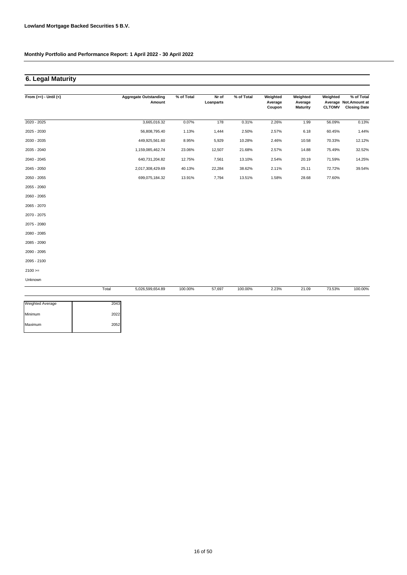Maximum 2052

**Monthly Portfolio and Performance Report: 1 April 2022 - 30 April 2022**

# **6. Legal Maturity**

| From $(>=) -$ Until $(<)$ |       | <b>Aggregate Outstanding</b><br>Amount | % of Total | Nr of<br>Loanparts | % of Total | Weighted<br>Average<br>Coupon | Weighted<br>Average<br><b>Maturity</b> | Weighted<br><b>CLTOMV</b> | % of Total<br>Average Not.Amount at<br><b>Closing Date</b> |
|---------------------------|-------|----------------------------------------|------------|--------------------|------------|-------------------------------|----------------------------------------|---------------------------|------------------------------------------------------------|
| 2020 - 2025               |       | 3,665,016.32                           | 0.07%      | 178                | 0.31%      | 2.26%                         | 1.99                                   | 56.09%                    | 0.13%                                                      |
| 2025 - 2030               |       | 56,808,795.40                          | 1.13%      | 1,444              | 2.50%      | 2.57%                         | 6.18                                   | 60.45%                    | 1.44%                                                      |
| 2030 - 2035               |       | 449,925,561.60                         | 8.95%      | 5,929              | 10.28%     | 2.46%                         | 10.58                                  | 70.33%                    | 12.12%                                                     |
| 2035 - 2040               |       | 1,159,085,462.74                       | 23.06%     | 12,507             | 21.68%     | 2.57%                         | 14.88                                  | 75.49%                    | 32.52%                                                     |
| 2040 - 2045               |       | 640,731,204.82                         | 12.75%     | 7,561              | 13.10%     | 2.54%                         | 20.19                                  | 71.59%                    | 14.25%                                                     |
| 2045 - 2050               |       | 2,017,308,429.69                       | 40.13%     | 22,284             | 38.62%     | 2.11%                         | 25.11                                  | 72.72%                    | 39.54%                                                     |
| 2050 - 2055               |       | 699,075,184.32                         | 13.91%     | 7,794              | 13.51%     | 1.58%                         | 28.68                                  | 77.60%                    |                                                            |
| 2055 - 2060               |       |                                        |            |                    |            |                               |                                        |                           |                                                            |
| 2060 - 2065               |       |                                        |            |                    |            |                               |                                        |                           |                                                            |
| 2065 - 2070               |       |                                        |            |                    |            |                               |                                        |                           |                                                            |
| 2070 - 2075               |       |                                        |            |                    |            |                               |                                        |                           |                                                            |
| 2075 - 2080               |       |                                        |            |                    |            |                               |                                        |                           |                                                            |
| 2080 - 2085               |       |                                        |            |                    |            |                               |                                        |                           |                                                            |
| 2085 - 2090               |       |                                        |            |                    |            |                               |                                        |                           |                                                            |
| 2090 - 2095               |       |                                        |            |                    |            |                               |                                        |                           |                                                            |
| 2095 - 2100               |       |                                        |            |                    |            |                               |                                        |                           |                                                            |
| $2100 >=$                 |       |                                        |            |                    |            |                               |                                        |                           |                                                            |
| Unknown                   |       |                                        |            |                    |            |                               |                                        |                           |                                                            |
|                           | Total | 5,026,599,654.89                       | 100.00%    | 57,697             | 100.00%    | 2.23%                         | 21.09                                  | 73.53%                    | 100.00%                                                    |
| <b>Weighted Average</b>   | 2043  |                                        |            |                    |            |                               |                                        |                           |                                                            |
| Minimum                   | 2022  |                                        |            |                    |            |                               |                                        |                           |                                                            |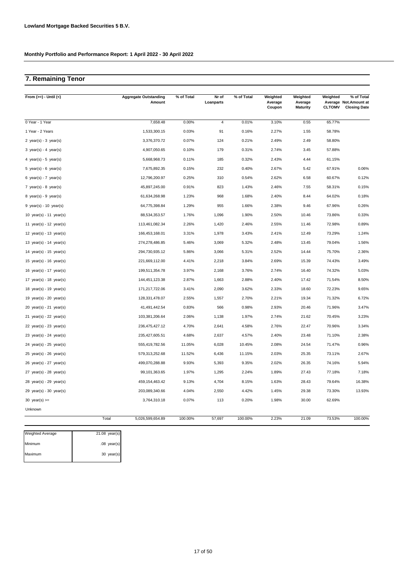# **7. Remaining Tenor**

| From $(>=) -$ Until $(<)$   |       | <b>Aggregate Outstanding</b><br>Amount | % of Total | Nr of<br>Loanparts | % of Total | Weighted<br>Average<br>Coupon | Weighted<br>Average<br><b>Maturity</b> | Weighted<br><b>CLTOMV</b> | % of Total<br>Average Not. Amount at<br><b>Closing Date</b> |
|-----------------------------|-------|----------------------------------------|------------|--------------------|------------|-------------------------------|----------------------------------------|---------------------------|-------------------------------------------------------------|
| 0 Year - 1 Year             |       | 7,658.48                               | 0.00%      | $\overline{4}$     | 0.01%      | 3.10%                         | 0.55                                   | 65.77%                    |                                                             |
| 1 Year - 2 Years            |       | 1,533,300.15                           | 0.03%      | 91                 | 0.16%      | 2.27%                         | 1.55                                   | 58.78%                    |                                                             |
| 2 year(s) - $3$ year(s)     |       | 3,376,370.72                           | 0.07%      | 124                | 0.21%      | 2.49%                         | 2.49                                   | 58.80%                    |                                                             |
| $3$ year(s) - 4 year(s)     |       | 4,907,050.65                           | 0.10%      | 179                | 0.31%      | 2.74%                         | 3.45                                   | 57.88%                    |                                                             |
| 4 year(s) - 5 year(s)       |       | 5,668,968.73                           | 0.11%      | 185                | 0.32%      | 2.43%                         | 4.44                                   | 61.15%                    |                                                             |
| 5 year(s) - $6$ year(s)     |       | 7,675,892.35                           | 0.15%      | 232                | 0.40%      | 2.67%                         | 5.42                                   | 67.91%                    | 0.06%                                                       |
| 6 year(s) - 7 year(s)       |       | 12,796,200.97                          | 0.25%      | 310                | 0.54%      | 2.62%                         | 6.58                                   | 60.67%                    | 0.12%                                                       |
| 7 year(s) - 8 year(s)       |       | 45,897,245.00                          | 0.91%      | 823                | 1.43%      | 2.46%                         | 7.55                                   | 58.31%                    | 0.15%                                                       |
| 8 year(s) - $9$ year(s)     |       | 61,634,268.98                          | 1.23%      | 968                | 1.68%      | 2.40%                         | 8.44                                   | 64.02%                    | 0.18%                                                       |
| $9$ year(s) - 10 year(s)    |       | 64,775,398.84                          | 1.29%      | 955                | 1.66%      | 2.38%                         | 9.46                                   | 67.96%                    | 0.26%                                                       |
| 10 $year(s) - 11$ $year(s)$ |       | 88,534,353.57                          | 1.76%      | 1,096              | 1.90%      | 2.50%                         | 10.46                                  | 73.86%                    | 0.33%                                                       |
| 11 year(s) - 12 year(s)     |       | 113,461,082.34                         | 2.26%      | 1,420              | 2.46%      | 2.55%                         | 11.46                                  | 72.98%                    | 0.89%                                                       |
| 12 $year(s) - 13$ $year(s)$ |       | 166,453,168.01                         | 3.31%      | 1,978              | 3.43%      | 2.41%                         | 12.49                                  | 73.29%                    | 1.24%                                                       |
| 13 year(s) - 14 year(s)     |       | 274,278,486.85                         | 5.46%      | 3,069              | 5.32%      | 2.48%                         | 13.45                                  | 79.04%                    | 1.56%                                                       |
| 14 year(s) - 15 year(s)     |       | 294,730,935.12                         | 5.86%      | 3,066              | 5.31%      | 2.52%                         | 14.44                                  | 75.70%                    | 2.36%                                                       |
| 15 year(s) - 16 year(s)     |       | 221,669,112.00                         | 4.41%      | 2,218              | 3.84%      | 2.69%                         | 15.39                                  | 74.43%                    | 3.49%                                                       |
| 16 $year(s) - 17$ $year(s)$ |       | 199,511,354.78                         | 3.97%      | 2,168              | 3.76%      | 2.74%                         | 16.40                                  | 74.32%                    | 5.03%                                                       |
| 17 year(s) - 18 year(s)     |       | 144,451,123.38                         | 2.87%      | 1,663              | 2.88%      | 2.40%                         | 17.42                                  | 71.54%                    | 8.50%                                                       |
| 18 year(s) - 19 year(s)     |       | 171,217,722.06                         | 3.41%      | 2,090              | 3.62%      | 2.33%                         | 18.60                                  | 72.23%                    | 9.65%                                                       |
| 19 year(s) - 20 year(s)     |       | 128,331,478.07                         | 2.55%      | 1,557              | 2.70%      | 2.21%                         | 19.34                                  | 71.32%                    | 6.72%                                                       |
| 20 year(s) - 21 year(s)     |       | 41,491,442.54                          | 0.83%      | 566                | 0.98%      | 2.93%                         | 20.46                                  | 71.96%                    | 3.47%                                                       |
| 21 year(s) - 22 year(s)     |       | 103,381,206.64                         | 2.06%      | 1,138              | 1.97%      | 2.74%                         | 21.62                                  | 70.45%                    | 3.23%                                                       |
| 22 year(s) - 23 year(s)     |       | 236,475,427.12                         | 4.70%      | 2,641              | 4.58%      | 2.76%                         | 22.47                                  | 70.96%                    | 3.34%                                                       |
| 23 year(s) - 24 year(s)     |       | 235,427,605.51                         | 4.68%      | 2,637              | 4.57%      | 2.40%                         | 23.48                                  | 71.10%                    | 2.38%                                                       |
| 24 year(s) - 25 year(s)     |       | 555,419,782.56                         | 11.05%     | 6,028              | 10.45%     | 2.08%                         | 24.54                                  | 71.47%                    | 0.96%                                                       |
| $25$ year(s) - $26$ year(s) |       | 579,313,252.68                         | 11.52%     | 6,436              | 11.15%     | 2.03%                         | 25.35                                  | 73.11%                    | 2.67%                                                       |
| $26$ year(s) - $27$ year(s) |       | 499,070,288.88                         | 9.93%      | 5,393              | 9.35%      | 2.02%                         | 26.35                                  | 74.16%                    | 5.94%                                                       |
| 27 year(s) - 28 year(s)     |       | 99,101,363.65                          | 1.97%      | 1,295              | 2.24%      | 1.89%                         | 27.43                                  | 77.18%                    | 7.18%                                                       |
| 28 year(s) - 29 year(s)     |       | 459, 154, 463. 42                      | 9.13%      | 4,704              | 8.15%      | 1.63%                         | 28.43                                  | 79.64%                    | 16.38%                                                      |
| 29 year(s) - 30 year(s)     |       | 203,089,340.66                         | 4.04%      | 2,550              | 4.42%      | 1.45%                         | 29.38                                  | 73.30%                    | 13.93%                                                      |
| 30 year(s) $>=$             |       | 3,764,310.18                           | 0.07%      | 113                | 0.20%      | 1.98%                         | 30.00                                  | 62.69%                    |                                                             |
| Unknown                     |       |                                        |            |                    |            |                               |                                        |                           |                                                             |
|                             | Total | 5,026,599,654.89                       | 100.00%    | 57,697             | 100.00%    | 2.23%                         | 21.09                                  | 73.53%                    | 100.00%                                                     |

| $21.08$ year(s) |
|-----------------|
| $.08$ year(s)   |
| 30 year(s)      |
|                 |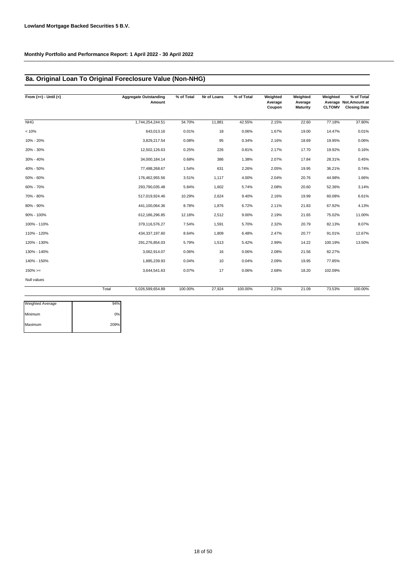# **8a. Original Loan To Original Foreclosure Value (Non-NHG)**

| From $(>=) -$ Until $(<)$ |       | <b>Aggregate Outstanding</b><br>Amount | % of Total | Nr of Loans | % of Total | Weighted<br>Average<br>Coupon | Weighted<br>Average<br><b>Maturity</b> | Weighted<br><b>CLTOMV</b> | % of Total<br>Average Not.Amount at<br><b>Closing Date</b> |
|---------------------------|-------|----------------------------------------|------------|-------------|------------|-------------------------------|----------------------------------------|---------------------------|------------------------------------------------------------|
| NHG                       |       | 1,744,254,244.51                       | 34.70%     | 11,881      | 42.55%     | 2.15%                         | 22.60                                  | 77.18%                    | 37.80%                                                     |
| < 10%                     |       | 643,013.16                             | 0.01%      | 18          | 0.06%      | 1.67%                         | 19.00                                  | 14.47%                    | 0.01%                                                      |
| 10% - 20%                 |       | 3,829,217.54                           | 0.08%      | 95          | 0.34%      | 2.16%                         | 18.69                                  | 19.95%                    | 0.06%                                                      |
| 20% - 30%                 |       | 12,502,126.63                          | 0.25%      | 226         | 0.81%      | 2.17%                         | 17.70                                  | 19.92%                    | 0.16%                                                      |
| 30% - 40%                 |       | 34,000,184.14                          | 0.68%      | 386         | 1.38%      | 2.07%                         | 17.84                                  | 28.31%                    | 0.45%                                                      |
| 40% - 50%                 |       | 77,488,268.67                          | 1.54%      | 631         | 2.26%      | 2.05%                         | 19.95                                  | 36.21%                    | 0.74%                                                      |
| 50% - 60%                 |       | 176,462,955.56                         | 3.51%      | 1,117       | 4.00%      | 2.04%                         | 20.76                                  | 44.98%                    | 1.66%                                                      |
| 60% - 70%                 |       | 293,790,035.48                         | 5.84%      | 1,602       | 5.74%      | 2.08%                         | 20.60                                  | 52.36%                    | 3.14%                                                      |
| 70% - 80%                 |       | 517.019.924.46                         | 10.29%     | 2,624       | 9.40%      | 2.16%                         | 19.99                                  | 60.08%                    | 6.61%                                                      |
| 80% - 90%                 |       | 441,100,064.36                         | 8.78%      | 1,876       | 6.72%      | 2.11%                         | 21.83                                  | 67.92%                    | 4.13%                                                      |
| 90% - 100%                |       | 612,186,296.85                         | 12.18%     | 2,512       | 9.00%      | 2.19%                         | 21.65                                  | 75.02%                    | 11.00%                                                     |
| 100% - 110%               |       | 379,116,576.27                         | 7.54%      | 1,591       | 5.70%      | 2.32%                         | 20.79                                  | 82.13%                    | 8.07%                                                      |
| 110% - 120%               |       | 434,337,197.60                         | 8.64%      | 1,809       | 6.48%      | 2.47%                         | 20.77                                  | 91.01%                    | 12.67%                                                     |
| 120% - 130%               |       | 291,276,854.03                         | 5.79%      | 1,513       | 5.42%      | 2.99%                         | 14.22                                  | 100.19%                   | 13.50%                                                     |
| 130% - 140%               |       | 3,062,914.07                           | 0.06%      | 16          | 0.06%      | 2.08%                         | 21.56                                  | 82.27%                    |                                                            |
| 140% - 150%               |       | 1,885,239.93                           | 0.04%      | 10          | 0.04%      | 2.09%                         | 19.95                                  | 77.85%                    |                                                            |
| $150\%>=$                 |       | 3,644,541.63                           | 0.07%      | 17          | 0.06%      | 2.68%                         | 18.20                                  | 102.09%                   |                                                            |
| Null values               |       |                                        |            |             |            |                               |                                        |                           |                                                            |
|                           | Total | 5,026,599,654.89                       | 100.00%    | 27,924      | 100.00%    | 2.23%                         | 21.09                                  | 73.53%                    | 100.00%                                                    |

| <b>Weighted Average</b> | 94%  |
|-------------------------|------|
| Minimum                 | 0%   |
| Maximum                 | 209% |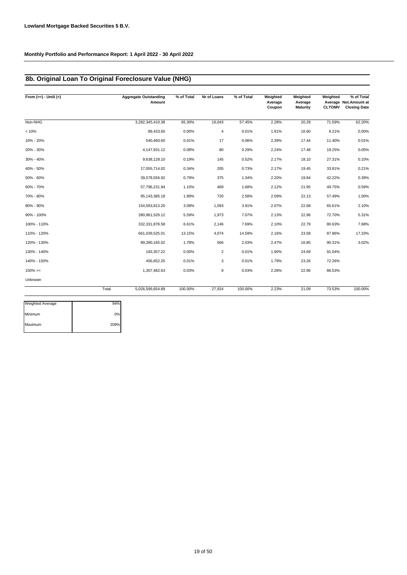# **8b. Original Loan To Original Foreclosure Value (NHG)**

| From $(>=) -$ Until $(<)$ |       | <b>Aggregate Outstanding</b><br>Amount | % of Total | Nr of Loans    | % of Total | Weighted<br>Average<br>Coupon | Weighted<br>Average<br><b>Maturity</b> | Weighted<br><b>CLTOMV</b> | % of Total<br>Average Not. Amount at<br><b>Closing Date</b> |
|---------------------------|-------|----------------------------------------|------------|----------------|------------|-------------------------------|----------------------------------------|---------------------------|-------------------------------------------------------------|
| Non-NHG                   |       | 3,282,345,410.38                       | 65.30%     | 16,043         | 57.45%     | 2.28%                         | 20.29                                  | 71.59%                    | 62.20%                                                      |
| < 10%                     |       | 89,433.60                              | 0.00%      | $\overline{4}$ | 0.01%      | 1.91%                         | 16.60                                  | 9.21%                     | 0.00%                                                       |
| 10% - 20%                 |       | 540,460.60                             | 0.01%      | 17             | 0.06%      | 2.39%                         | 17.44                                  | 11.40%                    | 0.01%                                                       |
| 20% - 30%                 |       | 4,147,931.12                           | 0.08%      | 80             | 0.29%      | 2.24%                         | 17.48                                  | 19.25%                    | 0.05%                                                       |
| 30% - 40%                 |       | 9,638,128.10                           | 0.19%      | 145            | 0.52%      | 2.17%                         | 18.10                                  | 27.31%                    | 0.10%                                                       |
| 40% - 50%                 |       | 17,055,714.02                          | 0.34%      | 205            | 0.73%      | 2.17%                         | 19.45                                  | 33.81%                    | 0.21%                                                       |
| 50% - 60%                 |       | 39,578,556.92                          | 0.79%      | 375            | 1.34%      | 2.20%                         | 19.84                                  | 42.22%                    | 0.39%                                                       |
| 60% - 70%                 |       | 57,796,231.94                          | 1.15%      | 469            | 1.68%      | 2.12%                         | 21.95                                  | 49.75%                    | 0.59%                                                       |
| 70% - 80%                 |       | 95, 143, 385. 18                       | 1.89%      | 720            | 2.58%      | 2.09%                         | 22.13                                  | 57.49%                    | 1.00%                                                       |
| 80% - 90%                 |       | 154,593,813.20                         | 3.08%      | 1,093          | 3.91%      | 2.07%                         | 22.68                                  | 65.61%                    | 2.10%                                                       |
| 90% - 100%                |       | 280,961,529.12                         | 5.59%      | 1,973          | 7.07%      | 2.13%                         | 22.96                                  | 72.70%                    | 5.31%                                                       |
| 100% - 110%               |       | 332,331,878.58                         | 6.61%      | 2,146          | 7.69%      | 2.10%                         | 22.79                                  | 80.63%                    | 7.68%                                                       |
| 110% - 120%               |       | 661,039,525.01                         | 13.15%     | 4,074          | 14.59%     | 2.16%                         | 23.58                                  | 87.86%                    | 17.33%                                                      |
| 120% - 130%               |       | 89,390,165.02                          | 1.78%      | 566            | 2.03%      | 2.47%                         | 16.85                                  | 90.31%                    | 3.02%                                                       |
| 130% - 140%               |       | 183,357.22                             | 0.00%      | $\overline{2}$ | 0.01%      | 1.90%                         | 24.69                                  | 91.04%                    |                                                             |
| 140% - 150%               |       | 456,652.25                             | 0.01%      | 3              | 0.01%      | 1.79%                         | 23.26                                  | 72.26%                    |                                                             |
| $150\% >=$                |       | 1,307,482.63                           | 0.03%      | 9              | 0.03%      | 2.28%                         | 22.96                                  | 86.53%                    |                                                             |
| Unknown                   |       |                                        |            |                |            |                               |                                        |                           |                                                             |
|                           | Total | 5,026,599,654.89                       | 100.00%    | 27,924         | 100.00%    | 2.23%                         | 21.09                                  | 73.53%                    | 100.00%                                                     |

| Weighted Average | 94%  |
|------------------|------|
| Minimum          | 0%   |
| Maximum          | 209% |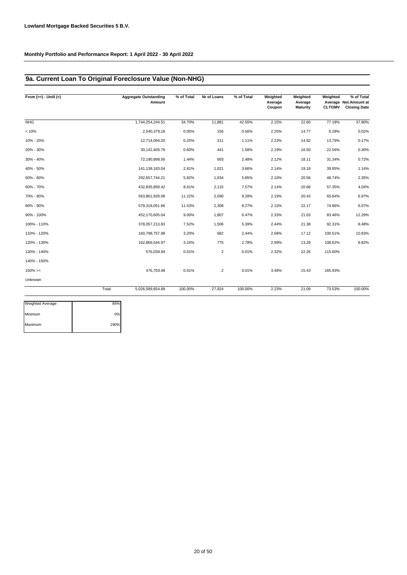# **9a. Current Loan To Original Foreclosure Value (Non-NHG)**

| From $(>=) -$ Until $(<)$ |       | <b>Aggregate Outstanding</b><br>Amount | % of Total | Nr of Loans    | % of Total | Weighted<br>Average<br>Coupon | Weighted<br>Average<br><b>Maturity</b> | Weighted<br><b>CLTOMV</b> | % of Total<br>Average Not.Amount at<br><b>Closing Date</b> |
|---------------------------|-------|----------------------------------------|------------|----------------|------------|-------------------------------|----------------------------------------|---------------------------|------------------------------------------------------------|
| NHG                       |       | 1,744,254,244.51                       | 34.70%     | 11,881         | 42.55%     | 2.15%                         | 22.60                                  | 77.18%                    | 37.80%                                                     |
| < 10%                     |       | 2,540,379.18                           | 0.05%      | 156            | 0.56%      | 2.25%                         | 14.77                                  | 6.28%                     | 0.02%                                                      |
| 10% - 20%                 |       | 12,714,094.20                          | 0.25%      | 311            | 1.11%      | 2.23%                         | 14.92                                  | 13.79%                    | 0.17%                                                      |
| 20% - 30%                 |       | 30, 142, 405.79                        | 0.60%      | 441            | 1.58%      | 2.19%                         | 16.50                                  | 22.56%                    | 0.30%                                                      |
| 30% - 40%                 |       | 72,190,898.56                          | 1.44%      | 693            | 2.48%      | 2.12%                         | 18.11                                  | 31.34%                    | 0.72%                                                      |
| 40% - 50%                 |       | 141, 138, 183. 04                      | 2.81%      | 1,021          | 3.66%      | 2.14%                         | 19.19                                  | 39.95%                    | 1.14%                                                      |
| 50% - 60%                 |       | 292,657,744.21                         | 5.82%      | 1,634          | 5.85%      | 2.10%                         | 20.56                                  | 48.74%                    | 2.35%                                                      |
| 60% - 70%                 |       | 432,835,859.42                         | 8.61%      | 2,115          | 7.57%      | 2.14%                         | 20.68                                  | 57.35%                    | 4.04%                                                      |
| 70% - 80%                 |       | 563,861,929.08                         | 11.22%     | 2,590          | 9.28%      | 2.19%                         | 20.43                                  | 65.84%                    | 6.97%                                                      |
| 80% - 90%                 |       | 579,318,051.66                         | 11.53%     | 2,308          | 8.27%      | 2.15%                         | 22.17                                  | 74.86%                    | 6.07%                                                      |
| 90% - 100%                |       | 452,170,605.04                         | 9.00%      | 1,807          | 6.47%      | 2.33%                         | 21.03                                  | 83.46%                    | 12.29%                                                     |
| 100% - 110%               |       | 378,057,213.83                         | 7.52%      | 1,506          | 5.39%      | 2.44%                         | 21.38                                  | 92.31%                    | 8.48%                                                      |
| 110% - 120%               |       | 160,798,757.98                         | 3.20%      | 682            | 2.44%      | 2.68%                         | 17.12                                  | 100.51%                   | 10.83%                                                     |
| 120% - 130%               |       | 162,866,544.97                         | 3.24%      | 775            | 2.78%      | 2.99%                         | 13.29                                  | 108.62%                   | 8.82%                                                      |
| 130% - 140%               |       | 576,039.94                             | 0.01%      | $\overline{2}$ | 0.01%      | 2.32%                         | 22.26                                  | 115.60%                   |                                                            |
| 140% - 150%               |       |                                        |            |                |            |                               |                                        |                           |                                                            |
| $150\%>=$                 |       | 476.703.48                             | 0.01%      | $\overline{2}$ | 0.01%      | 3.48%                         | 15.43                                  | 165.93%                   |                                                            |
| Unknown                   |       |                                        |            |                |            |                               |                                        |                           |                                                            |
|                           | Total | 5.026.599.654.89                       | 100.00%    | 27.924         | 100.00%    | 2.23%                         | 21.09                                  | 73.53%                    | 100.00%                                                    |

| Weighted Average | 84%  |
|------------------|------|
| Minimum          | 0%   |
| Maximum          | 190% |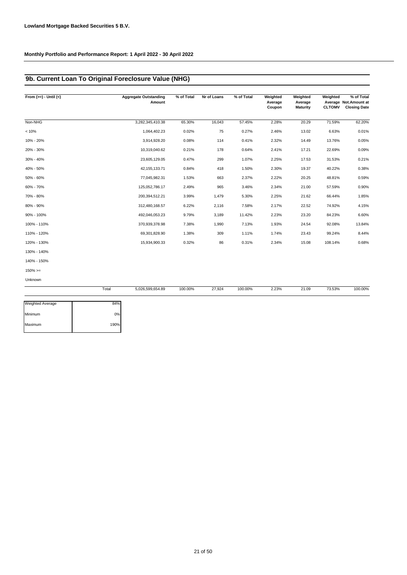# **9b. Current Loan To Original Foreclosure Value (NHG)**

| From $(>=) -$ Until $(<)$ |       | <b>Aggregate Outstanding</b><br>Amount | % of Total | Nr of Loans | % of Total | Weighted<br>Average<br>Coupon | Weighted<br>Average<br><b>Maturity</b> | Weighted<br><b>CLTOMV</b> | % of Total<br>Average Not. Amount at<br><b>Closing Date</b> |
|---------------------------|-------|----------------------------------------|------------|-------------|------------|-------------------------------|----------------------------------------|---------------------------|-------------------------------------------------------------|
| Non-NHG                   |       | 3,282,345,410.38                       | 65.30%     | 16,043      | 57.45%     | 2.28%                         | 20.29                                  | 71.59%                    | 62.20%                                                      |
| < 10%                     |       | 1,064,402.23                           | 0.02%      | 75          | 0.27%      | 2.46%                         | 13.02                                  | 6.63%                     | 0.01%                                                       |
| 10% - 20%                 |       | 3,914,928.20                           | 0.08%      | 114         | 0.41%      | 2.32%                         | 14.49                                  | 13.76%                    | 0.05%                                                       |
| 20% - 30%                 |       | 10,319,040.62                          | 0.21%      | 178         | 0.64%      | 2.41%                         | 17.21                                  | 22.69%                    | 0.09%                                                       |
| 30% - 40%                 |       | 23,605,129.05                          | 0.47%      | 299         | 1.07%      | 2.25%                         | 17.53                                  | 31.53%                    | 0.21%                                                       |
| 40% - 50%                 |       | 42, 155, 133.71                        | 0.84%      | 418         | 1.50%      | 2.30%                         | 19.37                                  | 40.22%                    | 0.38%                                                       |
| 50% - 60%                 |       | 77,045,982.31                          | 1.53%      | 663         | 2.37%      | 2.22%                         | 20.25                                  | 48.81%                    | 0.59%                                                       |
| 60% - 70%                 |       | 125,052,786.17                         | 2.49%      | 965         | 3.46%      | 2.34%                         | 21.00                                  | 57.59%                    | 0.90%                                                       |
| 70% - 80%                 |       | 200,394,512.21                         | 3.99%      | 1,479       | 5.30%      | 2.25%                         | 21.62                                  | 66.44%                    | 1.85%                                                       |
| 80% - 90%                 |       | 312,480,168.57                         | 6.22%      | 2,116       | 7.58%      | 2.17%                         | 22.52                                  | 74.92%                    | 4.15%                                                       |
| 90% - 100%                |       | 492,046,053.23                         | 9.79%      | 3,189       | 11.42%     | 2.23%                         | 23.20                                  | 84.23%                    | 6.60%                                                       |
| 100% - 110%               |       | 370,939,378.98                         | 7.38%      | 1,990       | 7.13%      | 1.93%                         | 24.54                                  | 92.08%                    | 13.84%                                                      |
| 110% - 120%               |       | 69,301,828.90                          | 1.38%      | 309         | 1.11%      | 1.74%                         | 23.43                                  | 99.24%                    | 8.44%                                                       |
| 120% - 130%               |       | 15,934,900.33                          | 0.32%      | 86          | 0.31%      | 2.34%                         | 15.08                                  | 108.14%                   | 0.68%                                                       |
| 130% - 140%               |       |                                        |            |             |            |                               |                                        |                           |                                                             |
| 140% - 150%               |       |                                        |            |             |            |                               |                                        |                           |                                                             |
| $150\% >=$                |       |                                        |            |             |            |                               |                                        |                           |                                                             |
| Unknown                   |       |                                        |            |             |            |                               |                                        |                           |                                                             |
|                           | Total | 5,026,599,654.89                       | 100.00%    | 27,924      | 100.00%    | 2.23%                         | 21.09                                  | 73.53%                    | 100.00%                                                     |

| Weighted Average | 84%  |
|------------------|------|
| Minimum          | 0%   |
| Maximum          | 190% |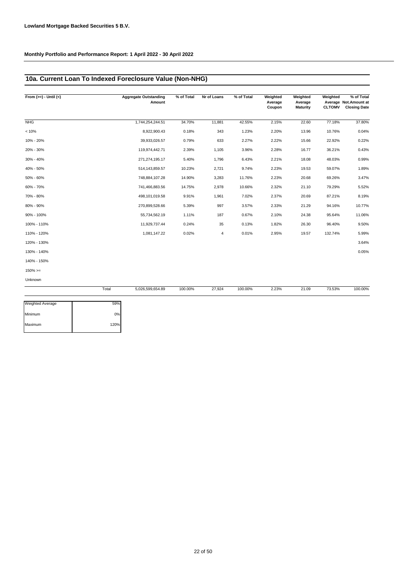# **10a. Current Loan To Indexed Foreclosure Value (Non-NHG)**

| From $(>=) -$ Until $(<)$ |       | <b>Aggregate Outstanding</b><br>Amount | % of Total | Nr of Loans    | % of Total | Weighted<br>Average<br>Coupon | Weighted<br>Average<br><b>Maturity</b> | Weighted<br><b>CLTOMV</b> | % of Total<br>Average Not. Amount at<br><b>Closing Date</b> |
|---------------------------|-------|----------------------------------------|------------|----------------|------------|-------------------------------|----------------------------------------|---------------------------|-------------------------------------------------------------|
| NHG                       |       | 1,744,254,244.51                       | 34.70%     | 11,881         | 42.55%     | 2.15%                         | 22.60                                  | 77.18%                    | 37.80%                                                      |
| < 10%                     |       | 8,922,900.43                           | 0.18%      | 343            | 1.23%      | 2.20%                         | 13.96                                  | 10.76%                    | 0.04%                                                       |
| 10% - 20%                 |       | 39,933,026.57                          | 0.79%      | 633            | 2.27%      | 2.22%                         | 15.66                                  | 22.92%                    | 0.22%                                                       |
| 20% - 30%                 |       | 119,974,442.71                         | 2.39%      | 1,105          | 3.96%      | 2.28%                         | 16.77                                  | 36.21%                    | 0.43%                                                       |
| 30% - 40%                 |       | 271,274,195.17                         | 5.40%      | 1,796          | 6.43%      | 2.21%                         | 18.08                                  | 48.03%                    | 0.99%                                                       |
| 40% - 50%                 |       | 514,143,859.57                         | 10.23%     | 2,721          | 9.74%      | 2.23%                         | 19.53                                  | 59.07%                    | 1.89%                                                       |
| 50% - 60%                 |       | 748,884,107.28                         | 14.90%     | 3,283          | 11.76%     | 2.23%                         | 20.68                                  | 69.26%                    | 3.47%                                                       |
| 60% - 70%                 |       | 741,466,883.56                         | 14.75%     | 2,978          | 10.66%     | 2.32%                         | 21.10                                  | 79.29%                    | 5.52%                                                       |
| 70% - 80%                 |       | 498,101,019.58                         | 9.91%      | 1,961          | 7.02%      | 2.37%                         | 20.69                                  | 87.21%                    | 8.19%                                                       |
| 80% - 90%                 |       | 270,899,528.66                         | 5.39%      | 997            | 3.57%      | 2.33%                         | 21.29                                  | 94.16%                    | 10.77%                                                      |
| 90% - 100%                |       | 55,734,562.19                          | 1.11%      | 187            | 0.67%      | 2.10%                         | 24.38                                  | 95.64%                    | 11.06%                                                      |
| 100% - 110%               |       | 11,929,737.44                          | 0.24%      | 35             | 0.13%      | 1.82%                         | 26.30                                  | 96.40%                    | 9.50%                                                       |
| 110% - 120%               |       | 1,081,147.22                           | 0.02%      | $\overline{4}$ | 0.01%      | 2.95%                         | 19.57                                  | 132.74%                   | 5.99%                                                       |
| 120% - 130%               |       |                                        |            |                |            |                               |                                        |                           | 3.64%                                                       |
| 130% - 140%               |       |                                        |            |                |            |                               |                                        |                           | 0.05%                                                       |
| 140% - 150%               |       |                                        |            |                |            |                               |                                        |                           |                                                             |
| $150\%>=$                 |       |                                        |            |                |            |                               |                                        |                           |                                                             |
| Unknown                   |       |                                        |            |                |            |                               |                                        |                           |                                                             |
|                           | Total | 5,026,599,654.89                       | 100.00%    | 27,924         | 100.00%    | 2.23%                         | 21.09                                  | 73.53%                    | 100.00%                                                     |

| <b>Weighted Average</b> | 59%  |
|-------------------------|------|
| Minimum                 | 0%   |
| Maximum                 | 120% |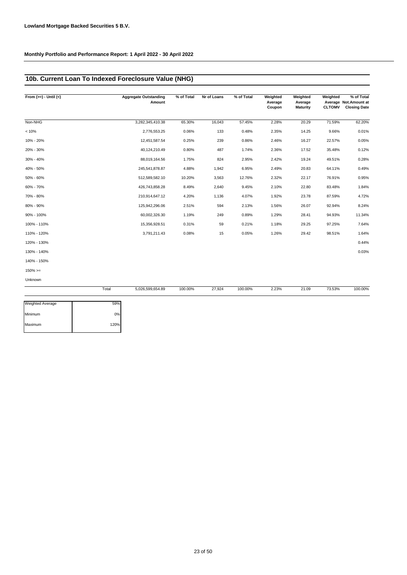# **10b. Current Loan To Indexed Foreclosure Value (NHG)**

| From $(>=) -$ Until $(<)$ |       | <b>Aggregate Outstanding</b><br>Amount | % of Total | Nr of Loans | % of Total | Weighted<br>Average<br>Coupon | Weighted<br>Average<br><b>Maturity</b> | Weighted<br><b>CLTOMV</b> | % of Total<br>Average Not.Amount at<br><b>Closing Date</b> |
|---------------------------|-------|----------------------------------------|------------|-------------|------------|-------------------------------|----------------------------------------|---------------------------|------------------------------------------------------------|
| Non-NHG                   |       | 3,282,345,410.38                       | 65.30%     | 16,043      | 57.45%     | 2.28%                         | 20.29                                  | 71.59%                    | 62.20%                                                     |
| < 10%                     |       | 2,776,553.25                           | 0.06%      | 133         | 0.48%      | 2.35%                         | 14.25                                  | 9.66%                     | 0.01%                                                      |
| 10% - 20%                 |       | 12,451,587.54                          | 0.25%      | 239         | 0.86%      | 2.46%                         | 16.27                                  | 22.57%                    | 0.05%                                                      |
| 20% - 30%                 |       | 40,124,210.49                          | 0.80%      | 487         | 1.74%      | 2.36%                         | 17.52                                  | 35.48%                    | 0.12%                                                      |
| 30% - 40%                 |       | 88,019,164.56                          | 1.75%      | 824         | 2.95%      | 2.42%                         | 19.24                                  | 49.51%                    | 0.28%                                                      |
| 40% - 50%                 |       | 245,541,878.87                         | 4.88%      | 1,942       | 6.95%      | 2.49%                         | 20.83                                  | 64.11%                    | 0.49%                                                      |
| 50% - 60%                 |       | 512,589,582.10                         | 10.20%     | 3,563       | 12.76%     | 2.32%                         | 22.17                                  | 76.91%                    | 0.95%                                                      |
| 60% - 70%                 |       | 426,743,858.28                         | 8.49%      | 2,640       | 9.45%      | 2.10%                         | 22.80                                  | 83.48%                    | 1.84%                                                      |
| 70% - 80%                 |       | 210,914,647.12                         | 4.20%      | 1,136       | 4.07%      | 1.92%                         | 23.78                                  | 87.59%                    | 4.72%                                                      |
| 80% - 90%                 |       | 125,942,296.06                         | 2.51%      | 594         | 2.13%      | 1.56%                         | 26.07                                  | 92.94%                    | 8.24%                                                      |
| 90% - 100%                |       | 60,002,326.30                          | 1.19%      | 249         | 0.89%      | 1.29%                         | 28.41                                  | 94.93%                    | 11.34%                                                     |
| 100% - 110%               |       | 15,356,928.51                          | 0.31%      | 59          | 0.21%      | 1.18%                         | 29.25                                  | 97.25%                    | 7.64%                                                      |
| 110% - 120%               |       | 3,791,211.43                           | 0.08%      | 15          | 0.05%      | 1.26%                         | 29.42                                  | 98.51%                    | 1.64%                                                      |
| 120% - 130%               |       |                                        |            |             |            |                               |                                        |                           | 0.44%                                                      |
| 130% - 140%               |       |                                        |            |             |            |                               |                                        |                           | 0.03%                                                      |
| 140% - 150%               |       |                                        |            |             |            |                               |                                        |                           |                                                            |
| $150\%>=$                 |       |                                        |            |             |            |                               |                                        |                           |                                                            |
| Unknown                   |       |                                        |            |             |            |                               |                                        |                           |                                                            |
|                           | Total | 5,026,599,654.89                       | 100.00%    | 27,924      | 100.00%    | 2.23%                         | 21.09                                  | 73.53%                    | 100.00%                                                    |

| <b>Weighted Average</b> | 59%  |
|-------------------------|------|
| Minimum                 | 0%   |
| Maximum                 | 120% |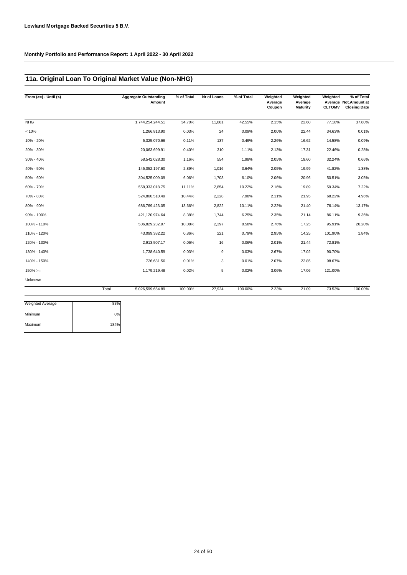# **11a. Original Loan To Original Market Value (Non-NHG)**

| From $(>=) -$ Until $(<)$ |       | <b>Aggregate Outstanding</b><br>Amount | % of Total | Nr of Loans | % of Total | Weighted<br>Average<br>Coupon | Weighted<br>Average<br>Maturity | Weighted<br><b>CLTOMV</b> | % of Total<br>Average Not.Amount at<br><b>Closing Date</b> |
|---------------------------|-------|----------------------------------------|------------|-------------|------------|-------------------------------|---------------------------------|---------------------------|------------------------------------------------------------|
| NHG                       |       | 1,744,254,244.51                       | 34.70%     | 11,881      | 42.55%     | 2.15%                         | 22.60                           | 77.18%                    | 37.80%                                                     |
| < 10%                     |       | 1,266,813.90                           | 0.03%      | 24          | 0.09%      | 2.00%                         | 22.44                           | 34.63%                    | 0.01%                                                      |
| 10% - 20%                 |       | 5,325,070.66                           | 0.11%      | 137         | 0.49%      | 2.26%                         | 16.62                           | 14.58%                    | 0.09%                                                      |
| 20% - 30%                 |       | 20,063,699.91                          | 0.40%      | 310         | 1.11%      | 2.13%                         | 17.31                           | 22.46%                    | 0.28%                                                      |
| 30% - 40%                 |       | 58,542,028.30                          | 1.16%      | 554         | 1.98%      | 2.05%                         | 19.60                           | 32.24%                    | 0.66%                                                      |
| 40% - 50%                 |       | 145,052,197.60                         | 2.89%      | 1,016       | 3.64%      | 2.05%                         | 19.99                           | 41.82%                    | 1.38%                                                      |
| 50% - 60%                 |       | 304,525,009.09                         | 6.06%      | 1,703       | 6.10%      | 2.06%                         | 20.96                           | 50.51%                    | 3.05%                                                      |
| 60% - 70%                 |       | 558,333,018.75                         | 11.11%     | 2,854       | 10.22%     | 2.16%                         | 19.89                           | 59.34%                    | 7.22%                                                      |
| 70% - 80%                 |       | 524,860,510.49                         | 10.44%     | 2,228       | 7.98%      | 2.11%                         | 21.95                           | 68.22%                    | 4.96%                                                      |
| 80% - 90%                 |       | 686,769,423.05                         | 13.66%     | 2,822       | 10.11%     | 2.22%                         | 21.40                           | 76.14%                    | 13.17%                                                     |
| 90% - 100%                |       | 421,120,974.64                         | 8.38%      | 1,744       | 6.25%      | 2.35%                         | 21.14                           | 86.11%                    | 9.36%                                                      |
| 100% - 110%               |       | 506,829,232.97                         | 10.08%     | 2,397       | 8.58%      | 2.76%                         | 17.25                           | 95.91%                    | 20.20%                                                     |
| 110% - 120%               |       | 43,099,382.22                          | 0.86%      | 221         | 0.79%      | 2.95%                         | 14.25                           | 101.90%                   | 1.84%                                                      |
| 120% - 130%               |       | 2,913,507.17                           | 0.06%      | 16          | 0.06%      | 2.01%                         | 21.44                           | 72.81%                    |                                                            |
| 130% - 140%               |       | 1,738,640.59                           | 0.03%      | 9           | 0.03%      | 2.67%                         | 17.02                           | 90.70%                    |                                                            |
| 140% - 150%               |       | 726,681.56                             | 0.01%      | 3           | 0.01%      | 2.07%                         | 22.85                           | 98.67%                    |                                                            |
| $150\%>=$                 |       | 1,179,219.48                           | 0.02%      | 5           | 0.02%      | 3.06%                         | 17.06                           | 121.00%                   |                                                            |
| Unknown                   |       |                                        |            |             |            |                               |                                 |                           |                                                            |
|                           | Total | 5,026,599,654.89                       | 100.00%    | 27,924      | 100.00%    | 2.23%                         | 21.09                           | 73.53%                    | 100.00%                                                    |

| <b>Weighted Average</b> | 83%  |
|-------------------------|------|
| Minimum                 | 0%   |
| Maximum                 | 184% |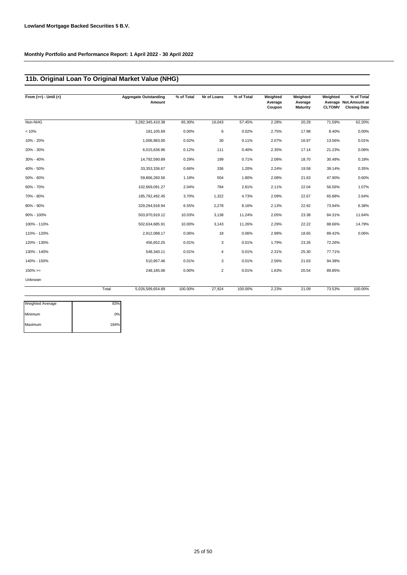# **11b. Original Loan To Original Market Value (NHG)**

| From $(>=) -$ Until $(<)$ |       | <b>Aggregate Outstanding</b><br>Amount | % of Total | Nr of Loans    | % of Total | Weighted<br>Average<br>Coupon | Weighted<br>Average<br><b>Maturity</b> | Weighted<br><b>CLTOMV</b> | % of Total<br>Average Not.Amount at<br><b>Closing Date</b> |
|---------------------------|-------|----------------------------------------|------------|----------------|------------|-------------------------------|----------------------------------------|---------------------------|------------------------------------------------------------|
| Non-NHG                   |       | 3,282,345,410.38                       | 65.30%     | 16,043         | 57.45%     | 2.28%                         | 20.29                                  | 71.59%                    | 62.20%                                                     |
| < 10%                     |       | 181,105.69                             | 0.00%      | 6              | 0.02%      | 2.75%                         | 17.98                                  | 8.40%                     | 0.00%                                                      |
| 10% - 20%                 |       | 1,006,983.00                           | 0.02%      | 30             | 0.11%      | 2.07%                         | 16.97                                  | 13.56%                    | 0.01%                                                      |
| 20% - 30%                 |       | 6,015,636.96                           | 0.12%      | 111            | 0.40%      | 2.35%                         | 17.14                                  | 21.23%                    | 0.08%                                                      |
| 30% - 40%                 |       | 14,792,590.89                          | 0.29%      | 199            | 0.71%      | 2.08%                         | 18.70                                  | 30.48%                    | 0.18%                                                      |
| 40% - 50%                 |       | 33, 353, 336.67                        | 0.66%      | 336            | 1.20%      | 2.24%                         | 19.58                                  | 39.14%                    | 0.35%                                                      |
| 50% - 60%                 |       | 59,866,260.56                          | 1.19%      | 504            | 1.80%      | 2.08%                         | 21.63                                  | 47.90%                    | 0.60%                                                      |
| 60% - 70%                 |       | 102,669,091.27                         | 2.04%      | 784            | 2.81%      | 2.11%                         | 22.04                                  | 56.56%                    | 1.07%                                                      |
| 70% - 80%                 |       | 185,792,492.45                         | 3.70%      | 1,322          | 4.73%      | 2.09%                         | 22.67                                  | 65.88%                    | 2.64%                                                      |
| 80% - 90%                 |       | 329,294,918.94                         | 6.55%      | 2,278          | 8.16%      | 2.13%                         | 22.92                                  | 73.94%                    | 6.38%                                                      |
| 90% - 100%                |       | 503,970,919.12                         | 10.03%     | 3,138          | 11.24%     | 2.05%                         | 23.38                                  | 84.31%                    | 11.64%                                                     |
| 100% - 110%               |       | 502,634,685.91                         | 10.00%     | 3,143          | 11.26%     | 2.29%                         | 22.22                                  | 88.66%                    | 14.79%                                                     |
| 110% - 120%               |       | 2,912,088.17                           | 0.06%      | 18             | 0.06%      | 2.98%                         | 18.65                                  | 89.42%                    | 0.06%                                                      |
| 120% - 130%               |       | 456,652.25                             | 0.01%      | 3              | 0.01%      | 1.79%                         | 23.26                                  | 72.26%                    |                                                            |
| 130% - 140%               |       | 548,340.11                             | 0.01%      | $\overline{4}$ | 0.01%      | 2.31%                         | 25.30                                  | 77.71%                    |                                                            |
| 140% - 150%               |       | 510,957.46                             | 0.01%      | 3              | 0.01%      | 2.56%                         | 21.63                                  | 94.38%                    |                                                            |
| $150\%>=$                 |       | 248,185.06                             | 0.00%      | $\overline{2}$ | 0.01%      | 1.63%                         | 20.54                                  | 89.85%                    |                                                            |
| Unknown                   |       |                                        |            |                |            |                               |                                        |                           |                                                            |
|                           | Total | 5,026,599,654.89                       | 100.00%    | 27,924         | 100.00%    | 2.23%                         | 21.09                                  | 73.53%                    | 100.00%                                                    |

| Weighted Average | 83%  |
|------------------|------|
| Minimum          | 0%   |
| Maximum          | 184% |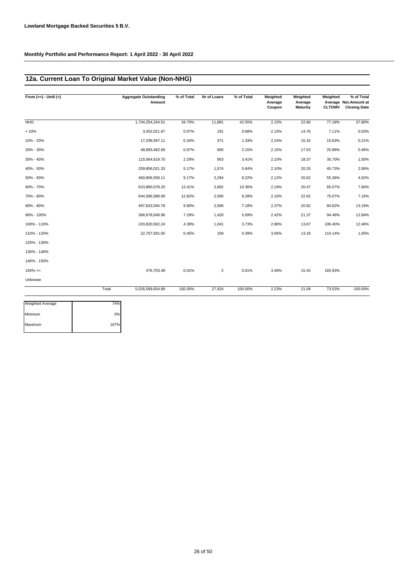# **12a. Current Loan To Original Market Value (Non-NHG)**

| From $(>=) -$ Until $(<)$ |       | <b>Aggregate Outstanding</b><br>Amount | % of Total | Nr of Loans | % of Total | Weighted<br>Average<br>Coupon | Weighted<br>Average<br><b>Maturity</b> | Weighted<br><b>CLTOMV</b> | % of Total<br>Average Not. Amount at<br><b>Closing Date</b> |
|---------------------------|-------|----------------------------------------|------------|-------------|------------|-------------------------------|----------------------------------------|---------------------------|-------------------------------------------------------------|
| NHG                       |       | 1,744,254,244.51                       | 34.70%     | 11,881      | 42.55%     | 2.15%                         | 22.60                                  | 77.18%                    | 37.80%                                                      |
| < 10%                     |       | 3,452,021.67                           | 0.07%      | 191         | 0.68%      | 2.15%                         | 14.76                                  | 7.11%                     | 0.03%                                                       |
| 10% - 20%                 |       | 17,299,597.11                          | 0.34%      | 371         | 1.33%      | 2.24%                         | 15.16                                  | 15.63%                    | 0.21%                                                       |
| 20% - 30%                 |       | 48,883,482.69                          | 0.97%      | 600         | 2.15%      | 2.15%                         | 17.53                                  | 25.88%                    | 0.46%                                                       |
| 30% - 40%                 |       | 115,064,619.70                         | 2.29%      | 953         | 3.41%      | 2.15%                         | 18.37                                  | 35.70%                    | 1.05%                                                       |
| 40% - 50%                 |       | 259,856,021.33                         | 5.17%      | 1,574       | 5.64%      | 2.10%                         | 20.33                                  | 45.73%                    | 2.06%                                                       |
| 50% - 60%                 |       | 460,806,559.11                         | 9.17%      | 2,294       | 8.22%      | 2.12%                         | 20.62                                  | 55.36%                    | 4.02%                                                       |
| 60% - 70%                 |       | 623,880,078.20                         | 12.41%     | 2,892       | 10.36%     | 2.19%                         | 20.47                                  | 65.07%                    | 7.66%                                                       |
| 70% - 80%                 |       | 644,586,589.06                         | 12.82%     | 2,590       | 9.28%      | 2.16%                         | 22.02                                  | 75.07%                    | 7.16%                                                       |
| 80% - 90%                 |       | 497,833,594.78                         | 9.90%      | 2,006       | 7.18%      | 2.37%                         | 20.92                                  | 84.82%                    | 13.19%                                                      |
| 90% - 100%                |       | 366,678,049.96                         | 7.29%      | 1,420       | 5.09%      | 2.42%                         | 21.37                                  | 94.48%                    | 12.84%                                                      |
| 100% - 110%               |       | 220,820,502.24                         | 4.39%      | 1,041       | 3.73%      | 2.96%                         | 13.67                                  | 106.40%                   | 12.46%                                                      |
| 110% - 120%               |       | 22,707,591.05                          | 0.45%      | 109         | 0.39%      | 3.06%                         | 13.18                                  | 110.14%                   | 1.05%                                                       |
| 120% - 130%               |       |                                        |            |             |            |                               |                                        |                           |                                                             |
| 130% - 140%               |       |                                        |            |             |            |                               |                                        |                           |                                                             |
| 140% - 150%               |       |                                        |            |             |            |                               |                                        |                           |                                                             |
| $150\% >=$                |       | 476,703.48                             | 0.01%      | 2           | 0.01%      | 3.48%                         | 15.43                                  | 165.93%                   |                                                             |
| Unknown                   |       |                                        |            |             |            |                               |                                        |                           |                                                             |
|                           | Total | 5,026,599,654.89                       | 100.00%    | 27,924      | 100.00%    | 2.23%                         | 21.09                                  | 73.53%                    | 100.00%                                                     |

| Weighted Average | 74%  |
|------------------|------|
| Minimum          | 0%   |
| Maximum          | 167% |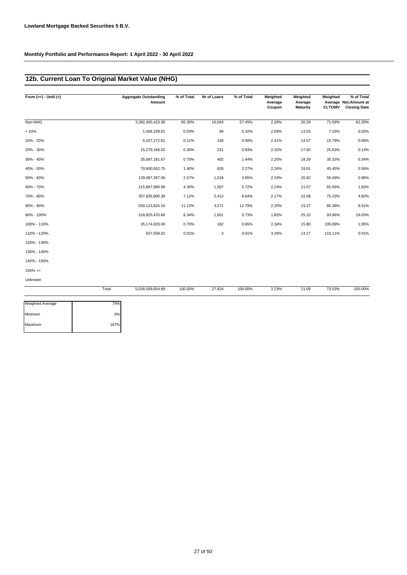# **12b. Current Loan To Original Market Value (NHG)**

| From $(>=) -$ Until $(<)$ |       | <b>Aggregate Outstanding</b><br>Amount | % of Total | Nr of Loans | % of Total | Weighted<br>Average<br>Coupon | Weighted<br>Average<br><b>Maturity</b> | Weighted<br><b>CLTOMV</b> | % of Total<br>Average Not. Amount at<br><b>Closing Date</b> |
|---------------------------|-------|----------------------------------------|------------|-------------|------------|-------------------------------|----------------------------------------|---------------------------|-------------------------------------------------------------|
| Non-NHG                   |       | 3,282,345,410.38                       | 65.30%     | 16,043      | 57.45%     | 2.28%                         | 20.29                                  | 71.59%                    | 62.20%                                                      |
| < 10%                     |       | 1,458,109.61                           | 0.03%      | 89          | 0.32%      | 2.59%                         | 13.53                                  | 7.33%                     | 0.02%                                                       |
| 10% - 20%                 |       | 5,327,272.81                           | 0.11%      | 140         | 0.50%      | 2.41%                         | 14.57                                  | 15.79%                    | 0.06%                                                       |
| 20% - 30%                 |       | 15,279,166.02                          | 0.30%      | 231         | 0.83%      | 2.32%                         | 17.50                                  | 25.63%                    | 0.13%                                                       |
| 30% - 40%                 |       | 35,087,181.67                          | 0.70%      | 402         | 1.44%      | 2.25%                         | 18.29                                  | 35.32%                    | 0.34%                                                       |
| 40% - 50%                 |       | 70,600,652.75                          | 1.40%      | 635         | 2.27%      | 2.26%                         | 19.81                                  | 45.45%                    | 0.56%                                                       |
| 50% - 60%                 |       | 129,087,397.40                         | 2.57%      | 1,018       | 3.65%      | 2.33%                         | 20.92                                  | 55.49%                    | 0.96%                                                       |
| 60% - 70%                 |       | 215,897,990.99                         | 4.30%      | 1,597       | 5.72%      | 2.24%                         | 21.57                                  | 65.56%                    | 1.93%                                                       |
| 70% - 80%                 |       | 357,835,800.39                         | 7.12%      | 2,412       | 8.64%      | 2.17%                         | 22.58                                  | 75.23%                    | 4.82%                                                       |
| 80% - 90%                 |       | 559,123,624.19                         | 11.12%     | 3,571       | 12.79%     | 2.20%                         | 23.27                                  | 85.38%                    | 8.01%                                                       |
| 90% - 100%                |       | 318,825,470.66                         | 6.34%      | 1,601       | 5.73%      | 1.82%                         | 25.10                                  | 93.96%                    | 19.03%                                                      |
| 100% - 110%               |       | 35,174,020.00                          | 0.70%      | 182         | 0.65%      | 2.34%                         | 15.80                                  | 105.09%                   | 1.95%                                                       |
| 110% - 120%               |       | 557,558.02                             | 0.01%      | 3           | 0.01%      | 3.26%                         | 14.27                                  | 110.11%                   | 0.01%                                                       |
| 120% - 130%               |       |                                        |            |             |            |                               |                                        |                           |                                                             |
| 130% - 140%               |       |                                        |            |             |            |                               |                                        |                           |                                                             |
| 140% - 150%               |       |                                        |            |             |            |                               |                                        |                           |                                                             |
| $150\%>=$                 |       |                                        |            |             |            |                               |                                        |                           |                                                             |
| Unknown                   |       |                                        |            |             |            |                               |                                        |                           |                                                             |
|                           | Total | 5,026,599,654.89                       | 100.00%    | 27,924      | 100.00%    | 2.23%                         | 21.09                                  | 73.53%                    | 100.00%                                                     |

| Weighted Average | 74%  |
|------------------|------|
| Minimum          | 0%   |
| Maximum          | 167% |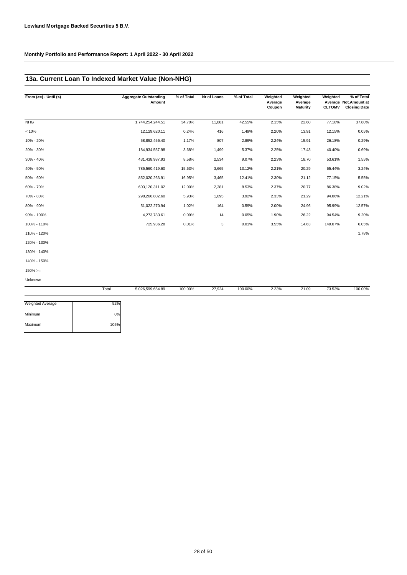# **13a. Current Loan To Indexed Market Value (Non-NHG)**

| From $(>=) -$ Until $(<)$ | <b>Aggregate Outstanding</b><br>Amount | % of Total | Nr of Loans | % of Total | Weighted<br>Average<br>Coupon | Weighted<br>Average<br><b>Maturity</b> | Weighted<br><b>CLTOMV</b> | % of Total<br>Average Not. Amount at<br><b>Closing Date</b> |
|---------------------------|----------------------------------------|------------|-------------|------------|-------------------------------|----------------------------------------|---------------------------|-------------------------------------------------------------|
| <b>NHG</b>                | 1,744,254,244.51                       | 34.70%     | 11,881      | 42.55%     | 2.15%                         | 22.60                                  | 77.18%                    | 37.80%                                                      |
| < 10%                     | 12,129,620.11                          | 0.24%      | 416         | 1.49%      | 2.20%                         | 13.91                                  | 12.15%                    | 0.05%                                                       |
| 10% - 20%                 | 58,852,456.40                          | 1.17%      | 807         | 2.89%      | 2.24%                         | 15.91                                  | 26.18%                    | 0.29%                                                       |
| 20% - 30%                 | 184,934,557.98                         | 3.68%      | 1,499       | 5.37%      | 2.25%                         | 17.43                                  | 40.40%                    | 0.69%                                                       |
| 30% - 40%                 | 431,438,987.93                         | 8.58%      | 2,534       | 9.07%      | 2.23%                         | 18.70                                  | 53.61%                    | 1.55%                                                       |
| 40% - 50%                 | 785,560,419.60                         | 15.63%     | 3,665       | 13.12%     | 2.21%                         | 20.29                                  | 65.44%                    | 3.24%                                                       |
| 50% - 60%                 | 852,020,263.91                         | 16.95%     | 3,465       | 12.41%     | 2.30%                         | 21.12                                  | 77.15%                    | 5.55%                                                       |
| 60% - 70%                 | 603,120,311.02                         | 12.00%     | 2,381       | 8.53%      | 2.37%                         | 20.77                                  | 86.38%                    | 9.02%                                                       |
| 70% - 80%                 | 298,266,802.60                         | 5.93%      | 1,095       | 3.92%      | 2.33%                         | 21.29                                  | 94.06%                    | 12.21%                                                      |
| 80% - 90%                 | 51,022,270.94                          | 1.02%      | 164         | 0.59%      | 2.00%                         | 24.96                                  | 95.99%                    | 12.57%                                                      |
| 90% - 100%                | 4,273,783.61                           | 0.09%      | 14          | 0.05%      | 1.90%                         | 26.22                                  | 94.54%                    | 9.20%                                                       |
| 100% - 110%               | 725,936.28                             | 0.01%      | 3           | 0.01%      | 3.55%                         | 14.63                                  | 149.07%                   | 6.05%                                                       |
| 110% - 120%               |                                        |            |             |            |                               |                                        |                           | 1.78%                                                       |
| 120% - 130%               |                                        |            |             |            |                               |                                        |                           |                                                             |
| 130% - 140%               |                                        |            |             |            |                               |                                        |                           |                                                             |
| 140% - 150%               |                                        |            |             |            |                               |                                        |                           |                                                             |
| $150\%>=$                 |                                        |            |             |            |                               |                                        |                           |                                                             |

Unknown

÷

| Total<br>. | 5,026,599,654.89<br>$\cdots$ . | 100.00%<br>. | 27,924 | 100.00%<br>. | 2.23%<br>. | 21.09<br>$\sim$ $\sim$ | 73.53%<br>. | 100.00%<br>. |
|------------|--------------------------------|--------------|--------|--------------|------------|------------------------|-------------|--------------|
|            |                                |              |        |              |            |                        |             |              |

| Weighted Average | 52%  |
|------------------|------|
| Minimum          | 0%   |
| Maximum          | 105% |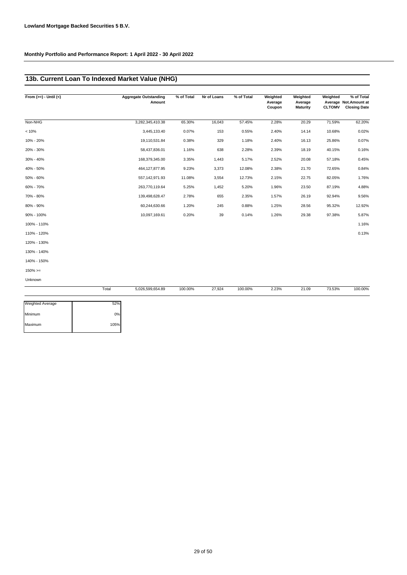# **13b. Current Loan To Indexed Market Value (NHG)**

| From $(>=) -$ Until $(<)$ |       | <b>Aggregate Outstanding</b><br>Amount | % of Total | Nr of Loans | % of Total | Weighted<br>Average<br>Coupon | Weighted<br>Average<br><b>Maturity</b> | Weighted<br><b>CLTOMV</b> | % of Total<br>Average Not.Amount at<br><b>Closing Date</b> |
|---------------------------|-------|----------------------------------------|------------|-------------|------------|-------------------------------|----------------------------------------|---------------------------|------------------------------------------------------------|
| Non-NHG                   |       | 3,282,345,410.38                       | 65.30%     | 16,043      | 57.45%     | 2.28%                         | 20.29                                  | 71.59%                    | 62.20%                                                     |
| < 10%                     |       | 3,445,133.40                           | 0.07%      | 153         | 0.55%      | 2.40%                         | 14.14                                  | 10.68%                    | 0.02%                                                      |
| 10% - 20%                 |       | 19,110,531.84                          | 0.38%      | 329         | 1.18%      | 2.40%                         | 16.13                                  | 25.86%                    | 0.07%                                                      |
| 20% - 30%                 |       | 58,437,836.01                          | 1.16%      | 638         | 2.28%      | 2.39%                         | 18.19                                  | 40.15%                    | 0.16%                                                      |
| 30% - 40%                 |       | 168,379,345.00                         | 3.35%      | 1,443       | 5.17%      | 2.52%                         | 20.08                                  | 57.18%                    | 0.45%                                                      |
| 40% - 50%                 |       | 464, 127, 877. 95                      | 9.23%      | 3,373       | 12.08%     | 2.38%                         | 21.70                                  | 72.65%                    | 0.84%                                                      |
| 50% - 60%                 |       | 557, 142, 971.93                       | 11.08%     | 3,554       | 12.73%     | 2.15%                         | 22.75                                  | 82.05%                    | 1.76%                                                      |
| 60% - 70%                 |       | 263,770,119.64                         | 5.25%      | 1,452       | 5.20%      | 1.96%                         | 23.50                                  | 87.19%                    | 4.88%                                                      |
| 70% - 80%                 |       | 139,498,628.47                         | 2.78%      | 655         | 2.35%      | 1.57%                         | 26.19                                  | 92.94%                    | 9.56%                                                      |
| 80% - 90%                 |       | 60,244,630.66                          | 1.20%      | 245         | 0.88%      | 1.25%                         | 28.56                                  | 95.32%                    | 12.92%                                                     |
| 90% - 100%                |       | 10,097,169.61                          | 0.20%      | 39          | 0.14%      | 1.26%                         | 29.38                                  | 97.38%                    | 5.87%                                                      |
| 100% - 110%               |       |                                        |            |             |            |                               |                                        |                           | 1.16%                                                      |
| 110% - 120%               |       |                                        |            |             |            |                               |                                        |                           | 0.13%                                                      |
| 120% - 130%               |       |                                        |            |             |            |                               |                                        |                           |                                                            |
| 130% - 140%               |       |                                        |            |             |            |                               |                                        |                           |                                                            |
| 140% - 150%               |       |                                        |            |             |            |                               |                                        |                           |                                                            |
| $150\% >=$                |       |                                        |            |             |            |                               |                                        |                           |                                                            |
| Unknown                   |       |                                        |            |             |            |                               |                                        |                           |                                                            |
|                           | Total | 5 026 599 654 89                       | 100.00%    | 27 924      | 100.00%    | 2 23%                         | 21.09                                  | 73.53%                    | 100,00%                                                    |

|                         | Total | 5,026,599,654.89<br>. | 100.00%<br>. | 27,924 | 100.00%<br>. | 2.23%<br>. | 21.09 | 73.53%<br>. | 100.00% |
|-------------------------|-------|-----------------------|--------------|--------|--------------|------------|-------|-------------|---------|
| <b>Weighted Average</b> | 52%   |                       |              |        |              |            |       |             |         |

| <b>I</b> Weighted Average | <b>JZ70</b> |
|---------------------------|-------------|
| Minimum                   | 0%          |
| Maximum                   | 105%        |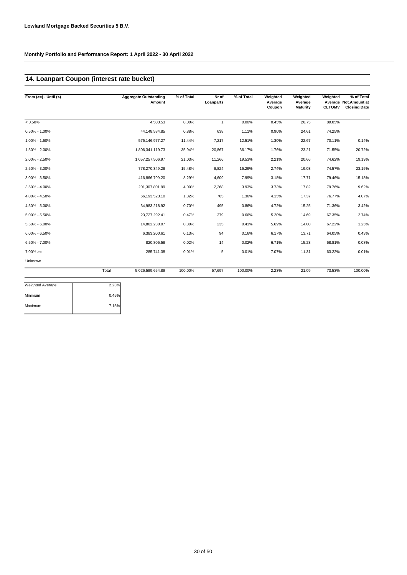### **14. Loanpart Coupon (interest rate bucket)**

| From $(>=) -$ Until $(<)$ |       | <b>Aggregate Outstanding</b><br>Amount | % of Total | Nr of<br>Loanparts | % of Total | Weighted<br>Average<br>Coupon | Weighted<br>Average<br><b>Maturity</b> | Weighted<br><b>CLTOMV</b> | % of Total<br>Average Not.Amount at<br><b>Closing Date</b> |
|---------------------------|-------|----------------------------------------|------------|--------------------|------------|-------------------------------|----------------------------------------|---------------------------|------------------------------------------------------------|
| $< 0.50\%$                |       | 4.503.53                               | 0.00%      | $\mathbf{1}$       | 0.00%      | 0.45%                         | 26.75                                  | 89.05%                    |                                                            |
| $0.50\% - 1.00\%$         |       | 44, 148, 584.85                        | 0.88%      | 638                | 1.11%      | 0.90%                         | 24.61                                  | 74.25%                    |                                                            |
| 1.00% - 1.50%             |       | 575,146,977.27                         | 11.44%     | 7,217              | 12.51%     | 1.30%                         | 22.67                                  | 70.11%                    | 0.14%                                                      |
| 1.50% - 2.00%             |       | 1,806,341,119.73                       | 35.94%     | 20,867             | 36.17%     | 1.76%                         | 23.21                                  | 71.55%                    | 20.72%                                                     |
| 2.00% - 2.50%             |       | 1,057,257,506.97                       | 21.03%     | 11,266             | 19.53%     | 2.21%                         | 20.66                                  | 74.62%                    | 19.19%                                                     |
| 2.50% - 3.00%             |       | 778,270,349.28                         | 15.48%     | 8,824              | 15.29%     | 2.74%                         | 19.03                                  | 74.57%                    | 23.15%                                                     |
| $3.00\% - 3.50\%$         |       | 416,866,799.20                         | 8.29%      | 4,609              | 7.99%      | 3.18%                         | 17.71                                  | 79.46%                    | 15.18%                                                     |
| $3.50\% - 4.00\%$         |       | 201,307,801.99                         | 4.00%      | 2,268              | 3.93%      | 3.73%                         | 17.82                                  | 79.76%                    | 9.62%                                                      |
| 4.00% - 4.50%             |       | 66,193,523.10                          | 1.32%      | 785                | 1.36%      | 4.15%                         | 17.37                                  | 76.77%                    | 4.07%                                                      |
| 4.50% - 5.00%             |       | 34,983,218.92                          | 0.70%      | 495                | 0.86%      | 4.72%                         | 15.25                                  | 71.36%                    | 3.42%                                                      |
| $5.00\% - 5.50\%$         |       | 23,727,292.41                          | 0.47%      | 379                | 0.66%      | 5.20%                         | 14.69                                  | 67.35%                    | 2.74%                                                      |
| $5.50\% - 6.00\%$         |       | 14,862,230.07                          | 0.30%      | 235                | 0.41%      | 5.69%                         | 14.00                                  | 67.22%                    | 1.25%                                                      |
| $6.00\% - 6.50\%$         |       | 6,383,200.61                           | 0.13%      | 94                 | 0.16%      | 6.17%                         | 13.71                                  | 64.05%                    | 0.43%                                                      |
| $6.50\% - 7.00\%$         |       | 820.805.58                             | 0.02%      | 14                 | 0.02%      | 6.71%                         | 15.23                                  | 68.81%                    | 0.08%                                                      |
| $7.00\% =$                |       | 285,741.38                             | 0.01%      | 5                  | 0.01%      | 7.07%                         | 11.31                                  | 63.22%                    | 0.01%                                                      |
| Unknown                   |       |                                        |            |                    |            |                               |                                        |                           |                                                            |
|                           | Total | 5,026,599,654.89                       | 100.00%    | 57,697             | 100.00%    | 2.23%                         | 21.09                                  | 73.53%                    | 100.00%                                                    |

| 2.23% |
|-------|
| 0.45% |
| 7.15% |
|       |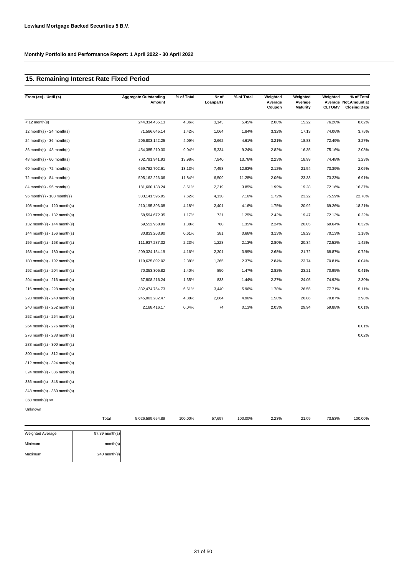# **15. Remaining Interest Rate Fixed Period**

| From $(>=) -$ Until $(<)$       | <b>Aggregate Outstanding</b><br>Amount | % of Total | Nr of<br>Loanparts | % of Total | Weighted<br>Average<br>Coupon | Weighted<br>Average<br><b>Maturity</b> | Weighted<br><b>CLTOMV</b> | % of Total<br>Average Not. Amount at<br><b>Closing Date</b> |
|---------------------------------|----------------------------------------|------------|--------------------|------------|-------------------------------|----------------------------------------|---------------------------|-------------------------------------------------------------|
| $<$ 12 month(s)                 | 244,334,455.13                         | 4.86%      | 3,143              | 5.45%      | 2.08%                         | 15.22                                  | 76.20%                    | 8.62%                                                       |
| 12 month(s) - 24 month(s)       | 71,586,645.14                          | 1.42%      | 1,064              | 1.84%      | 3.32%                         | 17.13                                  | 74.06%                    | 3.75%                                                       |
| $24$ month(s) - 36 month(s)     | 205,803,142.25                         | 4.09%      | 2,662              | 4.61%      | 3.21%                         | 18.83                                  | 72.49%                    | 3.27%                                                       |
| 36 month(s) - 48 month(s)       | 454,385,210.30                         | 9.04%      | 5,334              | 9.24%      | 2.82%                         | 16.35                                  | 75.16%                    | 2.08%                                                       |
| $48$ month(s) - 60 month(s)     | 702,791,941.93                         | 13.98%     | 7,940              | 13.76%     | 2.23%                         | 18.99                                  | 74.48%                    | 1.23%                                                       |
| 60 month(s) - $72$ month(s)     | 659,782,702.61                         | 13.13%     | 7,458              | 12.93%     | 2.12%                         | 21.54                                  | 73.39%                    | 2.05%                                                       |
| 72 month(s) - 84 month(s)       | 595, 162, 226.06                       | 11.84%     | 6,509              | 11.28%     | 2.06%                         | 23.33                                  | 73.23%                    | 6.91%                                                       |
| $84$ month(s) - 96 month(s)     | 181,660,138.24                         | 3.61%      | 2,219              | 3.85%      | 1.99%                         | 19.28                                  | 72.16%                    | 16.37%                                                      |
| 96 month(s) - 108 month(s)      | 383,141,595.95                         | 7.62%      | 4,130              | 7.16%      | 1.72%                         | 23.22                                  | 75.59%                    | 22.78%                                                      |
| $108$ month(s) - $120$ month(s) | 210,195,393.08                         | 4.18%      | 2,401              | 4.16%      | 1.75%                         | 20.92                                  | 69.26%                    | 18.21%                                                      |
| 120 month(s) - 132 month(s)     | 58,594,672.35                          | 1.17%      | 721                | 1.25%      | 2.42%                         | 19.47                                  | 72.12%                    | 0.22%                                                       |
| 132 month(s) - 144 month(s)     | 69,552,958.99                          | 1.38%      | 780                | 1.35%      | 2.24%                         | 20.05                                  | 69.64%                    | 0.32%                                                       |
| 144 month(s) - 156 month(s)     | 30,833,263.90                          | 0.61%      | 381                | 0.66%      | 3.13%                         | 19.29                                  | 70.13%                    | 1.18%                                                       |
| 156 month(s) - 168 month(s)     | 111,937,287.32                         | 2.23%      | 1,228              | 2.13%      | 2.80%                         | 20.34                                  | 72.52%                    | 1.42%                                                       |
| 168 month(s) - 180 month(s)     | 209,324,154.19                         | 4.16%      | 2,301              | 3.99%      | 2.68%                         | 21.72                                  | 68.87%                    | 0.72%                                                       |
| 180 month(s) - 192 month(s)     | 119,625,892.02                         | 2.38%      | 1,365              | 2.37%      | 2.84%                         | 23.74                                  | 70.81%                    | 0.04%                                                       |
| 192 month(s) - 204 month(s)     | 70,353,305.82                          | 1.40%      | 850                | 1.47%      | 2.82%                         | 23.21                                  | 70.95%                    | 0.41%                                                       |
| 204 month(s) - 216 month(s)     | 67,808,216.24                          | 1.35%      | 833                | 1.44%      | 2.27%                         | 24.05                                  | 74.92%                    | 2.30%                                                       |
| 216 month(s) - 228 month(s)     | 332,474,754.73                         | 6.61%      | 3,440              | 5.96%      | 1.78%                         | 26.55                                  | 77.71%                    | 5.11%                                                       |
| 228 month(s) - 240 month(s)     | 245,063,282.47                         | 4.88%      | 2,864              | 4.96%      | 1.58%                         | 26.86                                  | 70.87%                    | 2.98%                                                       |
| 240 month(s) - 252 month(s)     | 2,188,416.17                           | 0.04%      | 74                 | 0.13%      | 2.03%                         | 29.94                                  | 59.88%                    | 0.01%                                                       |
| 252 month(s) - 264 month(s)     |                                        |            |                    |            |                               |                                        |                           |                                                             |
| 264 month(s) - 276 month(s)     |                                        |            |                    |            |                               |                                        |                           | 0.01%                                                       |
| 276 month(s) - 288 month(s)     |                                        |            |                    |            |                               |                                        |                           | 0.02%                                                       |
| 288 month(s) - 300 month(s)     |                                        |            |                    |            |                               |                                        |                           |                                                             |
| 300 month(s) - 312 month(s)     |                                        |            |                    |            |                               |                                        |                           |                                                             |
| 312 month(s) - 324 month(s)     |                                        |            |                    |            |                               |                                        |                           |                                                             |
| 324 month(s) - 336 month(s)     |                                        |            |                    |            |                               |                                        |                           |                                                             |
| 336 month(s) - 348 month(s)     |                                        |            |                    |            |                               |                                        |                           |                                                             |
| 348 month(s) - 360 month(s)     |                                        |            |                    |            |                               |                                        |                           |                                                             |
| $360$ month(s) $>=$             |                                        |            |                    |            |                               |                                        |                           |                                                             |
| Unknown                         |                                        |            |                    |            |                               |                                        |                           |                                                             |

| <b>Weighted Average</b> | 97.39 month(s) |
|-------------------------|----------------|
|                         |                |
| Minimum                 | month(s)       |
|                         |                |
| Maximum                 | 240 month(s)   |
|                         |                |

Total 5,026,599,654.89 100.00% 57,697 100.00% 2.23% 21.09

100.00% 57,697 2.23% 73.53% 100.00%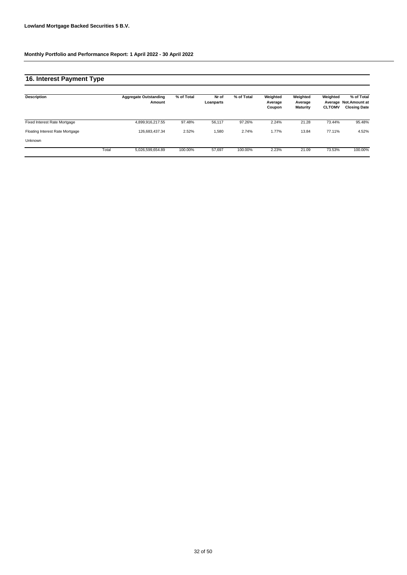# **16. Interest Payment Type**

| Description                     |       | <b>Aggregate Outstanding</b><br>Amount | % of Total | Nr of<br>Loanparts | % of Total | Weighted<br>Average<br>Coupon | Weighted<br>Average<br><b>Maturity</b> | Weighted<br><b>CLTOMV</b> | % of Total<br>Average Not.Amount at<br><b>Closing Date</b> |
|---------------------------------|-------|----------------------------------------|------------|--------------------|------------|-------------------------------|----------------------------------------|---------------------------|------------------------------------------------------------|
| Fixed Interest Rate Mortgage    |       | 4.899.916.217.55                       | 97.48%     | 56.117             | 97.26%     | 2.24%                         | 21.28                                  | 73.44%                    | 95.48%                                                     |
| Floating Interest Rate Mortgage |       | 126.683.437.34                         | 2.52%      | 1,580              | 2.74%      | 1.77%                         | 13.84                                  | 77.11%                    | 4.52%                                                      |
| <b>Unknown</b>                  |       |                                        |            |                    |            |                               |                                        |                           |                                                            |
|                                 | Total | 5.026.599.654.89                       | 100.00%    | 57.697             | 100.00%    | 2.23%                         | 21.09                                  | 73.53%                    | 100.00%                                                    |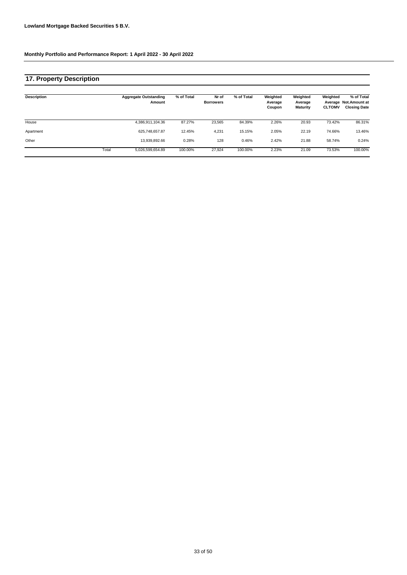# **17. Property Description**

| <b>Description</b> |       | <b>Aggregate Outstanding</b><br>Amount | % of Total | Nr of<br><b>Borrowers</b> | % of Total | Weighted<br>Average<br>Coupon | Weighted<br>Average<br><b>Maturity</b> | Weighted<br><b>CLTOMV</b> | % of Total<br>Average Not.Amount at<br><b>Closing Date</b> |
|--------------------|-------|----------------------------------------|------------|---------------------------|------------|-------------------------------|----------------------------------------|---------------------------|------------------------------------------------------------|
| House              |       | 4,386,911,104.36                       | 87.27%     | 23,565                    | 84.39%     | 2.26%                         | 20.93                                  | 73.42%                    | 86.31%                                                     |
| Apartment          |       | 625.748.657.87                         | 12.45%     | 4,231                     | 15.15%     | 2.05%                         | 22.19                                  | 74.66%                    | 13.46%                                                     |
| Other              |       | 13.939.892.66                          | 0.28%      | 128                       | 0.46%      | 2.42%                         | 21.88                                  | 58.74%                    | 0.24%                                                      |
|                    | Total | 5,026,599,654.89                       | 100.00%    | 27,924                    | 100.00%    | 2.23%                         | 21.09                                  | 73.53%                    | 100.00%                                                    |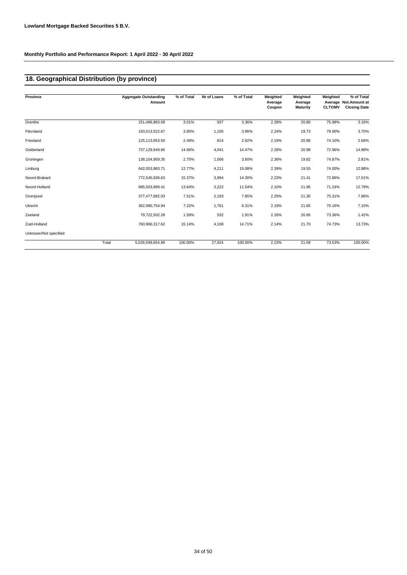# **18. Geographical Distribution (by province)**

| Province              |       | <b>Aggregate Outstanding</b><br>Amount | % of Total | Nr of Loans | % of Total | Weighted<br>Average<br>Coupon | Weighted<br>Average<br><b>Maturity</b> | Weighted<br><b>CLTOMV</b> | % of Total<br>Average Not.Amount at<br><b>Closing Date</b> |
|-----------------------|-------|----------------------------------------|------------|-------------|------------|-------------------------------|----------------------------------------|---------------------------|------------------------------------------------------------|
|                       |       |                                        |            |             |            |                               |                                        |                           |                                                            |
| Drenthe               |       | 151,486,883.09                         | 3.01%      | 937         | 3.36%      | 2.28%                         | 20.80                                  | 75.98%                    | 3.16%                                                      |
| Flevoland             |       | 193,513,522.67                         | 3.85%      | 1,105       | 3.96%      | 2.24%                         | 19.73                                  | 79.90%                    | 3.70%                                                      |
| Friesland             |       | 125,113,653.50                         | 2.49%      | 814         | 2.92%      | 2.19%                         | 20.98                                  | 74.10%                    | 2.66%                                                      |
| Gelderland            |       | 737,129,649.66                         | 14.66%     | 4,041       | 14.47%     | 2.28%                         | 20.98                                  | 72.96%                    | 14.88%                                                     |
| Groningen             |       | 138,104,959.35                         | 2.75%      | 1,006       | 3.60%      | 2.36%                         | 19.82                                  | 74.87%                    | 2.81%                                                      |
| Limburg               |       | 642,053,883.71                         | 12.77%     | 4,211       | 15.08%     | 2.39%                         | 19.55                                  | 74.00%                    | 12.88%                                                     |
| Noord-Brabant         |       | 772,545,936.63                         | 15.37%     | 3,994       | 14.30%     | 2.23%                         | 21.41                                  | 72.86%                    | 17.01%                                                     |
| Noord-Holland         |       | 685,503,899.41                         | 13.64%     | 3,222       | 11.54%     | 2.10%                         | 21.96                                  | 71.24%                    | 12.79%                                                     |
| Overijssel            |       | 377,477,692.03                         | 7.51%      | 2,193       | 7.85%      | 2.25%                         | 21.30                                  | 75.31%                    | 7.86%                                                      |
| Utrecht               |       | 362,980,754.94                         | 7.22%      | 1,761       | 6.31%      | 2.19%                         | 21.65                                  | 70.16%                    | 7.10%                                                      |
| Zeeland               |       | 79,722,502.28                          | 1.59%      | 532         | 1.91%      | 2.26%                         | 20.95                                  | 73.36%                    | 1.42%                                                      |
| Zuid-Holland          |       | 760,966,317.62                         | 15.14%     | 4,108       | 14.71%     | 2.14%                         | 21.70                                  | 74.73%                    | 13.73%                                                     |
| Unknown/Not specified |       |                                        |            |             |            |                               |                                        |                           |                                                            |
|                       | Total | 5,026,599,654.89                       | 100.00%    | 27,924      | 100.00%    | 2.23%                         | 21.09                                  | 73.53%                    | 100.00%                                                    |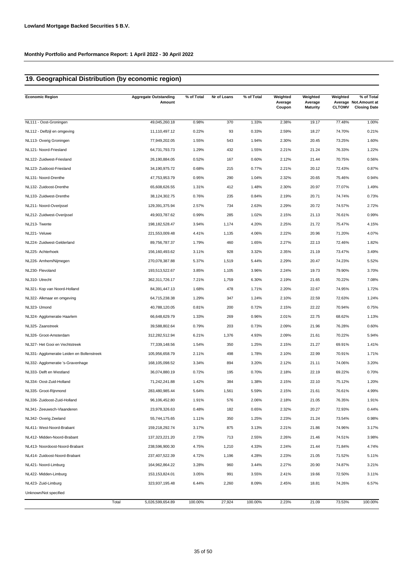# **19. Geographical Distribution (by economic region)**

| <b>Economic Region</b>                     | <b>Aggregate Outstanding</b><br>Amount | % of Total | Nr of Loans | % of Total | Weighted<br>Average<br>Coupon | Weighted<br>Average<br><b>Maturity</b> | Weighted<br><b>CLTOMV</b> | % of Total<br>Average Not.Amount at<br><b>Closing Date</b> |
|--------------------------------------------|----------------------------------------|------------|-------------|------------|-------------------------------|----------------------------------------|---------------------------|------------------------------------------------------------|
| NL111 - Oost-Groningen                     | 49,045,260.18                          | 0.98%      | 370         | 1.33%      | 2.38%                         | 19.17                                  | 77.48%                    | 1.00%                                                      |
| NL112 - Delfzijl en omgeving               | 11,110,497.12                          | 0.22%      | 93          | 0.33%      | 2.59%                         | 18.27                                  | 74.70%                    | 0.21%                                                      |
| NL113- Overig Groningen                    | 77,949,202.05                          | 1.55%      | 543         | 1.94%      | 2.30%                         | 20.45                                  | 73.25%                    | 1.60%                                                      |
| NL121- Noord-Friesland                     | 64,731,793.73                          | 1.29%      | 432         | 1.55%      | 2.21%                         | 21.24                                  | 76.33%                    | 1.22%                                                      |
| NL122- Zuidwest-Friesland                  | 26,190,884.05                          | 0.52%      | 167         | 0.60%      | 2.12%                         | 21.44                                  | 70.75%                    | 0.56%                                                      |
| NL123- Zuidoost-Friesland                  | 34,190,975.72                          | 0.68%      | 215         | 0.77%      | 2.21%                         | 20.12                                  | 72.43%                    | 0.87%                                                      |
| NL131- Noord-Drenthe                       | 47,753,953.79                          | 0.95%      | 290         | 1.04%      | 2.32%                         | 20.65                                  | 75.46%                    | 0.94%                                                      |
|                                            |                                        | 1.31%      | 412         | 1.48%      | 2.30%                         | 20.97                                  | 77.07%                    | 1.49%                                                      |
| NL132- Zuidoost-Drenthe                    | 65,608,626.55                          |            |             |            |                               |                                        |                           |                                                            |
| NL133- Zuidwest-Drenthe                    | 38,124,302.75                          | 0.76%      | 235         | 0.84%      | 2.19%                         | 20.71                                  | 74.74%                    | 0.73%                                                      |
| NL211- Noord-Overijssel                    | 129,391,375.94                         | 2.57%      | 734         | 2.63%      | 2.29%                         | 20.72                                  | 74.57%                    | 2.72%                                                      |
| NL212- Zuidwest-Overijssel                 | 49,903,787.62                          | 0.99%      | 285         | 1.02%      | 2.15%                         | 21.13                                  | 76.61%                    | 0.99%                                                      |
| NL213- Twente                              | 198, 182, 528. 47                      | 3.94%      | 1,174       | 4.20%      | 2.25%                         | 21.72                                  | 75.47%                    | 4.15%                                                      |
| NL221- Veluwe                              | 221,553,009.48                         | 4.41%      | 1,135       | 4.06%      | 2.22%                         | 20.96                                  | 71.20%                    | 4.07%                                                      |
| NL224- Zuidwest-Gelderland                 | 89,756,787.37                          | 1.79%      | 460         | 1.65%      | 2.27%                         | 22.13                                  | 72.46%                    | 1.82%                                                      |
| NL225- Achterhoek                          | 156, 160, 493.62                       | 3.11%      | 928         | 3.32%      | 2.35%                         | 21.19                                  | 73.47%                    | 3.49%                                                      |
| NL226- Arnhem/Nijmegen                     | 270,078,387.88                         | 5.37%      | 1,519       | 5.44%      | 2.29%                         | 20.47                                  | 74.23%                    | 5.52%                                                      |
| NL230- Flevoland                           | 193,513,522.67                         | 3.85%      | 1,105       | 3.96%      | 2.24%                         | 19.73                                  | 79.90%                    | 3.70%                                                      |
| NL310- Utrecht                             | 362,311,726.17                         | 7.21%      | 1,759       | 6.30%      | 2.19%                         | 21.65                                  | 70.22%                    | 7.08%                                                      |
| NL321- Kop van Noord-Holland               | 84,391,447.13                          | 1.68%      | 478         | 1.71%      | 2.20%                         | 22.67                                  | 74.95%                    | 1.72%                                                      |
| NL322- Alkmaar en omgeving                 | 64,715,238.38                          | 1.29%      | 347         | 1.24%      | 2.10%                         | 22.59                                  | 72.63%                    | 1.24%                                                      |
| NL323- IJmond                              | 40,788,120.05                          | 0.81%      | 200         | 0.72%      | 2.15%                         | 22.22                                  | 70.94%                    | 0.75%                                                      |
| NL324- Agglomeratie Haarlem                | 66,648,629.79                          | 1.33%      | 269         | 0.96%      | 2.01%                         | 22.75                                  | 68.62%                    | 1.13%                                                      |
| NL325- Zaanstreek                          | 39,588,802.64                          | 0.79%      | 203         | 0.73%      | 2.09%                         | 21.96                                  | 76.28%                    | 0.60%                                                      |
| NL326- Groot-Amsterdam                     | 312,282,512.94                         | 6.21%      | 1,376       | 4.93%      | 2.09%                         | 21.61                                  | 70.22%                    | 5.94%                                                      |
| NL327- Het Gooi en Vechtstreek             | 77,339,148.56                          | 1.54%      | 350         | 1.25%      | 2.15%                         | 21.27                                  | 69.91%                    | 1.41%                                                      |
| NL331- Agglomeratie Leiden en Bollenstreek | 105,956,658.79                         | 2.11%      | 498         | 1.78%      | 2.10%                         | 22.99                                  | 70.91%                    | 1.71%                                                      |
| NL332- Agglomeratie 's-Gravenhage          | 168,105,098.52                         | 3.34%      | 894         | 3.20%      | 2.12%                         | 21.11                                  | 74.06%                    | 3.20%                                                      |
| NL333- Delft en Westland                   | 36,074,880.19                          | 0.72%      | 195         | 0.70%      | 2.18%                         | 22.19                                  | 69.22%                    | 0.70%                                                      |
| NL334- Oost-Zuid-Holland                   | 71,242,241.88                          | 1.42%      | 384         | 1.38%      | 2.15%                         | 22.10                                  | 75.12%                    | 1.20%                                                      |
| NL335- Groot-Rijnmond                      | 283,480,985.44                         | 5.64%      | 1,561       | 5.59%      | 2.15%                         | 21.61                                  | 76.61%                    | 4.99%                                                      |
| NL336- Zuidoost-Zuid-Holland               | 96,106,452.80                          | 1.91%      | 576         | 2.06%      | 2.18%                         | 21.05                                  | 76.35%                    | 1.91%                                                      |
| NL341- Zeeuwsch-Vlaanderen                 | 23,978,326.63                          | 0.48%      | 182         | 0.65%      | 2.32%                         | 20.27                                  | 72.93%                    | 0.44%                                                      |
| NL342- Overig Zeeland                      | 55,744,175.65                          | 1.11%      | 350         | 1.25%      | 2.23%                         | 21.24                                  | 73.54%                    | 0.98%                                                      |
| NL411- West-Noord-Brabant                  | 159,218,292.74                         | 3.17%      | 875         | 3.13%      | 2.21%                         | 21.86                                  | 74.96%                    | 3.17%                                                      |
| NL412- Midden-Noord-Brabant                | 137,323,221.20                         | 2.73%      | 713         | 2.55%      | 2.26%                         | 21.46                                  | 74.51%                    | 3.98%                                                      |
| NL413- Noordoost-Noord-Brabant             | 238,596,900.30                         | 4.75%      | 1,210       | 4.33%      | 2.24%                         | 21.44                                  | 71.84%                    | 4.74%                                                      |
| NL414- Zuidoost-Noord-Brabant              | 237,407,522.39                         | 4.72%      | 1,196       | 4.28%      | 2.23%                         | 21.05                                  | 71.52%                    | 5.11%                                                      |
| NL421- Noord-Limburg                       | 164,962,864.22                         | 3.28%      | 960         | 3.44%      | 2.27%                         | 20.90                                  | 74.87%                    | 3.21%                                                      |
| NL422- Midden-Limburg                      | 153, 153, 824.01                       | 3.05%      | 991         | 3.55%      | 2.41%                         | 19.66                                  | 72.50%                    | 3.11%                                                      |
| NL423- Zuid-Limburg                        | 323,937,195.48                         | 6.44%      | 2,260       | 8.09%      | 2.45%                         | 18.81                                  | 74.26%                    | 6.57%                                                      |
| Unknown/Not specified                      |                                        |            |             |            |                               |                                        |                           |                                                            |
| Total                                      | 5,026,599,654.89                       | 100.00%    | 27,924      | 100.00%    | 2.23%                         | 21.09                                  | 73.53%                    | 100.00%                                                    |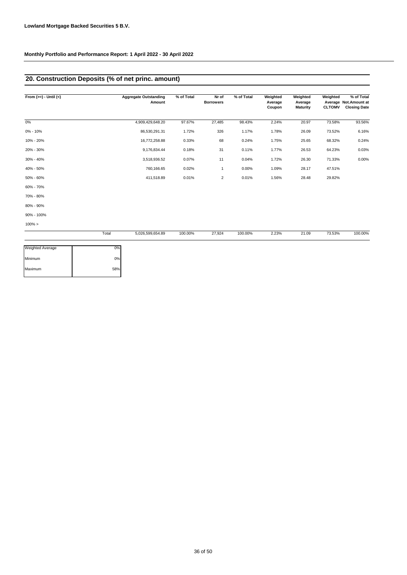# **20. Construction Deposits (% of net princ. amount)**

| From $(>=) -$ Until $(<)$ | <b>Aggregate Outstanding</b><br>Amount | % of Total | Nr of<br><b>Borrowers</b> | % of Total | Weighted<br>Average<br>Coupon | Weighted<br>Average<br><b>Maturity</b> | Weighted<br><b>CLTOMV</b> | % of Total<br>Average Not. Amount at<br><b>Closing Date</b> |
|---------------------------|----------------------------------------|------------|---------------------------|------------|-------------------------------|----------------------------------------|---------------------------|-------------------------------------------------------------|
| 0%                        | 4,909,429,648.20                       | 97.67%     | 27,485                    | 98.43%     | 2.24%                         | 20.97                                  | 73.58%                    | 93.56%                                                      |
| $0\% - 10\%$              | 86,530,291.31                          | 1.72%      | 326                       | 1.17%      | 1.78%                         | 26.09                                  | 73.52%                    | 6.16%                                                       |
| 10% - 20%                 | 16,772,258.88                          | 0.33%      | 68                        | 0.24%      | 1.75%                         | 25.65                                  | 68.32%                    | 0.24%                                                       |
| 20% - 30%                 | 9,176,834.44                           | 0.18%      | 31                        | 0.11%      | 1.77%                         | 26.53                                  | 64.23%                    | 0.03%                                                       |
| 30% - 40%                 | 3,518,936.52                           | 0.07%      | 11                        | 0.04%      | 1.72%                         | 26.30                                  | 71.33%                    | 0.00%                                                       |
| 40% - 50%                 | 760,166.65                             | 0.02%      | 1                         | 0.00%      | 1.09%                         | 28.17                                  | 47.51%                    |                                                             |
| 50% - 60%                 | 411,518.89                             | 0.01%      | $\overline{2}$            | 0.01%      | 1.56%                         | 28.48                                  | 29.82%                    |                                                             |
| 60% - 70%                 |                                        |            |                           |            |                               |                                        |                           |                                                             |
| 70% - 80%                 |                                        |            |                           |            |                               |                                        |                           |                                                             |
| 80% - 90%                 |                                        |            |                           |            |                               |                                        |                           |                                                             |
| 90% - 100%                |                                        |            |                           |            |                               |                                        |                           |                                                             |
| $100\% >$                 |                                        |            |                           |            |                               |                                        |                           |                                                             |
|                           | 5,026,599,654.89<br>Total              | 100.00%    | 27,924                    | 100.00%    | 2.23%                         | 21.09                                  | 73.53%                    | 100.00%                                                     |
| <b>Weighted Average</b>   | 0%                                     |            |                           |            |                               |                                        |                           |                                                             |
| Minimum<br>Maximum        | 0%<br>58%                              |            |                           |            |                               |                                        |                           |                                                             |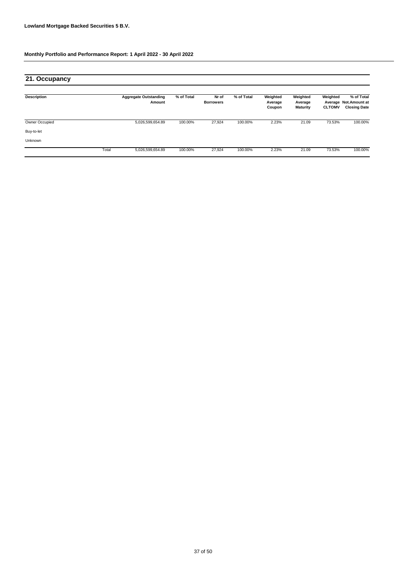| 21. Occupancy  |       |                                        |            |                           |            |                               |                                        |                                      |                                                           |
|----------------|-------|----------------------------------------|------------|---------------------------|------------|-------------------------------|----------------------------------------|--------------------------------------|-----------------------------------------------------------|
| Description    |       | <b>Aggregate Outstanding</b><br>Amount | % of Total | Nr of<br><b>Borrowers</b> | % of Total | Weighted<br>Average<br>Coupon | Weighted<br>Average<br><b>Maturity</b> | Weighted<br>Average<br><b>CLTOMV</b> | % of Total<br><b>Not.Amount at</b><br><b>Closing Date</b> |
| Owner Occupied |       | 5,026,599,654.89                       | 100.00%    | 27,924                    | 100.00%    | 2.23%                         | 21.09                                  | 73.53%                               | 100.00%                                                   |
| Buy-to-let     |       |                                        |            |                           |            |                               |                                        |                                      |                                                           |
| Unknown        |       |                                        |            |                           |            |                               |                                        |                                      |                                                           |
|                | Total | 5,026,599,654.89                       | 100.00%    | 27,924                    | 100.00%    | 2.23%                         | 21.09                                  | 73.53%                               | 100.00%                                                   |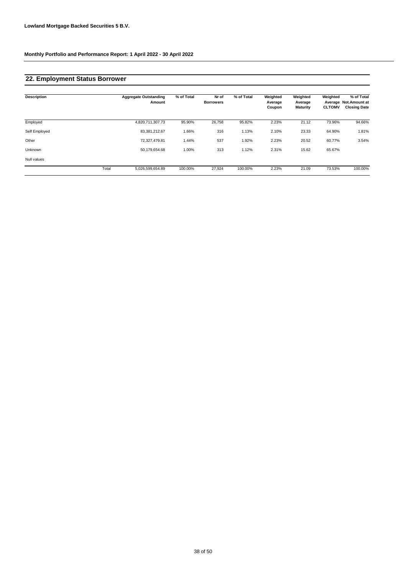# **22. Employment Status Borrower**

| <b>Description</b> |       | <b>Aggregate Outstanding</b><br>Amount | % of Total | Nr of<br><b>Borrowers</b> | % of Total | Weighted<br>Average<br>Coupon | Weighted<br>Average<br><b>Maturity</b> | Weighted<br><b>CLTOMV</b> | % of Total<br>Average Not. Amount at<br><b>Closing Date</b> |
|--------------------|-------|----------------------------------------|------------|---------------------------|------------|-------------------------------|----------------------------------------|---------------------------|-------------------------------------------------------------|
| Employed           |       | 4,820,711,307.73                       | 95.90%     | 26,758                    | 95.82%     | 2.23%                         | 21.12                                  | 73.96%                    | 94.66%                                                      |
| Self Employed      |       | 83,381,212.67                          | 1.66%      | 316                       | 1.13%      | 2.10%                         | 23.33                                  | 64.90%                    | 1.81%                                                       |
| Other              |       | 72,327,479.81                          | 1.44%      | 537                       | 1.92%      | 2.23%                         | 20.52                                  | 60.77%                    | 3.54%                                                       |
| Unknown            |       | 50,179,654.68                          | 1.00%      | 313                       | 1.12%      | 2.31%                         | 15.62                                  | 65.67%                    |                                                             |
| Null values        |       |                                        |            |                           |            |                               |                                        |                           |                                                             |
|                    | Total | 5,026,599,654.89                       | 100.00%    | 27,924                    | 100.00%    | 2.23%                         | 21.09                                  | 73.53%                    | 100.00%                                                     |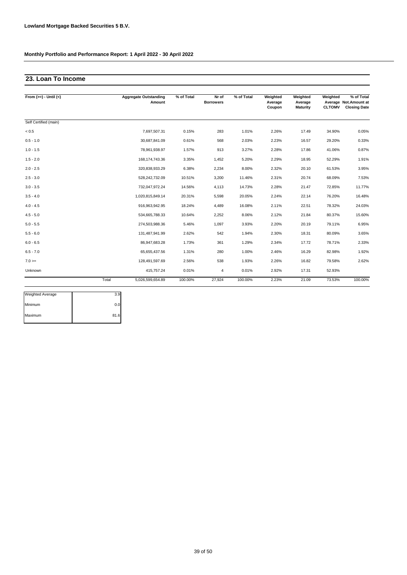### **23. Loan To Income**

| From $(>=) -$ Until $(<)$ |       | <b>Aggregate Outstanding</b><br>Amount | % of Total | Nr of<br><b>Borrowers</b> | % of Total | Weighted<br>Average<br>Coupon | Weighted<br>Average<br><b>Maturity</b> | Weighted<br><b>CLTOMV</b> | % of Total<br>Average Not.Amount at<br><b>Closing Date</b> |
|---------------------------|-------|----------------------------------------|------------|---------------------------|------------|-------------------------------|----------------------------------------|---------------------------|------------------------------------------------------------|
| Self Certified (main)     |       |                                        |            |                           |            |                               |                                        |                           |                                                            |
| $< 0.5$                   |       | 7,697,507.31                           | 0.15%      | 283                       | 1.01%      | 2.26%                         | 17.49                                  | 34.90%                    | 0.05%                                                      |
| $0.5 - 1.0$               |       | 30,687,841.09                          | 0.61%      | 568                       | 2.03%      | 2.23%                         | 16.57                                  | 29.20%                    | 0.33%                                                      |
| $1.0 - 1.5$               |       | 78,961,938.97                          | 1.57%      | 913                       | 3.27%      | 2.28%                         | 17.86                                  | 41.06%                    | 0.87%                                                      |
| $1.5 - 2.0$               |       | 168, 174, 743. 36                      | 3.35%      | 1,452                     | 5.20%      | 2.29%                         | 18.95                                  | 52.29%                    | 1.91%                                                      |
| $2.0 - 2.5$               |       | 320,838,933.29                         | 6.38%      | 2,234                     | 8.00%      | 2.32%                         | 20.10                                  | 61.53%                    | 3.95%                                                      |
| $2.5 - 3.0$               |       | 528,242,732.09                         | 10.51%     | 3,200                     | 11.46%     | 2.31%                         | 20.74                                  | 68.09%                    | 7.53%                                                      |
| $3.0 - 3.5$               |       | 732,047,972.24                         | 14.56%     | 4,113                     | 14.73%     | 2.28%                         | 21.47                                  | 72.85%                    | 11.77%                                                     |
| $3.5 - 4.0$               |       | 1,020,815,849.14                       | 20.31%     | 5,598                     | 20.05%     | 2.24%                         | 22.14                                  | 76.20%                    | 16.48%                                                     |
| $4.0 - 4.5$               |       | 916,963,942.95                         | 18.24%     | 4,489                     | 16.08%     | 2.11%                         | 22.51                                  | 78.32%                    | 24.03%                                                     |
| $4.5 - 5.0$               |       | 534,665,788.33                         | 10.64%     | 2,252                     | 8.06%      | 2.12%                         | 21.84                                  | 80.37%                    | 15.60%                                                     |
| $5.0 - 5.5$               |       | 274,503,988.36                         | 5.46%      | 1,097                     | 3.93%      | 2.20%                         | 20.19                                  | 79.11%                    | 6.95%                                                      |
| $5.5 - 6.0$               |       | 131,487,941.99                         | 2.62%      | 542                       | 1.94%      | 2.30%                         | 18.31                                  | 80.09%                    | 3.65%                                                      |
| $6.0 - 6.5$               |       | 86,947,683.28                          | 1.73%      | 361                       | 1.29%      | 2.34%                         | 17.72                                  | 78.71%                    | 2.33%                                                      |
| $6.5 - 7.0$               |       | 65,655,437.56                          | 1.31%      | 280                       | 1.00%      | 2.46%                         | 16.29                                  | 82.98%                    | 1.92%                                                      |
| $7.0 =$                   |       | 128,491,597.69                         | 2.56%      | 538                       | 1.93%      | 2.26%                         | 16.82                                  | 79.58%                    | 2.62%                                                      |
| Unknown                   |       | 415,757.24                             | 0.01%      | 4                         | 0.01%      | 2.92%                         | 17.31                                  | 52.93%                    |                                                            |
|                           | Total | 5,026,599,654.89                       | 100.00%    | 27,924                    | 100.00%    | 2.23%                         | 21.09                                  | 73.53%                    | 100.00%                                                    |

| <b>Weighted Average</b> | 3.9  |
|-------------------------|------|
| Minimum                 | 0.0  |
| Maximum                 | 81.6 |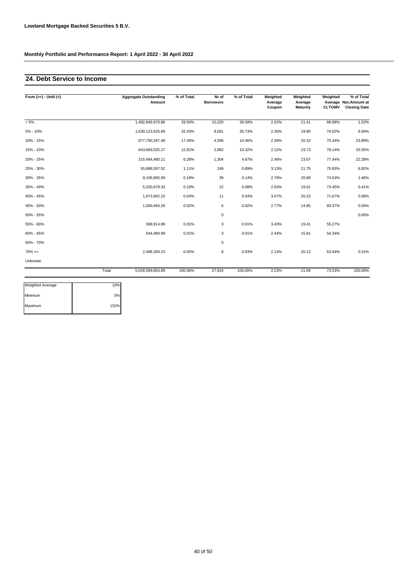# **24. Debt Service to Income**

| From $(>=) -$ Until $(<)$ |       | <b>Aggregate Outstanding</b><br>Amount | % of Total | Nr of<br><b>Borrowers</b> | % of Total | Weighted<br>Average<br>Coupon | Weighted<br>Average<br>Maturity | Weighted<br><b>CLTOMV</b> | % of Total<br>Average Not.Amount at<br><b>Closing Date</b> |
|---------------------------|-------|----------------------------------------|------------|---------------------------|------------|-------------------------------|---------------------------------|---------------------------|------------------------------------------------------------|
| $< 5\%$                   |       | 1,482,849,970.86                       | 29.50%     | 10,220                    | 36.59%     | 2.02%                         | 21.41                           | 68.98%                    | 1.52%                                                      |
| $5% - 10%$                |       | 1,630,123,625.69                       | 32.43%     | 8,581                     | 30.73%     | 2.30%                         | 19.80                           | 74.02%                    | 9.94%                                                      |
| 10% - 15%                 |       | 877,790,347.48                         | 17.46%     | 4,596                     | 16.46%     | 2.39%                         | 20.10                           | 75.44%                    | 23.89%                                                     |
| 15% - 20%                 |       | 643,669,025.27                         | 12.81%     | 2,882                     | 10.32%     | 2.12%                         | 23.73                           | 78.14%                    | 33.55%                                                     |
| 20% - 25%                 |       | 315,494,480.11                         | 6.28%      | 1,304                     | 4.67%      | 2.46%                         | 23.67                           | 77.44%                    | 22.28%                                                     |
| 25% - 30%                 |       | 55,888,597.52                          | 1.11%      | 249                       | 0.89%      | 3.13%                         | 21.75                           | 75.83%                    | 6.82%                                                      |
| 30% - 35%                 |       | 9,106,865.09                           | 0.18%      | 39                        | 0.14%      | 2.78%                         | 20.66                           | 74.53%                    | 1.46%                                                      |
| 35% - 40%                 |       | 5,200,678.33                           | 0.10%      | 22                        | 0.08%      | 2.93%                         | 19.61                           | 73.45%                    | 0.41%                                                      |
| 40% - 45%                 |       | 1,973,902.15                           | 0.04%      | 11                        | 0.04%      | 3.07%                         | 20.23                           | 71.67%                    | 0.08%                                                      |
| 45% - 50%                 |       | 1,000,466.29                           | 0.02%      | 6                         | 0.02%      | 2.77%                         | 14.85                           | 69.37%                    | 0.04%                                                      |
| 50% - 55%                 |       |                                        |            | $\mathbf 0$               |            |                               |                                 |                           | 0.00%                                                      |
| 55% - 60%                 |       | 368,914.89                             | 0.01%      | 3                         | 0.01%      | 3.43%                         | 19.41                           | 55.27%                    |                                                            |
| 60% - 65%                 |       | 644,480.98                             | 0.01%      | 3                         | 0.01%      | 2.44%                         | 15.81                           | 54.34%                    |                                                            |
| 65% - 70%                 |       |                                        |            | $\mathbf 0$               |            |                               |                                 |                           |                                                            |
| $70\%>=$                  |       | 2,488,300.23                           | 0.05%      | 8                         | 0.03%      | 2.13%                         | 20.12                           | 63.94%                    | 0.01%                                                      |
| Unknown                   |       |                                        |            |                           |            |                               |                                 |                           |                                                            |
|                           | Total | 5,026,599,654.89                       | 100.00%    | 27,924                    | 100.00%    | 2.23%                         | 21.09                           | 73.53%                    | 100.00%                                                    |

| <b>Weighted Average</b> | 10%  |
|-------------------------|------|
| Minimum                 | 0%   |
| Maximum                 | 152% |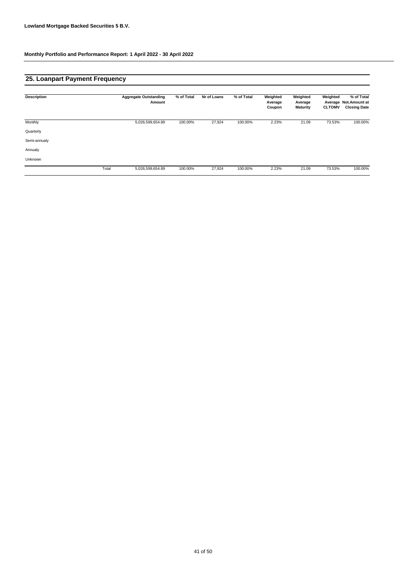# **25. Loanpart Payment Frequency**

| <b>Description</b> |       | <b>Aggregate Outstanding</b><br>Amount | % of Total | Nr of Loans | % of Total | Weighted<br>Average<br>Coupon | Weighted<br>Average<br><b>Maturity</b> | Weighted<br><b>CLTOMV</b> | % of Total<br>Average Not.Amount at<br><b>Closing Date</b> |
|--------------------|-------|----------------------------------------|------------|-------------|------------|-------------------------------|----------------------------------------|---------------------------|------------------------------------------------------------|
| Monthly            |       | 5,026,599,654.89                       | 100.00%    | 27,924      | 100.00%    | 2.23%                         | 21.09                                  | 73.53%                    | 100.00%                                                    |
| Quarterly          |       |                                        |            |             |            |                               |                                        |                           |                                                            |
| Semi-annualy       |       |                                        |            |             |            |                               |                                        |                           |                                                            |
| Annualy            |       |                                        |            |             |            |                               |                                        |                           |                                                            |
| Unknown            |       |                                        |            |             |            |                               |                                        |                           |                                                            |
|                    | Total | 5,026,599,654.89                       | 100.00%    | 27,924      | 100.00%    | 2.23%                         | 21.09                                  | 73.53%                    | 100.00%                                                    |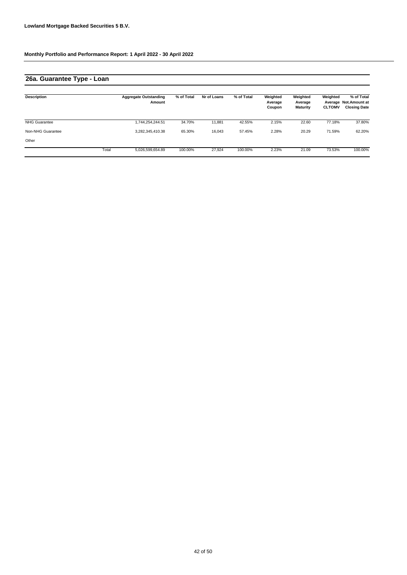# **26a. Guarantee Type - Loan**

| <b>Description</b>   |       | <b>Aggregate Outstanding</b><br>Amount | % of Total | Nr of Loans | % of Total | Weighted<br>Average<br>Coupon | Weighted<br>Average<br><b>Maturity</b> | Weighted<br><b>CLTOMV</b> | % of Total<br>Average Not. Amount at<br><b>Closing Date</b> |
|----------------------|-------|----------------------------------------|------------|-------------|------------|-------------------------------|----------------------------------------|---------------------------|-------------------------------------------------------------|
| <b>NHG Guarantee</b> |       | 1,744,254,244.51                       | 34.70%     | 11.881      | 42.55%     | 2.15%                         | 22.60                                  | 77.18%                    | 37.80%                                                      |
| Non-NHG Guarantee    |       | 3,282,345,410.38                       | 65.30%     | 16.043      | 57.45%     | 2.28%                         | 20.29                                  | 71.59%                    | 62.20%                                                      |
| Other                |       |                                        |            |             |            |                               |                                        |                           |                                                             |
|                      | Total | 5,026,599,654.89                       | 100.00%    | 27.924      | 100.00%    | 2.23%                         | 21.09                                  | 73.53%                    | 100.00%                                                     |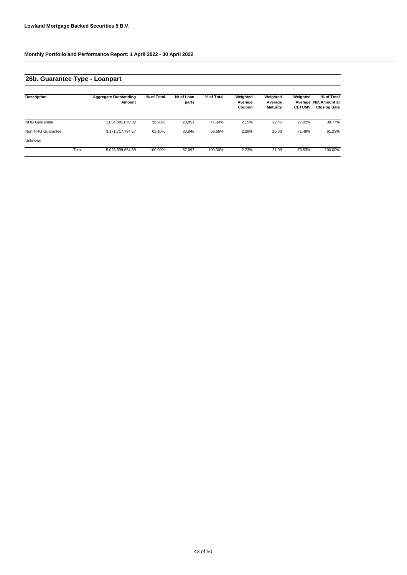# **26b. Guarantee Type - Loanpart**

| <b>Description</b>   |       | <b>Aggregate Outstanding</b><br>Amount | % of Total | Nr of Loan<br>parts | % of Total | Weighted<br>Average<br>Coupon | Weighted<br>Average<br><b>Maturity</b> | Weighted<br><b>CLTOMV</b> | % of Total<br>Average Not.Amount at<br><b>Closing Date</b> |
|----------------------|-------|----------------------------------------|------------|---------------------|------------|-------------------------------|----------------------------------------|---------------------------|------------------------------------------------------------|
| <b>NHG Guarantee</b> |       | 1,854,881,870.32                       | 36.90%     | 23.851              | 41.34%     | 2.15%                         | 22.45                                  | 77.02%                    | 38.77%                                                     |
| Non-NHG Guarantee    |       | 3,171,717,784.57                       | 63.10%     | 33,846              | 58.66%     | 2.28%                         | 20.30                                  | 71.49%                    | 61.23%                                                     |
| Unknown              |       |                                        |            |                     |            |                               |                                        |                           |                                                            |
|                      | Total | 5,026,599,654.89                       | 100.00%    | 57.697              | 100.00%    | 2.23%                         | 21.09                                  | 73.53%                    | 100.00%                                                    |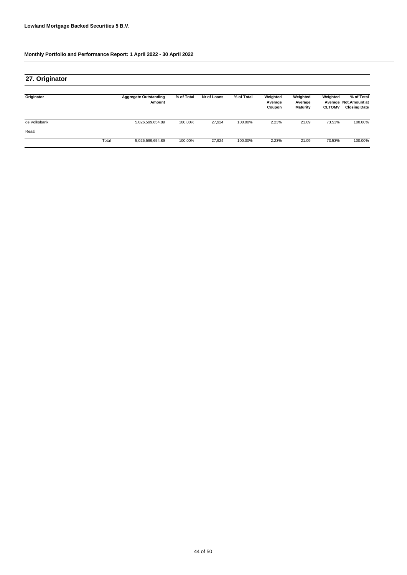| 27. Originator |       |                                        |            |             |            |                               |                                        |                           |                                                            |
|----------------|-------|----------------------------------------|------------|-------------|------------|-------------------------------|----------------------------------------|---------------------------|------------------------------------------------------------|
| Originator     |       | <b>Aggregate Outstanding</b><br>Amount | % of Total | Nr of Loans | % of Total | Weighted<br>Average<br>Coupon | Weighted<br>Average<br><b>Maturity</b> | Weighted<br><b>CLTOMV</b> | % of Total<br>Average Not.Amount at<br><b>Closing Date</b> |
| de Volksbank   |       | 5,026,599,654.89                       | 100.00%    | 27,924      | 100.00%    | 2.23%                         | 21.09                                  | 73.53%                    | 100.00%                                                    |
| Reaal          |       |                                        |            |             |            |                               |                                        |                           |                                                            |
|                | Total | 5,026,599,654.89                       | 100.00%    | 27,924      | 100.00%    | 2.23%                         | 21.09                                  | 73.53%                    | 100.00%                                                    |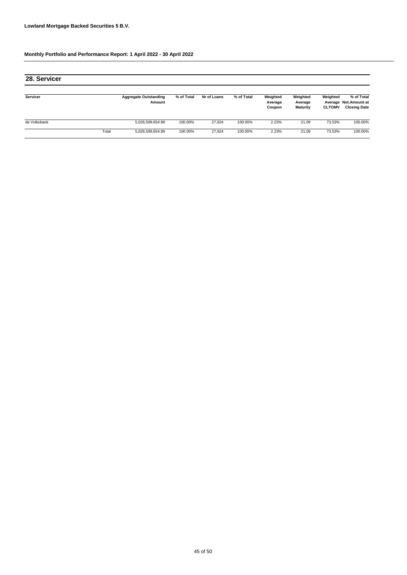| 28. Servicer |       |                                        |            |             |            |                               |                                        |                           |                                                            |
|--------------|-------|----------------------------------------|------------|-------------|------------|-------------------------------|----------------------------------------|---------------------------|------------------------------------------------------------|
| Servicer     |       | <b>Aggregate Outstanding</b><br>Amount | % of Total | Nr of Loans | % of Total | Weighted<br>Average<br>Coupon | Weighted<br>Average<br><b>Maturity</b> | Weighted<br><b>CLTOMV</b> | % of Total<br>Average Not.Amount at<br><b>Closing Date</b> |
| de Volksbank |       | 5,026,599,654.89                       | 100.00%    | 27.924      | 100.00%    | 2.23%                         | 21.09                                  | 73.53%                    | 100.00%                                                    |
|              | Total | 5,026,599,654.89                       | 100.00%    | 27.924      | 100.00%    | 2.23%                         | 21.09                                  | 73.53%                    | 100.00%                                                    |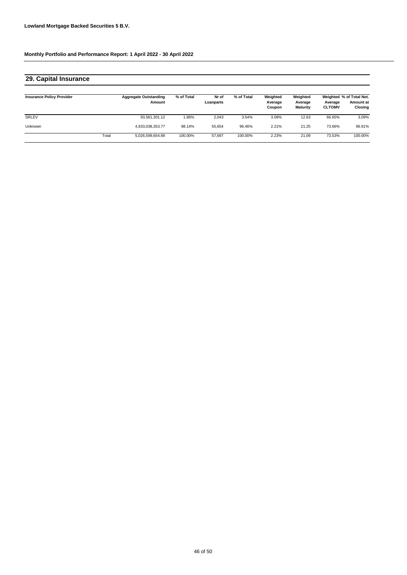# **29. Capital Insurance**

| <b>Insurance Policy Provider</b> |       | <b>Aggregate Outstanding</b><br>Amount | % of Total | Nr of<br>Loanparts | % of Total | Weighted<br>Average<br>Coupon | Weighted<br>Average<br><b>Maturity</b> | Average<br><b>CLTOMV</b> | Weighted % of Total Not.<br>Amount at<br>Closing |
|----------------------------------|-------|----------------------------------------|------------|--------------------|------------|-------------------------------|----------------------------------------|--------------------------|--------------------------------------------------|
| <b>SRLEV</b>                     |       | 93,561,301.12                          | 1.86%      | 2,043              | 3.54%      | 3.09%                         | 12.63                                  | 66.65%                   | 3.09%                                            |
| Unknown                          |       | 4,933,038,353.77                       | 98.14%     | 55.654             | 96.46%     | 2.21%                         | 21.25                                  | 73.66%                   | 96.91%                                           |
|                                  | Total | 5.026.599.654.89                       | 100.00%    | 57.697             | 100.00%    | 2.23%                         | 21.09                                  | 73.53%                   | 100.00%                                          |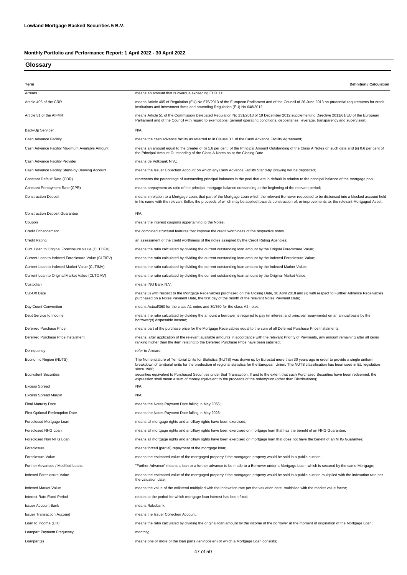# **Glossary**

| Term                                               | <b>Definition / Calculation</b>                                                                                                                                                                                                                                                                                             |
|----------------------------------------------------|-----------------------------------------------------------------------------------------------------------------------------------------------------------------------------------------------------------------------------------------------------------------------------------------------------------------------------|
| Arrears                                            | means an amount that is overdue exceeding EUR 11;                                                                                                                                                                                                                                                                           |
| Article 405 of the CRR                             | means Article 405 of Regulation (EU) No 575/2013 of the European Parliament and of the Council of 26 June 2013 on prudential requirements for credit<br>institutions and investment firms and amending Regulation (EU) No 648/2012;                                                                                         |
| Article 51 of the AIFMR                            | means Article 51 of the Commission Delegated Regulation No 231/2013 of 19 December 2012 supplementing Directive 2011/61/EU of the European<br>Parliament and of the Council with regard to exemptions, general operating conditions, depositaries, leverage, transparency and supervision;                                  |
| Back-Up Servicer                                   | N/A;                                                                                                                                                                                                                                                                                                                        |
| Cash Advance Facility                              | means the cash advance facility as referred to in Clause 3.1 of the Cash Advance Facility Agreement;                                                                                                                                                                                                                        |
| Cash Advance Facility Maximum Available Amount     | means an amount equal to the greater of (i) 1.6 per cent. of the Principal Amount Outstanding of the Class A Notes on such date and (ii) 0.6 per cent of<br>the Principal Amount Outstanding of the Class A Notes as at the Closing Date.                                                                                   |
| Cash Advance Facility Provider                     | means de Volkbank N.V.;                                                                                                                                                                                                                                                                                                     |
| Cash Advance Facility Stand-by Drawing Account     | means the Issuer Collection Account on which any Cash Advance Facility Stand-by Drawing will be deposited;                                                                                                                                                                                                                  |
| Constant Default Rate (CDR)                        | represents the percentage of outstanding principal balances in the pool that are in default in relation to the principal balance of the mortgage pool;                                                                                                                                                                      |
| Constant Prepayment Rate (CPR)                     | means prepayment as ratio of the principal mortgage balance outstanding at the beginning of the relevant period;                                                                                                                                                                                                            |
| <b>Construction Deposit</b>                        | means in relation to a Mortgage Loan, that part of the Mortgage Loan which the relevant Borrower requested to be disbursed into a blocked account held<br>in his name with the relevant Seller, the proceeds of which may be applied towards construction of, or improvements to, the relevant Mortgaged Asset;             |
| <b>Construction Deposit Guarantee</b>              | $N/A$ ;                                                                                                                                                                                                                                                                                                                     |
| Coupon                                             | means the interest coupons appertaining to the Notes;                                                                                                                                                                                                                                                                       |
| <b>Credit Enhancement</b>                          | the combined structural features that improve the credit worthiness of the respective notes.                                                                                                                                                                                                                                |
| <b>Credit Rating</b>                               | an assessment of the credit worthiness of the notes assigned by the Credit Rating Agencies;                                                                                                                                                                                                                                 |
| Curr. Loan to Original Foreclosure Value (CLTOFV)  | means the ratio calculated by dividing the current outstanding loan amount by the Orignal Foreclosure Value;                                                                                                                                                                                                                |
| Current Loan to Indexed Foreclosure Value (CLTIFV) | means the ratio calculated by dividing the current outstanding loan amount by the Indexed Foreclosure Value;                                                                                                                                                                                                                |
| Current Loan to Indexed Market Value (CLTIMV)      | means the ratio calculated by dividing the current outstanding loan amount by the Indexed Market Value;                                                                                                                                                                                                                     |
| Current Loan to Original Market Value (CLTOMV)     | means the ratio calculated by dividing the current outstanding loan amount by the Original Market Value;                                                                                                                                                                                                                    |
| Custodian                                          | means ING Bank N.V.                                                                                                                                                                                                                                                                                                         |
| Cut-Off Date                                       | means (i) with respect to the Mortgage Receivables purchased on the Closing Date, 30 April 2018 and (ii) with respect to Further Advance Receivables<br>purchased on a Notes Payment Date, the first day of the month of the relevant Notes Payment Date;                                                                   |
| Day Count Convention                               | means Actual/360 for the class A1 notes and 30/360 for the class A2 notes;                                                                                                                                                                                                                                                  |
| Debt Service to Income                             | means the ratio calculated by dividing the amount a borrower is required to pay (in interest and principal repayments) on an annual basis by the<br>borrower(s) disposable income;                                                                                                                                          |
| Deferred Purchase Price                            | means part of the purchase price for the Mortgage Receivables equal to the sum of all Deferred Purchase Price Instalments;                                                                                                                                                                                                  |
| Deferred Purchase Price Installment                | means, after application of the relevant available amounts in accordance with the relevant Priority of Payments, any amount remaining after all items<br>ranking higher than the item relating to the Deferred Purchase Price have been satisfied;                                                                          |
| Delinquency                                        | refer to Arrears;                                                                                                                                                                                                                                                                                                           |
| Economic Region (NUTS)                             | The Nomenclature of Territorial Units for Statistics (NUTS) was drawn up by Eurostat more than 30 years ago in order to provide a single uniform<br>breakdown of territorial units for the production of regional statistics for the European Union. The NUTS classification has been used in EU legislation<br>since 1988: |
| <b>Equivalent Securities</b>                       | securities equivalent to Purchased Securities under that Transaction. If and to the extent that such Purchased Securities have been redeemed, the<br>expression shall mean a sum of money equivalent to the proceeds of the redemption (other than Distributions);                                                          |
| <b>Excess Spread</b>                               | N/A;                                                                                                                                                                                                                                                                                                                        |
| <b>Excess Spread Margin</b>                        | $N/A$ ;                                                                                                                                                                                                                                                                                                                     |
| <b>Final Maturity Date</b>                         | means the Notes Payment Date falling in May 2055;                                                                                                                                                                                                                                                                           |
| First Optional Redemption Date                     | means the Notes Payment Date falling in May 2023;                                                                                                                                                                                                                                                                           |
| Foreclosed Mortgage Loan                           | means all mortgage rights and ancillary rights have been exercised;                                                                                                                                                                                                                                                         |
| Foreclosed NHG Loan                                | means all mortgage rights and ancillary rights have been exercised on mortgage loan that has the benefit of an NHG Guarantee;                                                                                                                                                                                               |
| Foreclosed Non NHG Loan                            | means all mortgage rights and ancillary rights have been exercised on mortgage loan that does not have the benefit of an NHG Guarantee;                                                                                                                                                                                     |
| Foreclosure                                        | means forced (partial) repayment of the mortgage loan;                                                                                                                                                                                                                                                                      |
| Foreclosure Value                                  | means the estimated value of the mortgaged property if the mortgaged property would be sold in a public auction;                                                                                                                                                                                                            |
| Further Advances / Modified Loans                  | "Further Advance" means a loan or a further advance to be made to a Borrower under a Mortgage Loan, which is secured by the same Mortgage;                                                                                                                                                                                  |
| Indexed Foreclosure Value                          | means the estimated value of the mortgaged property if the mortgaged property would be sold in a public auction multiplied with the indexation rate per<br>the valuation date;                                                                                                                                              |
| Indexed Market Value                               | means the value of the collateral multiplied with the indexation rate per the valuation date, multiplied with the market value factor;                                                                                                                                                                                      |
| Interest Rate Fixed Period                         | relates to the period for which mortgage loan interest has been fixed;                                                                                                                                                                                                                                                      |
| <b>Issuer Account Bank</b>                         | means Rabobank.                                                                                                                                                                                                                                                                                                             |
| <b>Issuer Transaction Account</b>                  | means the Issuer Collection Account.                                                                                                                                                                                                                                                                                        |
| Loan to Income (LTI)                               | means the ratio calculated by dividing the original loan amount by the income of the borrower at the moment of origination of the Mortgage Loan;                                                                                                                                                                            |
| Loanpart Payment Frequency                         | monthly;                                                                                                                                                                                                                                                                                                                    |
| Loanpart(s)                                        | means one or more of the loan parts (leningdelen) of which a Mortgage Loan consists;                                                                                                                                                                                                                                        |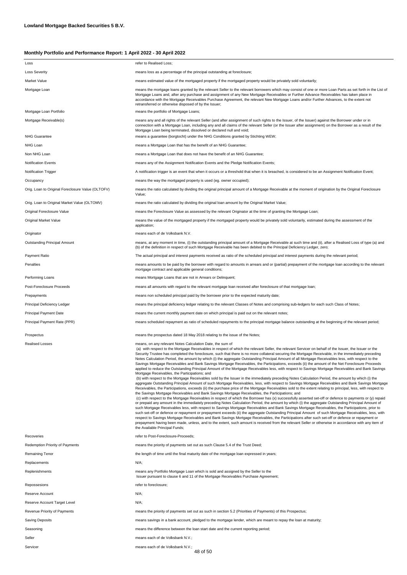| Loss                                              | refer to Realised Loss;                                                                                                                                                                                                                                                                                                                                                                                                                                                                                                                                                                                                                                                                                                                                                                                                                                                                                                                                                                                                                                                                                                                                                                                                                                                                                                                                                                                                                                                                                                                                                                                                                                                                                                                                                                                                                                                                                                                                                                                                                                                                                                                                                                                                                                                                                                                                                                                                                             |
|---------------------------------------------------|-----------------------------------------------------------------------------------------------------------------------------------------------------------------------------------------------------------------------------------------------------------------------------------------------------------------------------------------------------------------------------------------------------------------------------------------------------------------------------------------------------------------------------------------------------------------------------------------------------------------------------------------------------------------------------------------------------------------------------------------------------------------------------------------------------------------------------------------------------------------------------------------------------------------------------------------------------------------------------------------------------------------------------------------------------------------------------------------------------------------------------------------------------------------------------------------------------------------------------------------------------------------------------------------------------------------------------------------------------------------------------------------------------------------------------------------------------------------------------------------------------------------------------------------------------------------------------------------------------------------------------------------------------------------------------------------------------------------------------------------------------------------------------------------------------------------------------------------------------------------------------------------------------------------------------------------------------------------------------------------------------------------------------------------------------------------------------------------------------------------------------------------------------------------------------------------------------------------------------------------------------------------------------------------------------------------------------------------------------------------------------------------------------------------------------------------------------|
| <b>Loss Severity</b>                              | means loss as a percentage of the principal outstanding at foreclosure;                                                                                                                                                                                                                                                                                                                                                                                                                                                                                                                                                                                                                                                                                                                                                                                                                                                                                                                                                                                                                                                                                                                                                                                                                                                                                                                                                                                                                                                                                                                                                                                                                                                                                                                                                                                                                                                                                                                                                                                                                                                                                                                                                                                                                                                                                                                                                                             |
| Market Value                                      | means estimated value of the mortgaged property if the mortgaged property would be privately sold voluntarily;                                                                                                                                                                                                                                                                                                                                                                                                                                                                                                                                                                                                                                                                                                                                                                                                                                                                                                                                                                                                                                                                                                                                                                                                                                                                                                                                                                                                                                                                                                                                                                                                                                                                                                                                                                                                                                                                                                                                                                                                                                                                                                                                                                                                                                                                                                                                      |
| Mortgage Loan                                     | means the mortgage loans granted by the relevant Seller to the relevant borrowers which may consist of one or more Loan Parts as set forth in the List of<br>Mortgage Loans and, after any purchase and assignment of any New Mortgage Receivables or Further Advance Receivables has taken place in<br>accordance with the Mortgage Receivables Purchase Agreement, the relevant New Mortgage Loans and/or Further Advances, to the extent not<br>retransferred or otherwise disposed of by the Issuer;                                                                                                                                                                                                                                                                                                                                                                                                                                                                                                                                                                                                                                                                                                                                                                                                                                                                                                                                                                                                                                                                                                                                                                                                                                                                                                                                                                                                                                                                                                                                                                                                                                                                                                                                                                                                                                                                                                                                            |
| Mortgage Loan Portfolio                           | means the portfolio of Mortgage Loans;                                                                                                                                                                                                                                                                                                                                                                                                                                                                                                                                                                                                                                                                                                                                                                                                                                                                                                                                                                                                                                                                                                                                                                                                                                                                                                                                                                                                                                                                                                                                                                                                                                                                                                                                                                                                                                                                                                                                                                                                                                                                                                                                                                                                                                                                                                                                                                                                              |
| Mortgage Receivable(s)                            | means any and all rights of the relevant Seller (and after assignment of such rights to the Issuer, of the Issuer) against the Borrower under or in<br>connection with a Mortgage Loan, including any and all claims of the relevant Seller (or the Issuer after assignment) on the Borrower as a result of the<br>Mortgage Loan being terminated, dissolved or declared null and void;                                                                                                                                                                                                                                                                                                                                                                                                                                                                                                                                                                                                                                                                                                                                                                                                                                                                                                                                                                                                                                                                                                                                                                                                                                                                                                                                                                                                                                                                                                                                                                                                                                                                                                                                                                                                                                                                                                                                                                                                                                                             |
| <b>NHG Guarantee</b>                              | means a quarantee (borgtocht) under the NHG Conditions granted by Stichting WEW;                                                                                                                                                                                                                                                                                                                                                                                                                                                                                                                                                                                                                                                                                                                                                                                                                                                                                                                                                                                                                                                                                                                                                                                                                                                                                                                                                                                                                                                                                                                                                                                                                                                                                                                                                                                                                                                                                                                                                                                                                                                                                                                                                                                                                                                                                                                                                                    |
| NHG Loan                                          | means a Mortgage Loan that has the benefit of an NHG Guarantee;                                                                                                                                                                                                                                                                                                                                                                                                                                                                                                                                                                                                                                                                                                                                                                                                                                                                                                                                                                                                                                                                                                                                                                                                                                                                                                                                                                                                                                                                                                                                                                                                                                                                                                                                                                                                                                                                                                                                                                                                                                                                                                                                                                                                                                                                                                                                                                                     |
| Non NHG Loan                                      | means a Mortgage Loan that does not have the benefit of an NHG Guarantee;                                                                                                                                                                                                                                                                                                                                                                                                                                                                                                                                                                                                                                                                                                                                                                                                                                                                                                                                                                                                                                                                                                                                                                                                                                                                                                                                                                                                                                                                                                                                                                                                                                                                                                                                                                                                                                                                                                                                                                                                                                                                                                                                                                                                                                                                                                                                                                           |
| <b>Notification Events</b>                        | means any of the Assignment Notification Events and the Pledge Notification Events;                                                                                                                                                                                                                                                                                                                                                                                                                                                                                                                                                                                                                                                                                                                                                                                                                                                                                                                                                                                                                                                                                                                                                                                                                                                                                                                                                                                                                                                                                                                                                                                                                                                                                                                                                                                                                                                                                                                                                                                                                                                                                                                                                                                                                                                                                                                                                                 |
| Notification Trigger                              | A notification trigger is an event that when it occurs or a threshold that when it is breached, is considered to be an Assignment Notification Event;                                                                                                                                                                                                                                                                                                                                                                                                                                                                                                                                                                                                                                                                                                                                                                                                                                                                                                                                                                                                                                                                                                                                                                                                                                                                                                                                                                                                                                                                                                                                                                                                                                                                                                                                                                                                                                                                                                                                                                                                                                                                                                                                                                                                                                                                                               |
| Occupancy                                         | means the way the mortgaged property is used (eg. owner occupied);                                                                                                                                                                                                                                                                                                                                                                                                                                                                                                                                                                                                                                                                                                                                                                                                                                                                                                                                                                                                                                                                                                                                                                                                                                                                                                                                                                                                                                                                                                                                                                                                                                                                                                                                                                                                                                                                                                                                                                                                                                                                                                                                                                                                                                                                                                                                                                                  |
| Orig. Loan to Original Foreclosure Value (OLTOFV) | means the ratio calculated by dividing the original principal amount of a Mortgage Receivable at the moment of origination by the Original Foreclosure<br>Value;                                                                                                                                                                                                                                                                                                                                                                                                                                                                                                                                                                                                                                                                                                                                                                                                                                                                                                                                                                                                                                                                                                                                                                                                                                                                                                                                                                                                                                                                                                                                                                                                                                                                                                                                                                                                                                                                                                                                                                                                                                                                                                                                                                                                                                                                                    |
| Orig. Loan to Original Market Value (OLTOMV)      | means the ratio calculated by dividing the original loan amount by the Original Market Value;                                                                                                                                                                                                                                                                                                                                                                                                                                                                                                                                                                                                                                                                                                                                                                                                                                                                                                                                                                                                                                                                                                                                                                                                                                                                                                                                                                                                                                                                                                                                                                                                                                                                                                                                                                                                                                                                                                                                                                                                                                                                                                                                                                                                                                                                                                                                                       |
| Original Foreclosure Value                        | means the Foreclosure Value as assessed by the relevant Originator at the time of granting the Mortgage Loan;                                                                                                                                                                                                                                                                                                                                                                                                                                                                                                                                                                                                                                                                                                                                                                                                                                                                                                                                                                                                                                                                                                                                                                                                                                                                                                                                                                                                                                                                                                                                                                                                                                                                                                                                                                                                                                                                                                                                                                                                                                                                                                                                                                                                                                                                                                                                       |
| Original Market Value                             | means the value of the mortgaged property if the mortgaged property would be privately sold voluntarily, estimated during the assessment of the<br>application;                                                                                                                                                                                                                                                                                                                                                                                                                                                                                                                                                                                                                                                                                                                                                                                                                                                                                                                                                                                                                                                                                                                                                                                                                                                                                                                                                                                                                                                                                                                                                                                                                                                                                                                                                                                                                                                                                                                                                                                                                                                                                                                                                                                                                                                                                     |
| Originator                                        | means each of de Volksbank N.V.                                                                                                                                                                                                                                                                                                                                                                                                                                                                                                                                                                                                                                                                                                                                                                                                                                                                                                                                                                                                                                                                                                                                                                                                                                                                                                                                                                                                                                                                                                                                                                                                                                                                                                                                                                                                                                                                                                                                                                                                                                                                                                                                                                                                                                                                                                                                                                                                                     |
| Outstanding Principal Amount                      | means, at any moment in time, (i) the outstanding principal amount of a Mortgage Receivable at such time and (ii), after a Realised Loss of type (a) and<br>(b) of the definition in respect of such Mortgage Receivable has been debited to the Principal Deficiency Ledger, zero;                                                                                                                                                                                                                                                                                                                                                                                                                                                                                                                                                                                                                                                                                                                                                                                                                                                                                                                                                                                                                                                                                                                                                                                                                                                                                                                                                                                                                                                                                                                                                                                                                                                                                                                                                                                                                                                                                                                                                                                                                                                                                                                                                                 |
| Payment Ratio                                     | The actual principal and interest payments received as ratio of the scheduled principal and interest payments during the relevant period;                                                                                                                                                                                                                                                                                                                                                                                                                                                                                                                                                                                                                                                                                                                                                                                                                                                                                                                                                                                                                                                                                                                                                                                                                                                                                                                                                                                                                                                                                                                                                                                                                                                                                                                                                                                                                                                                                                                                                                                                                                                                                                                                                                                                                                                                                                           |
| Penalties                                         | means amounts to be paid by the borrower with regard to amounts in arrears and or (partial) prepayment of the mortgage loan according to the relevant<br>mortgage contract and applicable general conditions;                                                                                                                                                                                                                                                                                                                                                                                                                                                                                                                                                                                                                                                                                                                                                                                                                                                                                                                                                                                                                                                                                                                                                                                                                                                                                                                                                                                                                                                                                                                                                                                                                                                                                                                                                                                                                                                                                                                                                                                                                                                                                                                                                                                                                                       |
| Performing Loans                                  | means Mortgage Loans that are not in Arrears or Delinquent;                                                                                                                                                                                                                                                                                                                                                                                                                                                                                                                                                                                                                                                                                                                                                                                                                                                                                                                                                                                                                                                                                                                                                                                                                                                                                                                                                                                                                                                                                                                                                                                                                                                                                                                                                                                                                                                                                                                                                                                                                                                                                                                                                                                                                                                                                                                                                                                         |
| Post-Foreclosure Proceeds                         | means all amounts with regard to the relevant mortgage loan received after foreclosure of that mortgage loan;                                                                                                                                                                                                                                                                                                                                                                                                                                                                                                                                                                                                                                                                                                                                                                                                                                                                                                                                                                                                                                                                                                                                                                                                                                                                                                                                                                                                                                                                                                                                                                                                                                                                                                                                                                                                                                                                                                                                                                                                                                                                                                                                                                                                                                                                                                                                       |
| Prepayments                                       | means non scheduled principal paid by the borrower prior to the expected maturity date;                                                                                                                                                                                                                                                                                                                                                                                                                                                                                                                                                                                                                                                                                                                                                                                                                                                                                                                                                                                                                                                                                                                                                                                                                                                                                                                                                                                                                                                                                                                                                                                                                                                                                                                                                                                                                                                                                                                                                                                                                                                                                                                                                                                                                                                                                                                                                             |
| Principal Deficiency Ledger                       | means the principal deficiency ledger relating to the relevant Classes of Notes and comprising sub-ledgers for each such Class of Notes;                                                                                                                                                                                                                                                                                                                                                                                                                                                                                                                                                                                                                                                                                                                                                                                                                                                                                                                                                                                                                                                                                                                                                                                                                                                                                                                                                                                                                                                                                                                                                                                                                                                                                                                                                                                                                                                                                                                                                                                                                                                                                                                                                                                                                                                                                                            |
| Principal Payment Date                            | means the current monthly payment date on which principal is paid out on the relevant notes;                                                                                                                                                                                                                                                                                                                                                                                                                                                                                                                                                                                                                                                                                                                                                                                                                                                                                                                                                                                                                                                                                                                                                                                                                                                                                                                                                                                                                                                                                                                                                                                                                                                                                                                                                                                                                                                                                                                                                                                                                                                                                                                                                                                                                                                                                                                                                        |
| Principal Payment Rate (PPR)                      | means scheduled repayment as ratio of scheduled repayments to the principal mortgage balance outstanding at the beginning of the relevant period;                                                                                                                                                                                                                                                                                                                                                                                                                                                                                                                                                                                                                                                                                                                                                                                                                                                                                                                                                                                                                                                                                                                                                                                                                                                                                                                                                                                                                                                                                                                                                                                                                                                                                                                                                                                                                                                                                                                                                                                                                                                                                                                                                                                                                                                                                                   |
| Prospectus                                        | means the prospectus dated 18 May 2018 relating to the issue of the Notes;                                                                                                                                                                                                                                                                                                                                                                                                                                                                                                                                                                                                                                                                                                                                                                                                                                                                                                                                                                                                                                                                                                                                                                                                                                                                                                                                                                                                                                                                                                                                                                                                                                                                                                                                                                                                                                                                                                                                                                                                                                                                                                                                                                                                                                                                                                                                                                          |
| <b>Realised Losses</b>                            | means, on any relevant Notes Calculation Date, the sum of<br>(a) with respect to the Mortgage Receivables in respect of which the relevant Seller, the relevant Servicer on behalf of the Issuer, the Issuer or the<br>Security Trustee has completed the foreclosure, such that there is no more collateral securing the Mortgage Receivable, in the immediately preceding<br>Notes Calculation Period, the amount by which (i) the aggregate Outstanding Principal Amount of all Mortgage Receivables less, with respect to the<br>Savings Mortgage Receivables and Bank Savings Mortgage Receivables, the Participations, exceeds (ii) the amount of the Net Foreclosure Proceeds<br>applied to reduce the Outstanding Principal Amount of the Mortgage Receivables less, with respect to Savings Mortgage Receivables and Bank Savings<br>Mortgage Receivables, the Participations; and<br>(b) with respect to the Mortgage Receivables sold by the Issuer in the immediately preceding Notes Calculation Period, the amount by which (i) the<br>aggregate Outstanding Principal Amount of such Mortgage Receivables, less, with respect to Savings Mortgage Receivables and Bank Savings Mortgage<br>Receivables, the Participations, exceeds (ii) the purchase price of the Mortgage Receivables sold to the extent relating to principal, less, with respect to<br>the Savings Mortgage Receivables and Bank Savings Mortgage Receivables, the Participations; and<br>(c) with respect to the Mortgage Receivables in respect of which the Borrower has (x) successfully asserted set-off or defence to payments or (y) repaid<br>or prepaid any amount in the immediately preceding Notes Calculation Period, the amount by which (i) the aggregate Outstanding Principal Amount of<br>such Mortgage Receivables less, with respect to Savings Mortgage Receivables and Bank Savings Mortgage Receivables, the Participations, prior to<br>such set-off or defence or repayment or prepayment exceeds (ii) the aggregate Outstanding Principal Amount of such Mortgage Receivables, less, with<br>respect to Savings Mortgage Receivables and Bank Savings Mortgage Receivables, the Participations after such set-off or defence or repayment or<br>prepayment having been made, unless, and to the extent, such amount is received from the relevant Seller or otherwise in accordance with any item of<br>the Available Principal Funds; |
| Recoveries                                        | refer to Post-Foreclosure-Proceeds;                                                                                                                                                                                                                                                                                                                                                                                                                                                                                                                                                                                                                                                                                                                                                                                                                                                                                                                                                                                                                                                                                                                                                                                                                                                                                                                                                                                                                                                                                                                                                                                                                                                                                                                                                                                                                                                                                                                                                                                                                                                                                                                                                                                                                                                                                                                                                                                                                 |
| Redemption Priority of Payments                   | means the priority of payments set out as such Clause 5.4 of the Trust Deed;                                                                                                                                                                                                                                                                                                                                                                                                                                                                                                                                                                                                                                                                                                                                                                                                                                                                                                                                                                                                                                                                                                                                                                                                                                                                                                                                                                                                                                                                                                                                                                                                                                                                                                                                                                                                                                                                                                                                                                                                                                                                                                                                                                                                                                                                                                                                                                        |
| Remaining Tenor                                   | the length of time until the final maturity date of the mortgage loan expressed in years;                                                                                                                                                                                                                                                                                                                                                                                                                                                                                                                                                                                                                                                                                                                                                                                                                                                                                                                                                                                                                                                                                                                                                                                                                                                                                                                                                                                                                                                                                                                                                                                                                                                                                                                                                                                                                                                                                                                                                                                                                                                                                                                                                                                                                                                                                                                                                           |
| Replacements                                      | N/A;                                                                                                                                                                                                                                                                                                                                                                                                                                                                                                                                                                                                                                                                                                                                                                                                                                                                                                                                                                                                                                                                                                                                                                                                                                                                                                                                                                                                                                                                                                                                                                                                                                                                                                                                                                                                                                                                                                                                                                                                                                                                                                                                                                                                                                                                                                                                                                                                                                                |
| Replenishments                                    | means any Portfolio Mortgage Loan which is sold and assigned by the Seller to the<br>Issuer pursuant to clause 6 and 11 of the Mortgage Receivables Purchase Agreement;                                                                                                                                                                                                                                                                                                                                                                                                                                                                                                                                                                                                                                                                                                                                                                                                                                                                                                                                                                                                                                                                                                                                                                                                                                                                                                                                                                                                                                                                                                                                                                                                                                                                                                                                                                                                                                                                                                                                                                                                                                                                                                                                                                                                                                                                             |
| Repossesions                                      | refer to foreclosure;                                                                                                                                                                                                                                                                                                                                                                                                                                                                                                                                                                                                                                                                                                                                                                                                                                                                                                                                                                                                                                                                                                                                                                                                                                                                                                                                                                                                                                                                                                                                                                                                                                                                                                                                                                                                                                                                                                                                                                                                                                                                                                                                                                                                                                                                                                                                                                                                                               |
| Reserve Account                                   | N/A;                                                                                                                                                                                                                                                                                                                                                                                                                                                                                                                                                                                                                                                                                                                                                                                                                                                                                                                                                                                                                                                                                                                                                                                                                                                                                                                                                                                                                                                                                                                                                                                                                                                                                                                                                                                                                                                                                                                                                                                                                                                                                                                                                                                                                                                                                                                                                                                                                                                |
| Reserve Account Target Level                      | N/A;                                                                                                                                                                                                                                                                                                                                                                                                                                                                                                                                                                                                                                                                                                                                                                                                                                                                                                                                                                                                                                                                                                                                                                                                                                                                                                                                                                                                                                                                                                                                                                                                                                                                                                                                                                                                                                                                                                                                                                                                                                                                                                                                                                                                                                                                                                                                                                                                                                                |
| Revenue Priority of Payments                      | means the priority of payments set out as such in section 5.2 (Priorities of Payments) of this Prospectus;                                                                                                                                                                                                                                                                                                                                                                                                                                                                                                                                                                                                                                                                                                                                                                                                                                                                                                                                                                                                                                                                                                                                                                                                                                                                                                                                                                                                                                                                                                                                                                                                                                                                                                                                                                                                                                                                                                                                                                                                                                                                                                                                                                                                                                                                                                                                          |
| Saving Deposits                                   | means savings in a bank account, pledged to the mortgage lender, which are meant to repay the loan at maturity;                                                                                                                                                                                                                                                                                                                                                                                                                                                                                                                                                                                                                                                                                                                                                                                                                                                                                                                                                                                                                                                                                                                                                                                                                                                                                                                                                                                                                                                                                                                                                                                                                                                                                                                                                                                                                                                                                                                                                                                                                                                                                                                                                                                                                                                                                                                                     |
| Seasoning                                         | means the difference between the loan start date and the current reporting period;                                                                                                                                                                                                                                                                                                                                                                                                                                                                                                                                                                                                                                                                                                                                                                                                                                                                                                                                                                                                                                                                                                                                                                                                                                                                                                                                                                                                                                                                                                                                                                                                                                                                                                                                                                                                                                                                                                                                                                                                                                                                                                                                                                                                                                                                                                                                                                  |
| Seller                                            | means each of de Volksbank N.V.;                                                                                                                                                                                                                                                                                                                                                                                                                                                                                                                                                                                                                                                                                                                                                                                                                                                                                                                                                                                                                                                                                                                                                                                                                                                                                                                                                                                                                                                                                                                                                                                                                                                                                                                                                                                                                                                                                                                                                                                                                                                                                                                                                                                                                                                                                                                                                                                                                    |
| Servicer                                          | means each of de Volksbank N.V.;                                                                                                                                                                                                                                                                                                                                                                                                                                                                                                                                                                                                                                                                                                                                                                                                                                                                                                                                                                                                                                                                                                                                                                                                                                                                                                                                                                                                                                                                                                                                                                                                                                                                                                                                                                                                                                                                                                                                                                                                                                                                                                                                                                                                                                                                                                                                                                                                                    |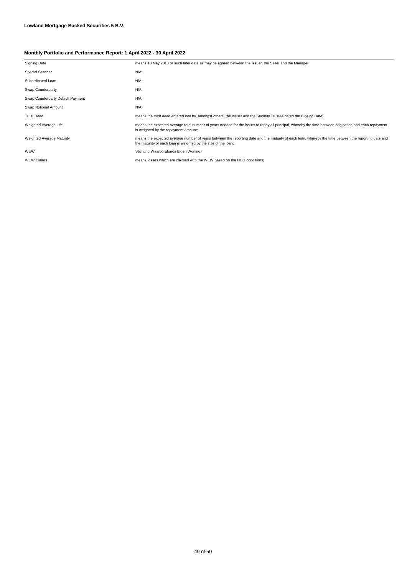| <b>Signing Date</b>               | means 18 May 2018 or such later date as may be agreed between the Issuer, the Seller and the Manager;                                                                                                                  |  |
|-----------------------------------|------------------------------------------------------------------------------------------------------------------------------------------------------------------------------------------------------------------------|--|
| <b>Special Servicer</b>           | $N/A$ ;                                                                                                                                                                                                                |  |
| Subordinated Loan                 | $N/A$ ;                                                                                                                                                                                                                |  |
| Swap Counterparty                 | $N/A$ ;                                                                                                                                                                                                                |  |
| Swap Counterparty Default Payment | $N/A$ ;                                                                                                                                                                                                                |  |
| Swap Notional Amount              | $N/A$ ;                                                                                                                                                                                                                |  |
| <b>Trust Deed</b>                 | means the trust deed entered into by, amongst others, the Issuer and the Security Trustee dated the Closing Date;                                                                                                      |  |
| Weighted Average Life             | means the expected average total number of years needed for the issuer to repay all principal, whereby the time between origination and each repayment<br>is weighted by the repayment amount;                         |  |
| Weighted Average Maturity         | means the expected average number of years between the reporting date and the maturity of each loan, whereby the time between the reporting date and<br>the maturity of each loan is weighted by the size of the loan; |  |
| WEW                               | Stichting Waarborgfonds Eigen Woning;                                                                                                                                                                                  |  |
| <b>WEW Claims</b>                 | means losses which are claimed with the WEW based on the NHG conditions:                                                                                                                                               |  |